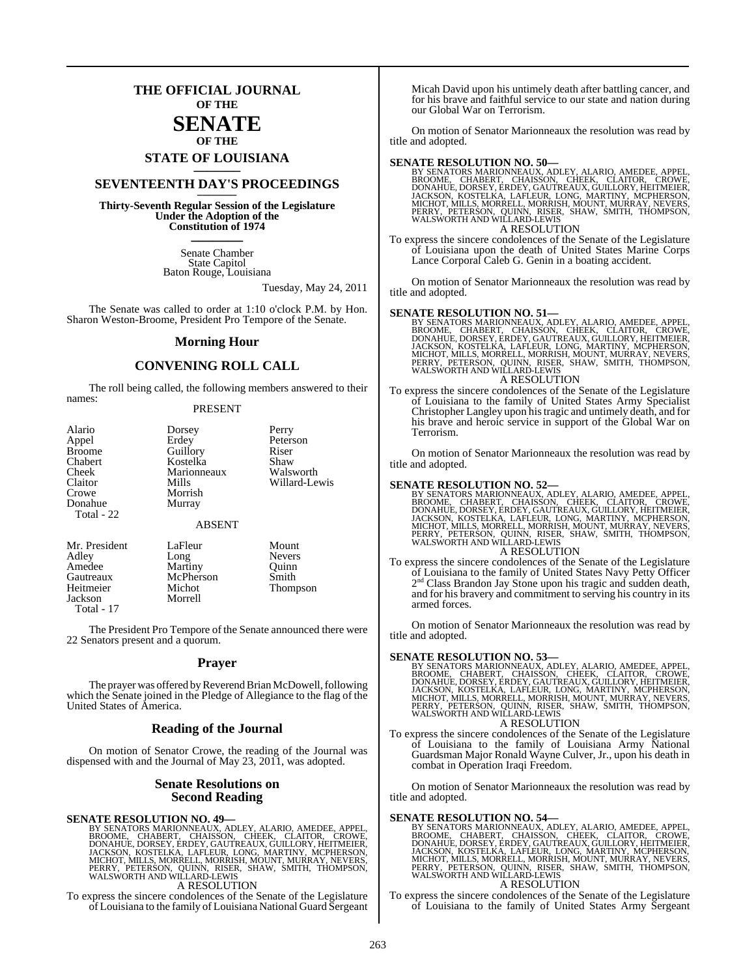## **THE OFFICIAL JOURNAL OF THE**

### **SENATE OF THE**

**STATE OF LOUISIANA \_\_\_\_\_\_\_**

# **SEVENTEENTH DAY'S PROCEEDINGS \_\_\_\_\_\_\_**

**Thirty-Seventh Regular Session of the Legislature Under the Adoption of the Constitution of 1974 \_\_\_\_\_\_\_**

> Senate Chamber State Capitol Baton Rouge, Louisiana

> > Tuesday, May 24, 2011

The Senate was called to order at 1:10 o'clock P.M. by Hon. Sharon Weston-Broome, President Pro Tempore of the Senate.

### **Morning Hour**

### **CONVENING ROLL CALL**

The roll being called, the following members answered to their names:

### PRESENT

| Alario<br>Appel<br><b>Broome</b><br>Chabert<br>Cheek<br>Claitor<br>Crowe<br>Donahue | Dorsey<br>Erdey<br>Guillory<br>Kostelka<br>Marionneaux<br>Mills<br>Morrish<br>Murray | Perry<br>Peterson<br>Riser<br>Shaw<br>Walsworth<br>Willard-Lewis |
|-------------------------------------------------------------------------------------|--------------------------------------------------------------------------------------|------------------------------------------------------------------|
| Total - 22                                                                          | <b>ABSENT</b>                                                                        |                                                                  |
| Mr. Drosidont                                                                       | u oFlour -                                                                           | $M_{\rm{cutoff}}$                                                |

| Mr. President | LaFleur   | Mount         |
|---------------|-----------|---------------|
| Adley         | Long      | <b>Nevers</b> |
| Amedee        | Martiny   | Ouinn         |
| Gautreaux     | McPherson | Smith         |
| Heitmeier     | Michot    | Thompson      |
| Jackson       | Morrell   |               |
| Total - 17    |           |               |

The President Pro Tempore of the Senate announced there were 22 Senators present and a quorum.

### **Prayer**

The prayer was offered by Reverend Brian McDowell, following which the Senate joined in the Pledge of Allegiance to the flag of the United States of America.

### **Reading of the Journal**

On motion of Senator Crowe, the reading of the Journal was dispensed with and the Journal of May 23, 2011, was adopted.

### **Senate Resolutions on Second Reading**

### **SENATE RESOLUTION NO. 49—**

BY SENATORS MARIONNEAUX, ADLEY, ALARIO, AMEDEE, APPEL,<br>BROOME, CHABERT, CHAISSON, CHEEK, CLAITOR, CROWE,<br>DONAHUE, DORSEY, ERDEY, GAUTREAUX, GUILLORY, HEITMEIER,<br>JACKSON, KOSTELKA, LAFLEUR, LONG, MARTINY, MCPHERSON,<br>MICHOT, A RESOLUTION

To express the sincere condolences of the Senate of the Legislature of Louisiana to the family of Louisiana National Guard Sergeant

Micah David upon his untimely death after battling cancer, and for his brave and faithful service to our state and nation during our Global War on Terrorism.

On motion of Senator Marionneaux the resolution was read by title and adopted.

### **SENATE RESOLUTION NO. 50—**

BY SENATORS MARIONNEAUX, ADLEY, ALARIO, AMEDEE, APPEL,<br>BROOME, CHABERT, CHAISSON, CHEEK, CLAITOR, CROWE,<br>DONAHUE, DORSEY, ERDEY, GAUTREAUX, GUILLORY, HEITMEIER,<br>JACKSON, KOSTELKA, LAFLEUR, LONG, MARTINY, MCPHERSON,<br>MICHOT, A RESOLUTION

To express the sincere condolences of the Senate of the Legislature of Louisiana upon the death of United States Marine Corps Lance Corporal Caleb G. Genin in a boating accident.

On motion of Senator Marionneaux the resolution was read by title and adopted.

### **SENATE RESOLUTION NO. 51—**

BY SENATORS MARIONNEAUX, ADLEY, ALARIO, AMEDEE, APPEL, BROOME, CHABERT, CHAISSON, CHEEK, CLAITOR, CROWE, DONAHUE, DORSEY, ERDEY, GAUTREAUX, GUILLORY, HEITMEIER, AND DONAHUE, JACKSON, QUILLORY, HEITMEIER, JACKSON, QUINCHOT,

To express the sincere condolences of the Senate of the Legislature of Louisiana to the family of United States Army Specialist Christopher Langley upon histragic and untimely death, and for his brave and heroic service in support of the Global War on Terrorism.

On motion of Senator Marionneaux the resolution was read by title and adopted.

**SENATE RESOLUTION NO. 52—**<br>BY SENATORS MARIONNEAUX, ADLEY, ALARIO, AMEDEE, APPEL, BROOME, CHABERT, CHAISSON, CHEEK, CLAITOR, CROWE, DONAHUE, DORSEY, ERDEY, GAUTREAUX, GUILLORY, HEITMEIER, JACKSON, KOSTELKA, LAFLEUR, LONG,

### A RESOLUTION

To express the sincere condolences of the Senate of the Legislature of Louisiana to the family of United States Navy Petty Officer 2<sup>nd</sup> Class Brandon Jay Stone upon his tragic and sudden death, and for his bravery and commitment to serving his country in its armed forces.

On motion of Senator Marionneaux the resolution was read by title and adopted.

**SENATE RESOLUTION NO. 53—**<br>BY SENATORS MARIONNEAUX, ADLEY, ALARIO, AMEDEE, APPEL, BROOME, CHABERT, CHAISSON, CHEEK, CLAITOR, CROWE, DONAHUE, DORSEY, ERDEY, GAUTREAUX, GUILLORY, HEITMEIER, JACKSON, KOSTELKA, LAFLEUR, LONG,

A RESOLUTION

To express the sincere condolences of the Senate of the Legislature of Louisiana to the family of Louisiana Army National Guardsman Major Ronald Wayne Culver, Jr., upon his death in combat in Operation Iraqi Freedom.

On motion of Senator Marionneaux the resolution was read by title and adopted.

### **SENATE RESOLUTION NO. 54—**

BY SENATORS MARIONNEAUX, ADLEY, ALARIO, AMEDEE, APPEL,<br>BROOME, CHABERT, CHAISSON, CHEEK, CLAITOR, CROWE,<br>DONAHUE, DORSEY, ERDEY, GAUTREAUX, GUILLORY, HEITMEIER,<br>JACKSON, KOSTELKA, LAFLEUR, LONG, MARTINY, MCPHERSON,<br>MICHOT,

### A RESOLUTION

To express the sincere condolences of the Senate of the Legislature of Louisiana to the family of United States Army Sergeant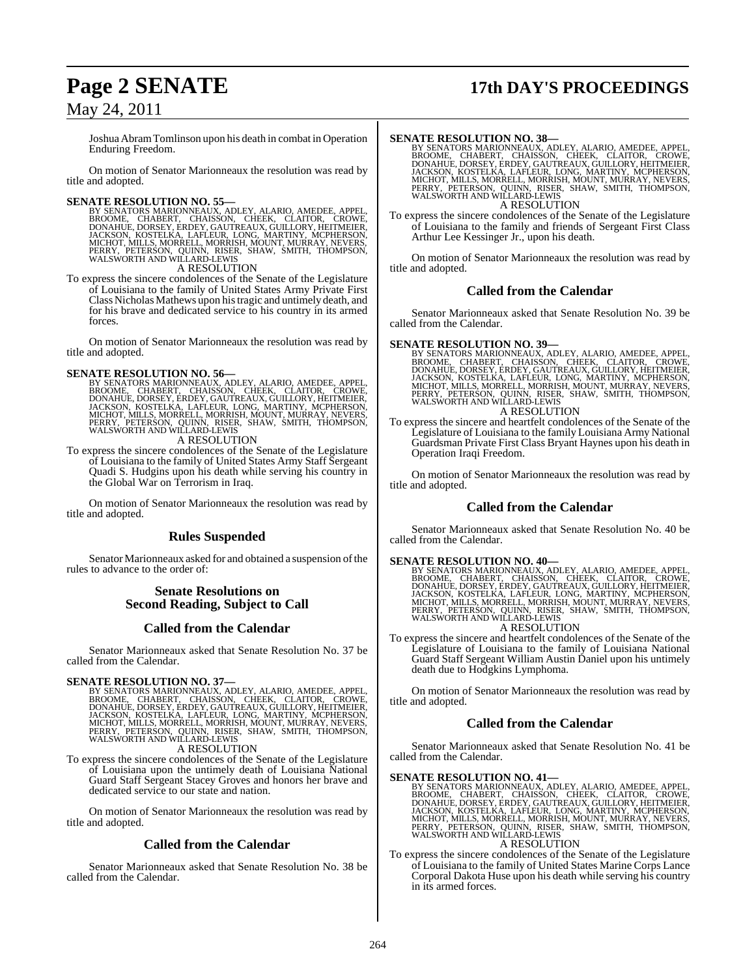# **Page 2 SENATE 17th DAY'S PROCEEDINGS**

May 24, 2011

JoshuaAbramTomlinson upon his death in combat in Operation Enduring Freedom.

On motion of Senator Marionneaux the resolution was read by title and adopted.

**SENATE RESOLUTION NO. 55—**<br>BY SENATORS MARIONNEAUX, ADLEY, ALARIO, AMEDEE, APPEL, BROOME, CHABERT, CHAISSON, CHEEK, CLAITOR, CROWE, DONAHUE, DORSEY, ERDEY, GAUTREAUX, GUILLORY, HEITMEIER, JACKSON, KOSTELKA, LAFLEUR, LONG,

A RESOLUTION

To express the sincere condolences of the Senate of the Legislature of Louisiana to the family of United States Army Private First ClassNicholasMathews upon histragic and untimely death, and for his brave and dedicated service to his country in its armed forces.

On motion of Senator Marionneaux the resolution was read by title and adopted.

### **SENATE RESOLUTION NO. 56—**

BY SENATORS MARIONNEAUX, ADLEY, ALARIO, AMEDEE, APPEL,<br>BROOME, CHABERT, CHAISSON, CHEEK, CLAITOR, CROWE,<br>DONAHUE, DORSEY, ERDEY, GAUTREAUX, GUILLORY, HEITMEIER,<br>JACKSON, KOSTELKA, LAFLEUR, LONG, MARTINY, MCPHERSON,<br>MICHOT,

A RESOLUTION

To express the sincere condolences of the Senate of the Legislature of Louisiana to the family of United States Army Staff Sergeant Quadi S. Hudgins upon his death while serving his country in the Global War on Terrorism in Iraq.

On motion of Senator Marionneaux the resolution was read by title and adopted.

### **Rules Suspended**

Senator Marionneaux asked for and obtained a suspension of the rules to advance to the order of:

### **Senate Resolutions on Second Reading, Subject to Call**

### **Called from the Calendar**

Senator Marionneaux asked that Senate Resolution No. 37 be called from the Calendar.

SENATE RESOLUTION NO. 37—<br>BY SENATORS MARIONNEAUX, ADLEY, ALARIO, AMEDEE, APPEL, BROOME, CHABERT, CHAISSON, CHEEK, CLAITOR, CROWE, DONAHUE, DORSEY, ERDEY, GAUTREAUX, GUILLORY, HEITMEIER, JACKSON, KOSTELKA, LAFLEUR, LONG, M A RESOLUTION

To express the sincere condolences of the Senate of the Legislature of Louisiana upon the untimely death of Louisiana National Guard Staff Sergeant Stacey Groves and honors her brave and dedicated service to our state and nation.

On motion of Senator Marionneaux the resolution was read by title and adopted.

### **Called from the Calendar**

Senator Marionneaux asked that Senate Resolution No. 38 be called from the Calendar.

**SENATE RESOLUTION NO. 38—**<br>BY SENATORS MARIONNEAUX, ADLEY, ALARIO, AMEDEE, APPEL, BROOME, CHABERT, CHAISSON, CHEEK, CLAITOR, CROWE, DONAHUE, DORSEY, ERDEY, GAUTREAUX, GUILLORY, HEITMEIER, JACKSON, KOSTELKA, LAFLEUR, LONG, A RESOLUTION

To express the sincere condolences of the Senate of the Legislature of Louisiana to the family and friends of Sergeant First Class Arthur Lee Kessinger Jr., upon his death.

On motion of Senator Marionneaux the resolution was read by title and adopted.

### **Called from the Calendar**

Senator Marionneaux asked that Senate Resolution No. 39 be called from the Calendar.

**SENATE RESOLUTION NO. 39—**<br>BY SENATORS MARIONNEAUX, ADLEY, ALARIO, AMEDEE, APPEL, BROOME, CHABERT, CHAISSON, CHEEK, CLAITOR, CROWE, DONAHUE, DORSEY, ERDEY, GAUTREAUX, GUILLORY, HEITMEIER, JACKSON, KOSTELKA, LAFLEUR, LONG, A RESOLUTION

To express the sincere and heartfelt condolences of the Senate of the Legislature of Louisiana to the family Louisiana Army National Guardsman Private First Class Bryant Haynes upon his death in

On motion of Senator Marionneaux the resolution was read by title and adopted.

### **Called from the Calendar**

Senator Marionneaux asked that Senate Resolution No. 40 be called from the Calendar.

Operation Iraqi Freedom.

**SENATE RESOLUTION NO. 40—**<br>BY SENATORS MARIONNEAUX, ADLEY, ALARIO, AMEDEE, APPEL, BROOME, CHABERT, CHAISSON, CHEEK, CLAITOR, CROWE,<br>DONAHUE, DORSEY, ERDEY, GAUTREAUX, GUILLORY, HEITMEIER,<br>JACKSON, KOSTELKA, LAFLEUR, LONG, A RESOLUTION

To express the sincere and heartfelt condolences of the Senate of the Legislature of Louisiana to the family of Louisiana National Guard Staff Sergeant William Austin Daniel upon his untimely death due to Hodgkins Lymphoma.

On motion of Senator Marionneaux the resolution was read by title and adopted.

### **Called from the Calendar**

Senator Marionneaux asked that Senate Resolution No. 41 be called from the Calendar.

### **SENATE RESOLUTION NO. 41—**

BY SENATORS MARIONNEAUX, ADLEY, ALARIO, AMEDEE, APPEL,<br>BROOME, CHABERT, CHAISSON, CHEEK, CLAITOR, CROWE,<br>DONAHUE, DORSEY, ERDEY, GAUTREAUX, GUILLORY, HEITMEIER,<br>JACKSON, KOSTELKA, LAFLEUR, LONG, MARTINY, MCPHERSON,<br>MICHOT, A RESOLUTION

To express the sincere condolences of the Senate of the Legislature of Louisiana to the family of United States Marine Corps Lance Corporal Dakota Huse upon his death while serving his country in its armed forces.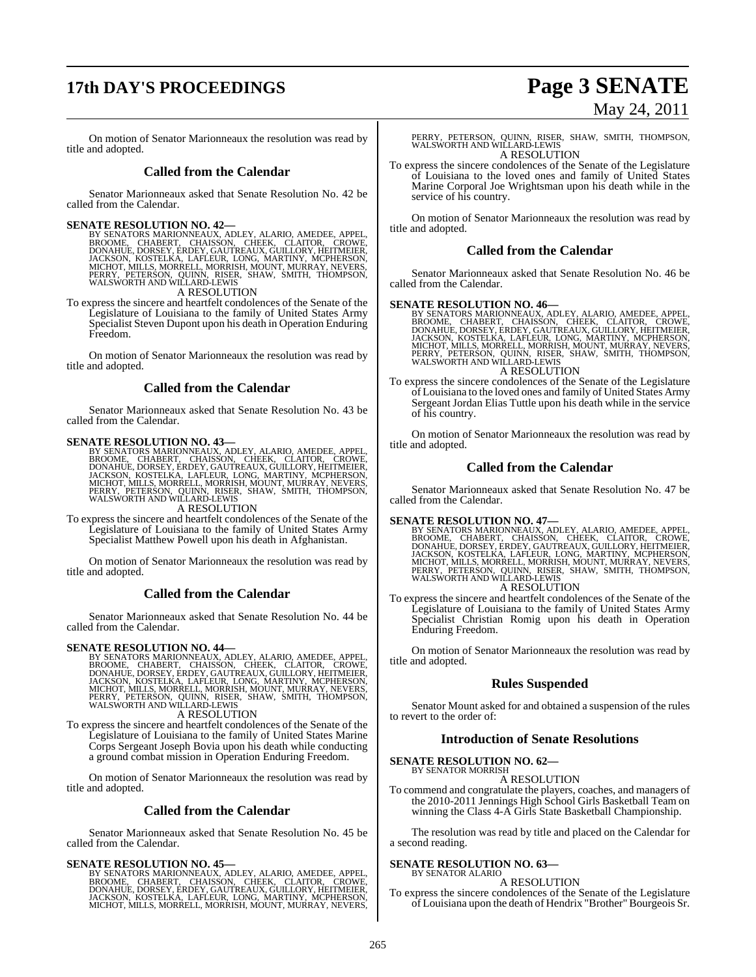# **17th DAY'S PROCEEDINGS Page 3 SENATE**

# May 24, 2011

On motion of Senator Marionneaux the resolution was read by title and adopted.

### **Called from the Calendar**

Senator Marionneaux asked that Senate Resolution No. 42 be called from the Calendar.

SENATE RESOLUTION NO. 42—<br>BY SENATORS MARIONNEAUX, ADLEY, ALARIO, AMEDEE, APPEL, BROOME, CHABERT, CHAISSON, CHEEK, CLAITOR, CROWE, DONAHUE, DORSEY, ERDEY, GAUTREAUX, GUILLORY, HEITMEIER, JACKSON, KOSTELKA, LAFLEUR, LONG, M A RESOLUTION

To express the sincere and heartfelt condolences of the Senate of the Legislature of Louisiana to the family of United States Army Specialist Steven Dupont upon his death in Operation Enduring Freedom.

On motion of Senator Marionneaux the resolution was read by title and adopted.

### **Called from the Calendar**

Senator Marionneaux asked that Senate Resolution No. 43 be called from the Calendar.

### **SENATE RESOLUTION NO. 43—**

BY SENATORS MARIONNEAUX, ADLEY, ALARIO, AMEDEE, APPEL,<br>BROOME, CHABERT, CHAISSON, CHEEK, CLAITOR, CROWE,<br>DONAHUE, DORSEY, ERDEY, GAUTREAUX, GUILLORY, HEITMEIER,<br>JACKSON, KOSTELKA, LAFLEUR, LONG, MARTINY, MCPHERSON,<br>MICHOT,

A RESOLUTION

To express the sincere and heartfelt condolences of the Senate of the Legislature of Louisiana to the family of United States Army Specialist Matthew Powell upon his death in Afghanistan.

On motion of Senator Marionneaux the resolution was read by title and adopted.

### **Called from the Calendar**

Senator Marionneaux asked that Senate Resolution No. 44 be called from the Calendar.

### **SENATE RESOLUTION NO. 44—**

BY SENATORS MARIONNEAUX, ADLEY, ALARIO, AMEDEE, APPEL,<br>BROOME, CHABERT, CHAISSON, CHEEK, CLAITOR, CROWE,<br>DONAHUE, DORSEY, ERDEY, GAUTREAUX, GUILLORY, HEITMEIER,<br>JACKSON, KOSTELKA, LAFLEUR, LONG, MARTINY, MCPHERSON,<br>MICHOT,

### A RESOLUTION

To express the sincere and heartfelt condolences of the Senate of the Legislature of Louisiana to the family of United States Marine Corps Sergeant Joseph Bovia upon his death while conducting a ground combat mission in Operation Enduring Freedom.

On motion of Senator Marionneaux the resolution was read by title and adopted.

### **Called from the Calendar**

Senator Marionneaux asked that Senate Resolution No. 45 be called from the Calendar.

**SENATE RESOLUTION NO. 45—**<br>BY SENATORS MARIONNEAUX, ADLEY, ALARIO, AMEDEE, APPEL<br>BROOME, CHABERT, CHAISSON, CHEEK, CLAITOR, CROWE,<br>DONAHUE, DORSEY, ERDEY, GAUTREAUX, GUILLORY, HEITMEIER,<br>JACKSON, KOSTELKA, LAFLEUR, LONG, MICHOT, MILLS, MORRELL, MORRISH, MOUNT, MURRAY, NEVERS, PERRY, PETERSON, QUINN, RISER, SHAW, SMITH, THOMPSON, WALSWORTH AND WILLARD-LEWIS A RESOLUTION

To express the sincere condolences of the Senate of the Legislature of Louisiana to the loved ones and family of United States Marine Corporal Joe Wrightsman upon his death while in the service of his country.

On motion of Senator Marionneaux the resolution was read by title and adopted.

### **Called from the Calendar**

Senator Marionneaux asked that Senate Resolution No. 46 be called from the Calendar.

SENATE RESOLUTION NO. 46—<br>BY SENATORS MARIONNEAUX, ADLEY, ALARIO, AMEDEE, APPEL, BROOME, CHABERT, CHAISSON, CHEEK, CLAITOR, CROWE, DONAHUE, DORSEY, ERDEY, GAUTREAUX, GUILLORY, HEITMEIER, JACKSON, KOSTELKA, LAFLEUR, LONG, M A RESOLUTION

To express the sincere condolences of the Senate of the Legislature of Louisiana to the loved ones and family of United States Army Sergeant Jordan Elias Tuttle upon his death while in the service of his country.

On motion of Senator Marionneaux the resolution was read by title and adopted.

### **Called from the Calendar**

Senator Marionneaux asked that Senate Resolution No. 47 be called from the Calendar.

### **SENATE RESOLUTION NO. 47—**

BY SENATORS MARIONNEAUX, ADLEY, ALARIO, AMEDEE, APPEL,<br>BROOME, CHABERT, CHAISSON, CHEEK, CLAITOR, CROWE,<br>DONAHUE, DORSEY, ERDEY, GAUTREAUX, GUILLORY, HEITMEIER,<br>JACKSON, KOSTELKA, LAFLEUR, LONG, MARTINY, MCPHERSON,<br>MCHOT, A RESOLUTION

To express the sincere and heartfelt condolences of the Senate of the Legislature of Louisiana to the family of United States Army Specialist Christian Romig upon his death in Operation Enduring Freedom.

On motion of Senator Marionneaux the resolution was read by title and adopted.

### **Rules Suspended**

Senator Mount asked for and obtained a suspension of the rules to revert to the order of:

### **Introduction of Senate Resolutions**

### **SENATE RESOLUTION NO. 62—** BY SENATOR MORRISH

A RESOLUTION

To commend and congratulate the players, coaches, and managers of the 2010-2011 Jennings High School Girls Basketball Team on winning the Class 4-A Girls State Basketball Championship.

The resolution was read by title and placed on the Calendar for a second reading.

# **SENATE RESOLUTION NO. 63—** BY SENATOR ALARIO

A RESOLUTION

To express the sincere condolences of the Senate of the Legislature of Louisiana upon the death of Hendrix "Brother"Bourgeois Sr.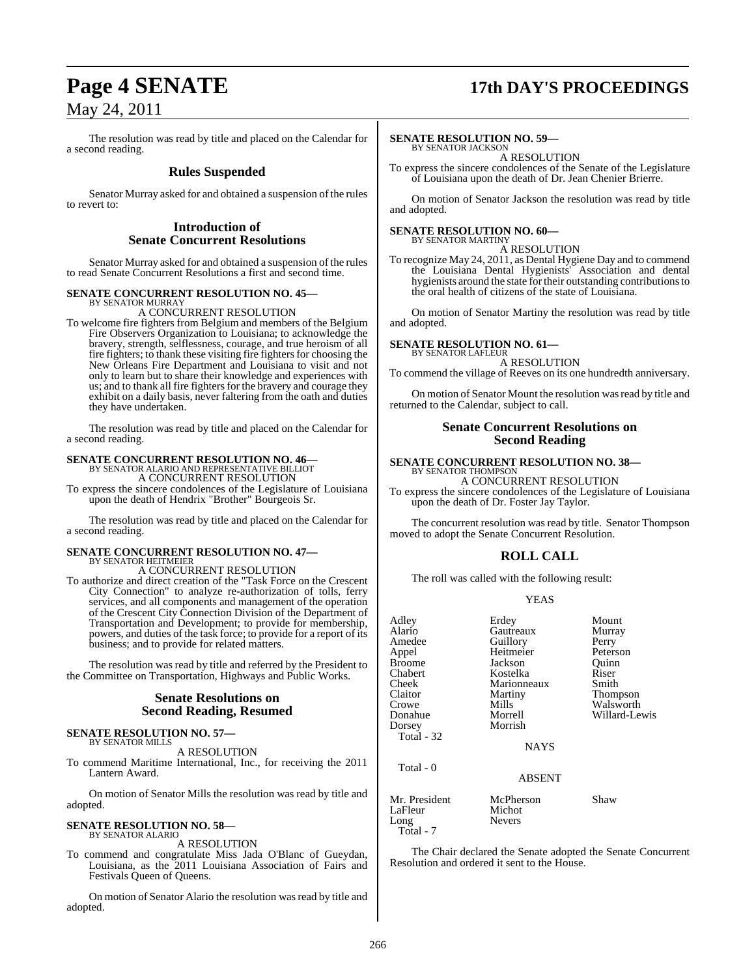# **Page 4 SENATE 17th DAY'S PROCEEDINGS**

May 24, 2011

The resolution was read by title and placed on the Calendar for a second reading.

### **Rules Suspended**

Senator Murray asked for and obtained a suspension of the rules to revert to:

### **Introduction of Senate Concurrent Resolutions**

Senator Murray asked for and obtained a suspension of the rules to read Senate Concurrent Resolutions a first and second time.

### **SENATE CONCURRENT RESOLUTION NO. 45—** BY SENATOR MURRAY

A CONCURRENT RESOLUTION

To welcome fire fighters from Belgium and members of the Belgium Fire Observers Organization to Louisiana; to acknowledge the bravery, strength, selflessness, courage, and true heroism of all fire fighters; to thank these visiting fire fighters for choosing the New Orleans Fire Department and Louisiana to visit and not only to learn but to share their knowledge and experiences with us; and to thank all fire fighters for the bravery and courage they exhibit on a daily basis, never faltering from the oath and duties they have undertaken.

The resolution was read by title and placed on the Calendar for a second reading.

# **SENATE CONCURRENT RESOLUTION NO. 46—** BY SENATOR ALARIO AND REPRESENTATIVE BILLIOT

A CONCURRENT RESOLUTION

To express the sincere condolences of the Legislature of Louisiana upon the death of Hendrix "Brother" Bourgeois Sr.

The resolution was read by title and placed on the Calendar for a second reading.

# **SENATE CONCURRENT RESOLUTION NO. 47—** BY SENATOR HEITMEIER

A CONCURRENT RESOLUTION

To authorize and direct creation of the "Task Force on the Crescent City Connection" to analyze re-authorization of tolls, ferry services, and all components and management of the operation of the Crescent City Connection Division of the Department of Transportation and Development; to provide for membership, powers, and duties of the task force; to provide for a report of its business; and to provide for related matters.

The resolution was read by title and referred by the President to the Committee on Transportation, Highways and Public Works.

### **Senate Resolutions on Second Reading, Resumed**

### **SENATE RESOLUTION NO. 57—** BY SENATOR MILLS

A RESOLUTION

To commend Maritime International, Inc., for receiving the 2011 Lantern Award.

On motion of Senator Mills the resolution was read by title and adopted.

### **SENATE RESOLUTION NO. 58—** BY SENATOR ALARIO

A RESOLUTION

To commend and congratulate Miss Jada O'Blanc of Gueydan, Louisiana, as the 2011 Louisiana Association of Fairs and Festivals Queen of Queens.

On motion of Senator Alario the resolution was read by title and adopted.

### **SENATE RESOLUTION NO. 59—**

BY SENATOR JACKSON A RESOLUTION

To express the sincere condolences of the Senate of the Legislature of Louisiana upon the death of Dr. Jean Chenier Brierre.

On motion of Senator Jackson the resolution was read by title and adopted.

### **SENATE RESOLUTION NO. 60—** BY SENATOR MARTINY

A RESOLUTION

To recognize May 24, 2011, as Dental Hygiene Day and to commend the Louisiana Dental Hygienists' Association and dental hygienists around the state for their outstanding contributionsto the oral health of citizens of the state of Louisiana.

On motion of Senator Martiny the resolution was read by title and adopted.

**SENATE RESOLUTION NO. 61—**

BY SENATOR LAFLEUR A RESOLUTION

To commend the village of Reeves on its one hundredth anniversary.

On motion of Senator Mount the resolution wasread by title and returned to the Calendar, subject to call.

### **Senate Concurrent Resolutions on Second Reading**

### **SENATE CONCURRENT RESOLUTION NO. 38—** BY SENATOR THOMPSON

A CONCURRENT RESOLUTION To express the sincere condolences of the Legislature of Louisiana upon the death of Dr. Foster Jay Taylor.

The concurrent resolution was read by title. Senator Thompson moved to adopt the Senate Concurrent Resolution.

### **ROLL CALL**

The roll was called with the following result:

### YEAS

| Adley         | Erdey         | Mount         |
|---------------|---------------|---------------|
| Alario        | Gautreaux     | Murray        |
| Amedee        | Guillory      | Perry         |
| Appel         | Heitmeier     | Peterson      |
| Broome        | Jackson       | Ouinn         |
| Chabert       | Kostelka      | Riser         |
| Cheek         | Marionneaux   | Smith         |
| Claitor       | Martiny       | Thompson      |
| Crowe         | Mills         | Walsworth     |
| Donahue       | Morrell       | Willard-Lewis |
| Dorsey        | Morrish       |               |
| Total - 32    |               |               |
|               | <b>NAYS</b>   |               |
| Total - 0     |               |               |
|               | <b>ABSENT</b> |               |
| Mr. President | McPherson     | Shaw          |
| LaFleur       | Michot        |               |
| Long          | Nevers        |               |

The Chair declared the Senate adopted the Senate Concurrent Resolution and ordered it sent to the House.

Total - 7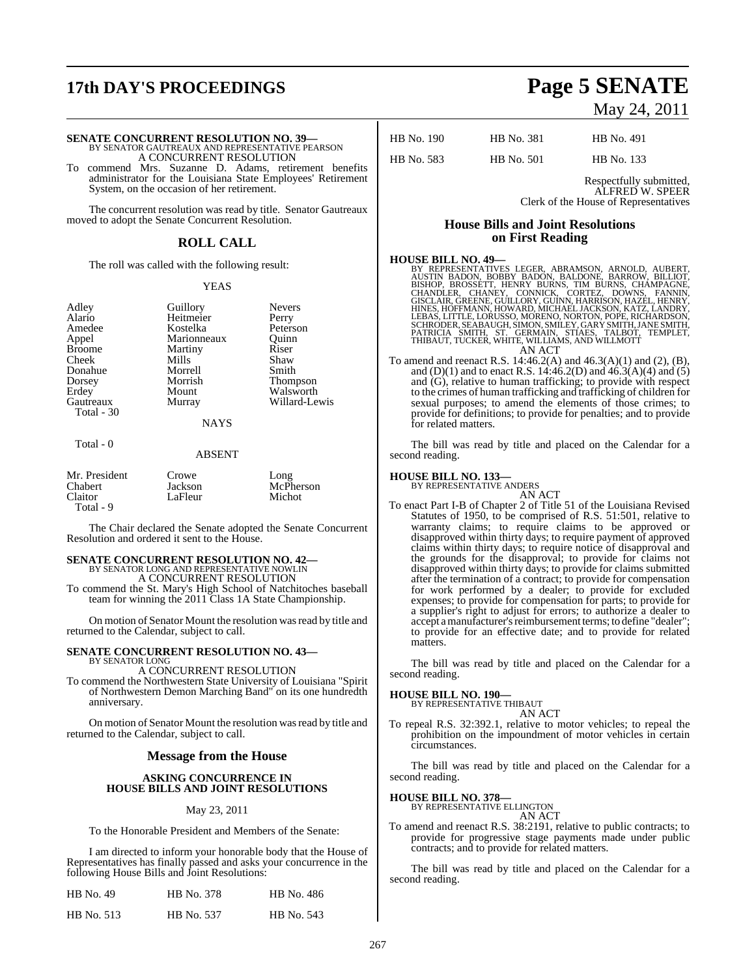# **17th DAY'S PROCEEDINGS Page 5 SENATE**

**SENATE CONCURRENT RESOLUTION NO. 39—**<br>BY SENATOR GAUTREAUX AND REPRESENTATIVE PEARSON<br>A CONCURRENT RESOLUTION

To commend Mrs. Suzanne D. Adams, retirement benefits administrator for the Louisiana State Employees' Retirement System, on the occasion of her retirement.

The concurrent resolution was read by title. Senator Gautreaux moved to adopt the Senate Concurrent Resolution.

### **ROLL CALL**

The roll was called with the following result:

### YEAS

Total - 30

Total - 0

Adley Guillory Nevers<br>Alario Heitmeier Perry Alario Heitmeier Perry Amedee Kostelka Peterson<br>Appel Marionneaux Quinn Appel Marionneaux Quinn<br>
Ricome Martiny Riser Martiny Cheek Mills Shaw Donahue Morrell Smith Dorsey Morrish Thompson Erdey Mount Walsworth<br>
Gautreaux Murray Willard-Le

**NAYS** 

Willard-Lewis

### ABSENT

| Mr. President  | Crowe   | Long      |
|----------------|---------|-----------|
| <b>Chabert</b> | Jackson | McPherson |
| <b>Claitor</b> | LaFleur | Michot    |
| Total - 9      |         |           |

The Chair declared the Senate adopted the Senate Concurrent Resolution and ordered it sent to the House.

### **SENATE CONCURRENT RESOLUTION NO. 42—** BY SENATOR LONG AND REPRESENTATIVE NOWLIN A CONCURRENT RESOLUTION

To commend the St. Mary's High School of Natchitoches baseball team for winning the 2011 Class 1A State Championship.

On motion of Senator Mount the resolution wasread by title and returned to the Calendar, subject to call.

### **SENATE CONCURRENT RESOLUTION NO. 43—** BY SENATOR LONG

A CONCURRENT RESOLUTION To commend the Northwestern State University of Louisiana "Spirit

of Northwestern Demon Marching Band" on its one hundredth anniversary.

On motion of Senator Mount the resolution wasread by title and returned to the Calendar, subject to call.

### **Message from the House**

### **ASKING CONCURRENCE IN HOUSE BILLS AND JOINT RESOLUTIONS**

### May 23, 2011

To the Honorable President and Members of the Senate:

I am directed to inform your honorable body that the House of Representatives has finally passed and asks your concurrence in the following House Bills and Joint Resolutions:

| <b>HB</b> No. 49  | HB No. 378 | HB No. 486 |
|-------------------|------------|------------|
| <b>HB</b> No. 513 | HB No. 537 | HB No. 543 |

# May 24, 2011

| HB No. 190        | <b>HB</b> No. 381 | HB No. 491 |
|-------------------|-------------------|------------|
| <b>HB</b> No. 583 | <b>HB</b> No. 501 | HB No. 133 |

Respectfully submitted, ALFRED W. SPEER Clerk of the House of Representatives

### **House Bills and Joint Resolutions on First Reading**

### **HOUSE BILL NO. 49—**

BY REPRESENTATIVES LEGER, ABRAMSON, ARNOLD, AUBERT,<br>AUSTIN BADON, BOBBY BADON, BALDONE, BARROW, BILLIOT,<br>BISHOP, BROSSETT, HENRY BURNS, TIM BURNS, CHAMPAGNE,<br>CHANDLER, CHANEY, CONNICK, CORTEZ, DOWNS, FANNIN,<br>GISCLAIR, GREE SCHRÖDER, SEABAUGH, SIMON, SMILEY, GARÝ SMITH, JANE SMITH,<br>PATRICIA ŠMITH, ST. GERMAIN, STIAES, TALBOT, TEMPLET,<br>THIBAUT, TUCKER, WHITE, WILLIAMS, AND WILLMOTT AN ACT

To amend and reenact R.S. 14:46.2(A) and 46.3(A)(1) and (2), (B), and (D)(1) and to enact R.S. 14:46.2(D) and 46.3(A)(4) and (5) and (G), relative to human trafficking; to provide with respect to the crimes of human trafficking and trafficking of children for sexual purposes; to amend the elements of those crimes; to provide for definitions; to provide for penalties; and to provide for related matters.

The bill was read by title and placed on the Calendar for a second reading.

# **HOUSE BILL NO. 133—** BY REPRESENTATIVE ANDERS

AN ACT To enact Part I-B of Chapter 2 of Title 51 of the Louisiana Revised Statutes of 1950, to be comprised of R.S. 51:501, relative to warranty claims; to require claims to be approved or disapproved within thirty days; to require payment of approved claims within thirty days; to require notice of disapproval and the grounds for the disapproval; to provide for claims not disapproved within thirty days; to provide for claims submitted after the termination of a contract; to provide for compensation for work performed by a dealer; to provide for excluded expenses; to provide for compensation for parts; to provide for a supplier's right to adjust for errors; to authorize a dealer to accept amanufacturer's reimbursement terms; to define "dealer"; to provide for an effective date; and to provide for related matters.

The bill was read by title and placed on the Calendar for a second reading.

### **HOUSE BILL NO. 190—**

BY REPRESENTATIVE THIBAUT AN ACT

To repeal R.S. 32:392.1, relative to motor vehicles; to repeal the prohibition on the impoundment of motor vehicles in certain circumstances.

The bill was read by title and placed on the Calendar for a second reading.

### **HOUSE BILL NO. 378—**

### BY REPRESENTATIVE ELLINGTON

- AN ACT
- To amend and reenact R.S. 38:2191, relative to public contracts; to provide for progressive stage payments made under public contracts; and to provide for related matters.

The bill was read by title and placed on the Calendar for a second reading.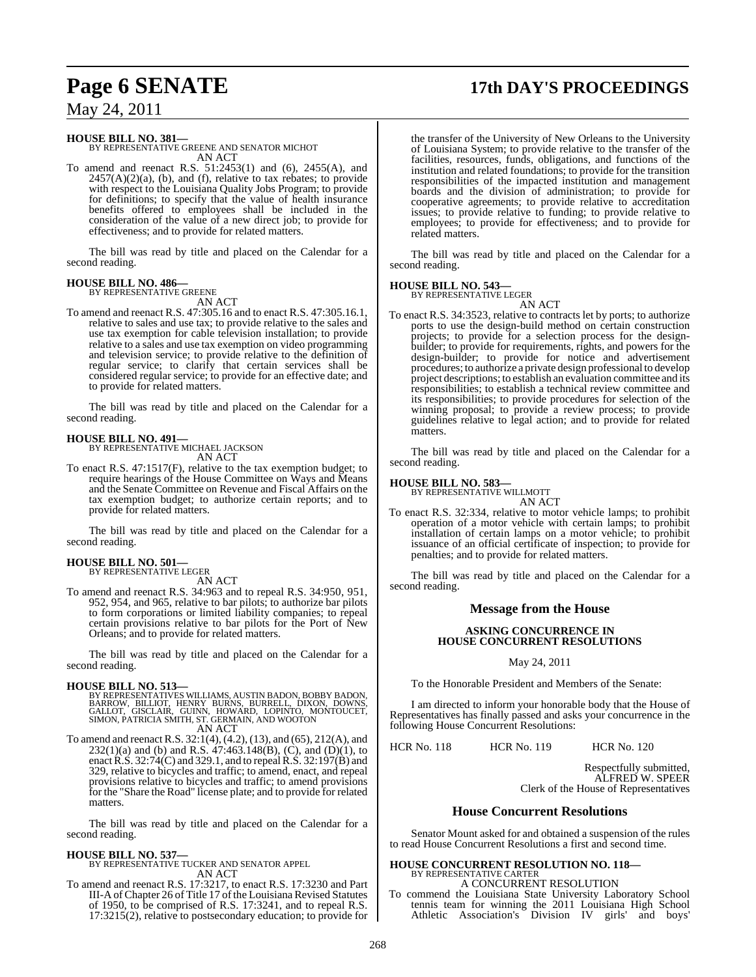# **Page 6 SENATE 17th DAY'S PROCEEDINGS**

May 24, 2011

**HOUSE BILL NO. 381—** BY REPRESENTATIVE GREENE AND SENATOR MICHOT AN ACT

To amend and reenact R.S. 51:2453(1) and (6), 2455(A), and  $2457(A)(2)(a)$ , (b), and (f), relative to tax rebates; to provide with respect to the Louisiana Quality Jobs Program; to provide for definitions; to specify that the value of health insurance benefits offered to employees shall be included in the consideration of the value of a new direct job; to provide for effectiveness; and to provide for related matters.

The bill was read by title and placed on the Calendar for a second reading.

### **HOUSE BILL NO. 486—** BY REPRESENTATIVE GREENE

AN ACT

To amend and reenact R.S. 47:305.16 and to enact R.S. 47:305.16.1, relative to sales and use tax; to provide relative to the sales and use tax exemption for cable television installation; to provide relative to a sales and use tax exemption on video programming and television service; to provide relative to the definition of regular service; to clarify that certain services shall be considered regular service; to provide for an effective date; and to provide for related matters.

The bill was read by title and placed on the Calendar for a second reading.

### **HOUSE BILL NO. 491—**

BY REPRESENTATIVE MICHAEL JACKSON

AN ACT To enact R.S. 47:1517(F), relative to the tax exemption budget; to require hearings of the House Committee on Ways and Means and the Senate Committee on Revenue and Fiscal Affairs on the tax exemption budget; to authorize certain reports; and to provide for related matters.

The bill was read by title and placed on the Calendar for a second reading.

### **HOUSE BILL NO. 501—** BY REPRESENTATIVE LEGER

AN ACT

To amend and reenact R.S. 34:963 and to repeal R.S. 34:950, 951, 952, 954, and 965, relative to bar pilots; to authorize bar pilots to form corporations or limited liability companies; to repeal certain provisions relative to bar pilots for the Port of New Orleans; and to provide for related matters.

The bill was read by title and placed on the Calendar for a second reading.

- **HOUSE BILL NO. 513—**<br>BY REPRESENTATIVES WILLIAMS, AUSTIN BADON, BOBBY BADON, BILLIAMS<br>BARROW, BILLIOT, HENRY BURNS, BURRELL, DIXON, DOWNS,<br>GALLOT, GISCLAIR, GUINN, HOWARD, LOPINTO, MONTOUCET,<br>SIMON, PATRICIA SMITH, ST. GE AN ACT
- To amend and reenact R.S. 32:1(4), (4.2), (13), and (65), 212(A), and  $232(1)(a)$  and (b) and R.S.  $47:463.148(B)$ , (C), and (D)(1), to enact R.S. 32:74(C) and 329.1, and to repeal R.S. 32:197(B) and 329, relative to bicycles and traffic; to amend, enact, and repeal provisions relative to bicycles and traffic; to amend provisions for the "Share the Road" license plate; and to provide for related matters.

The bill was read by title and placed on the Calendar for a second reading.

### **HOUSE BILL NO. 537—**

BY REPRESENTATIVE TUCKER AND SENATOR APPEL AN ACT

To amend and reenact R.S. 17:3217, to enact R.S. 17:3230 and Part III-A of Chapter 26 of Title 17 of the Louisiana Revised Statutes of 1950, to be comprised of R.S. 17:3241, and to repeal R.S. 17:3215(2), relative to postsecondary education; to provide for the transfer of the University of New Orleans to the University of Louisiana System; to provide relative to the transfer of the facilities, resources, funds, obligations, and functions of the institution and related foundations; to provide for the transition responsibilities of the impacted institution and management boards and the division of administration; to provide for cooperative agreements; to provide relative to accreditation issues; to provide relative to funding; to provide relative to employees; to provide for effectiveness; and to provide for related matters.

The bill was read by title and placed on the Calendar for a second reading.

### **HOUSE BILL NO. 543—**

BY REPRESENTATIVE LEGER

AN ACT To enact R.S. 34:3523, relative to contracts let by ports; to authorize ports to use the design-build method on certain construction projects; to provide for a selection process for the designbuilder; to provide for requirements, rights, and powers for the design-builder; to provide for notice and advertisement procedures; to authorize a private design professional to develop project descriptions; to establish an evaluation committee and its responsibilities; to establish a technical review committee and its responsibilities; to provide procedures for selection of the winning proposal; to provide a review process; to provide guidelines relative to legal action; and to provide for related matters.

The bill was read by title and placed on the Calendar for a second reading.

# **HOUSE BILL NO. 583—** BY REPRESENTATIVE WILLMOTT

AN ACT

To enact R.S. 32:334, relative to motor vehicle lamps; to prohibit operation of a motor vehicle with certain lamps; to prohibit installation of certain lamps on a motor vehicle; to prohibit issuance of an official certificate of inspection; to provide for penalties; and to provide for related matters.

The bill was read by title and placed on the Calendar for a second reading.

### **Message from the House**

### **ASKING CONCURRENCE IN HOUSE CONCURRENT RESOLUTIONS**

May 24, 2011

To the Honorable President and Members of the Senate:

I am directed to inform your honorable body that the House of Representatives has finally passed and asks your concurrence in the following House Concurrent Resolutions:

HCR No. 118 HCR No. 119 HCR No. 120

Respectfully submitted, ALFRED W. SPEER Clerk of the House of Representatives

### **House Concurrent Resolutions**

Senator Mount asked for and obtained a suspension of the rules to read House Concurrent Resolutions a first and second time.

### **HOUSE CONCURRENT RESOLUTION NO. 118—**

BY REPRESENTATIVE CARTER A CONCURRENT RESOLUTION

To commend the Louisiana State University Laboratory School tennis team for winning the 2011 Louisiana High School Athletic Association's Division IV girls' and boys'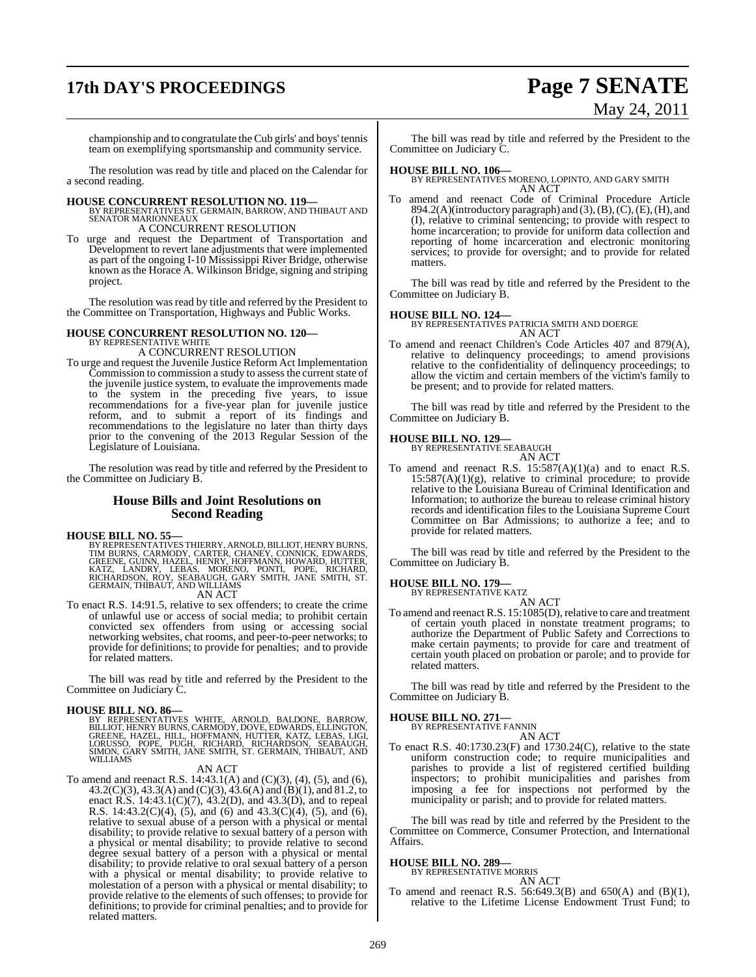# **17th DAY'S PROCEEDINGS Page 7 SENATE**

# May 24, 2011

championship and to congratulate the Cub girls' and boys' tennis team on exemplifying sportsmanship and community service.

The resolution was read by title and placed on the Calendar for a second reading.

# **HOUSE CONCURRENT RESOLUTION NO. 119—** BY REPRESENTATIVES ST. GERMAIN, BARROW, AND THIBAUT AND SENATOR MARIONNEAUX

A CONCURRENT RESOLUTION

To urge and request the Department of Transportation and Development to revert lane adjustments that were implemented as part of the ongoing I-10 Mississippi River Bridge, otherwise known as the Horace A. Wilkinson Bridge, signing and striping project.

The resolution was read by title and referred by the President to the Committee on Transportation, Highways and Public Works.

# **HOUSE CONCURRENT RESOLUTION NO. 120—** BY REPRESENTATIVE WHITE

A CONCURRENT RESOLUTION

To urge and request the Juvenile Justice Reform Act Implementation Commission to commission a study to assess the current state of the juvenile justice system, to evaluate the improvements made to the system in the preceding five years, to issue recommendations for a five-year plan for juvenile justice reform, and to submit a report of its findings and recommendations to the legislature no later than thirty days prior to the convening of the 2013 Regular Session of the Legislature of Louisiana.

The resolution was read by title and referred by the President to the Committee on Judiciary B.

### **House Bills and Joint Resolutions on Second Reading**

**HOUSE BILL NO. 55—**<br>BY REPRESENTATIVES THIERRY, ARNOLD, BILLIOT, HENRY BURNS, TIM BURNS, CARMODY, CARTER, CHANEY, CONNICK, EDWARDS, GREENE, GUINN, HAZEL, HENRY, HOFFMANN, HOWARD, HUTTER, KATZ, LANDRY, LEBAS, MORENO, PONTI AN ACT

To enact R.S. 14:91.5, relative to sex offenders; to create the crime of unlawful use or access of social media; to prohibit certain convicted sex offenders from using or accessing social networking websites, chat rooms, and peer-to-peer networks; to provide for definitions; to provide for penalties; and to provide for related matters.

The bill was read by title and referred by the President to the Committee on Judiciary C.

**HOUSE BILL NO. 86—**<br>BY REPRESENTATIVES WHITE, ARNOLD, BALDONE, BARROW,<br>BILLIOT, HENRY BURNS, CARMODY, DOVE, EDWARDS, ELLINGTON,<br>GREENE, HAZEL, HILL, HOFFMANN, HUTTER, KATZ, LEBAS, LIGI,<br>LORUSSO, POPE, PUGH, RICHARD, RICHA

### AN ACT

To amend and reenact R.S.  $14:43.1(A)$  and  $(C)(3)$ ,  $(4)$ ,  $(5)$ , and  $(6)$ , 43.2(C)(3), 43.3(A) and (C)(3), 43.6(A) and (B)(1), and 81.2, to enact R.S. 14:43.1(C)(7), 43.2(D), and 43.3(D), and to repeal R.S. 14:43.2(C)(4), (5), and (6) and 43.3(C)(4), (5), and (6), relative to sexual abuse of a person with a physical or mental disability; to provide relative to sexual battery of a person with a physical or mental disability; to provide relative to second degree sexual battery of a person with a physical or mental disability; to provide relative to oral sexual battery of a person with a physical or mental disability; to provide relative to molestation of a person with a physical or mental disability; to provide relative to the elements of such offenses; to provide for definitions; to provide for criminal penalties; and to provide for related matters.

The bill was read by title and referred by the President to the Committee on Judiciary C.

**HOUSE BILL NO. 106—** BY REPRESENTATIVES MORENO, LOPINTO, AND GARY SMITH AN ACT

To amend and reenact Code of Criminal Procedure Article 894.2(A)(introductory paragraph) and  $(3)$ ,  $(B)$ ,  $(C)$ ,  $(E)$ ,  $(H)$ , and (I), relative to criminal sentencing; to provide with respect to home incarceration; to provide for uniform data collection and reporting of home incarceration and electronic monitoring services; to provide for oversight; and to provide for related matters.

The bill was read by title and referred by the President to the Committee on Judiciary B.

### **HOUSE BILL NO. 124—**

BY REPRESENTATIVES PATRICIA SMITH AND DOERGE AN ACT

To amend and reenact Children's Code Articles 407 and 879(A), relative to delinquency proceedings; to amend provisions relative to the confidentiality of delinquency proceedings; to allow the victim and certain members of the victim's family to be present; and to provide for related matters.

The bill was read by title and referred by the President to the Committee on Judiciary B.

### **HOUSE BILL NO. 129—**

BY REPRESENTATIVE SEABAUGH AN ACT

To amend and reenact R.S.  $15:587(A)(1)(a)$  and to enact R.S. 15:587(A)(1)(g), relative to criminal procedure; to provide relative to the Louisiana Bureau of Criminal Identification and Information; to authorize the bureau to release criminal history records and identification files to the Louisiana Supreme Court Committee on Bar Admissions; to authorize a fee; and to provide for related matters.

The bill was read by title and referred by the President to the Committee on Judiciary B.

### **HOUSE BILL NO. 179—**

BY REPRESENTATIVE KATZ AN ACT

To amend and reenact R.S. 15:1085(D), relative to care and treatment of certain youth placed in nonstate treatment programs; to authorize the Department of Public Safety and Corrections to make certain payments; to provide for care and treatment of certain youth placed on probation or parole; and to provide for related matters.

The bill was read by title and referred by the President to the Committee on Judiciary B.

# **HOUSE BILL NO. 271—** BY REPRESENTATIVE FANNIN

AN ACT

To enact R.S. 40:1730.23(F) and 1730.24(C), relative to the state uniform construction code; to require municipalities and parishes to provide a list of registered certified building inspectors; to prohibit municipalities and parishes from imposing a fee for inspections not performed by the municipality or parish; and to provide for related matters.

The bill was read by title and referred by the President to the Committee on Commerce, Consumer Protection, and International Affairs.

### **HOUSE BILL NO. 289—**

BY REPRESENTATIVE MORRIS AN ACT

To amend and reenact R.S. 56:649.3(B) and 650(A) and (B)(1), relative to the Lifetime License Endowment Trust Fund; to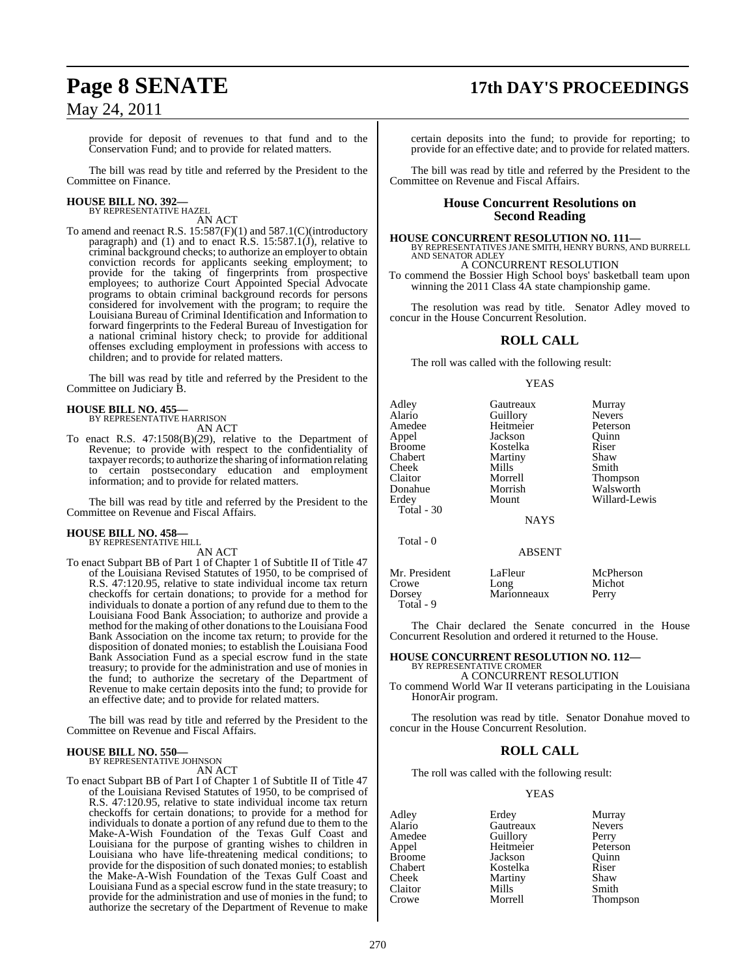# **Page 8 SENATE 17th DAY'S PROCEEDINGS**

provide for deposit of revenues to that fund and to the Conservation Fund; and to provide for related matters.

The bill was read by title and referred by the President to the Committee on Finance.

# **HOUSE BILL NO. 392—** BY REPRESENTATIVE HAZEL

AN ACT

To amend and reenact R.S. 15:587(F)(1) and 587.1(C)(introductory paragraph) and (1) and to enact R.S. 15:587.1(J), relative to criminal background checks; to authorize an employer to obtain conviction records for applicants seeking employment; to provide for the taking of fingerprints from prospective employees; to authorize Court Appointed Special Advocate programs to obtain criminal background records for persons considered for involvement with the program; to require the Louisiana Bureau of Criminal Identification and Information to forward fingerprints to the Federal Bureau of Investigation for a national criminal history check; to provide for additional offenses excluding employment in professions with access to children; and to provide for related matters.

The bill was read by title and referred by the President to the Committee on Judiciary B.

### **HOUSE BILL NO. 455—**

BY REPRESENTATIVE HARRISON AN ACT

To enact R.S. 47:1508(B)(29), relative to the Department of Revenue; to provide with respect to the confidentiality of taxpayer records; to authorize the sharing of information relating to certain postsecondary education and employment information; and to provide for related matters.

The bill was read by title and referred by the President to the Committee on Revenue and Fiscal Affairs.

### **HOUSE BILL NO. 458—** BY REPRESENTATIVE HILL

AN ACT

To enact Subpart BB of Part 1 of Chapter 1 of Subtitle II of Title 47 of the Louisiana Revised Statutes of 1950, to be comprised of R.S. 47:120.95, relative to state individual income tax return checkoffs for certain donations; to provide for a method for individuals to donate a portion of any refund due to them to the Louisiana Food Bank Association; to authorize and provide a method for the making of other donationsto the Louisiana Food Bank Association on the income tax return; to provide for the disposition of donated monies; to establish the Louisiana Food Bank Association Fund as a special escrow fund in the state treasury; to provide for the administration and use of monies in the fund; to authorize the secretary of the Department of Revenue to make certain deposits into the fund; to provide for an effective date; and to provide for related matters.

The bill was read by title and referred by the President to the Committee on Revenue and Fiscal Affairs.

### **HOUSE BILL NO. 550—** BY REPRESENTATIVE JOHNSON

AN ACT

To enact Subpart BB of Part I of Chapter 1 of Subtitle II of Title 47 of the Louisiana Revised Statutes of 1950, to be comprised of R.S. 47:120.95, relative to state individual income tax return checkoffs for certain donations; to provide for a method for individuals to donate a portion of any refund due to them to the Make-A-Wish Foundation of the Texas Gulf Coast and Louisiana for the purpose of granting wishes to children in Louisiana who have life-threatening medical conditions; to provide for the disposition of such donated monies; to establish the Make-A-Wish Foundation of the Texas Gulf Coast and Louisiana Fund as a special escrow fund in the state treasury; to provide for the administration and use of monies in the fund; to authorize the secretary of the Department of Revenue to make

certain deposits into the fund; to provide for reporting; to provide for an effective date; and to provide for related matters.

The bill was read by title and referred by the President to the Committee on Revenue and Fiscal Affairs.

### **House Concurrent Resolutions on Second Reading**

**HOUSE CONCURRENT RESOLUTION NO. 111—** BY REPRESENTATIVES JANE SMITH, HENRY BURNS, AND BURRELL AND SENATOR ADLEY

A CONCURRENT RESOLUTION

To commend the Bossier High School boys' basketball team upon winning the 2011 Class 4A state championship game.

The resolution was read by title. Senator Adley moved to concur in the House Concurrent Resolution.

### **ROLL CALL**

The roll was called with the following result:

### YEAS

| Adley         | Gautreaux     | Murray          |
|---------------|---------------|-----------------|
| Alario        | Guillory      | <b>Nevers</b>   |
| Amedee        | Heitmeier     | Peterson        |
| Appel         | Jackson       | Ouinn           |
| <b>Broome</b> | Kostelka      | Riser           |
| Chabert       | Martiny       | Shaw            |
| Cheek         | Mills         | Smith           |
| Claitor       | Morrell       | <b>Thompson</b> |
| Donahue       | Morrish       | Walsworth       |
| Erdey         | Mount         | Willard-Lewis   |
| Total - 30    |               |                 |
|               | <b>NAYS</b>   |                 |
| Total - 0     |               |                 |
|               | <b>ABSENT</b> |                 |

| Mr. President<br>Crowe | LaFleur<br>Long | McPherson<br>Michot |
|------------------------|-----------------|---------------------|
| Dorsey                 | Marionneaux     | Perry               |
| Total - 9              |                 |                     |

The Chair declared the Senate concurred in the House Concurrent Resolution and ordered it returned to the House.

### **HOUSE CONCURRENT RESOLUTION NO. 112—** BY REPRESENTATIVE CROMER

A CONCURRENT RESOLUTION

To commend World War II veterans participating in the Louisiana HonorAir program.

The resolution was read by title. Senator Donahue moved to concur in the House Concurrent Resolution.

### **ROLL CALL**

The roll was called with the following result:

### YEAS

Adley Erdey Murray<br>Alario Gautreaux Nevers Alario Gautreaux<br>
Amedee Guillory Amedee Guillory Perry<br>Appel Heitmeier Peterson Heitmeier Broome **Jackson** Quinn<br>
Chabert **Chaber** Kostelka Riser Chabert Kostelka Riser Martiny Shaw<br>Mills Smith Claitor Mills<br>Crowe Morrell Thompson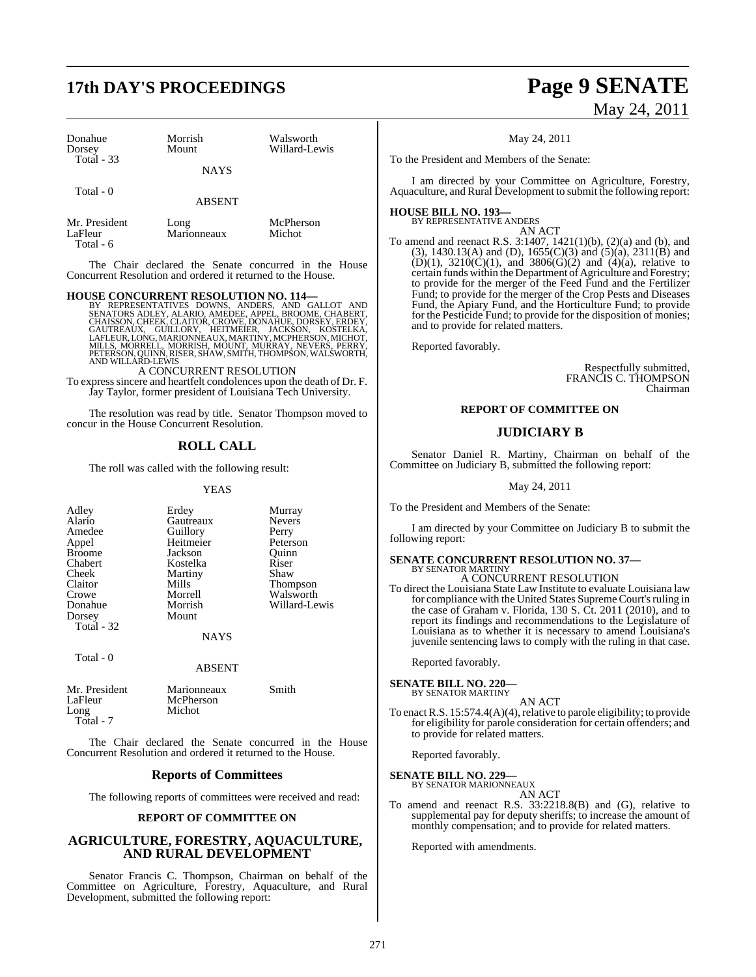# **17th DAY'S PROCEEDINGS Page 9 SENATE**

| Donahue       | Morrish       | Walsworth     |
|---------------|---------------|---------------|
| Dorsey        | Mount         | Willard-Lewis |
| Total $-33$   | <b>NAYS</b>   |               |
| Total - 0     | <b>ABSENT</b> |               |
| Mr. President | Long          | McPherson     |
| LaFleur       | Marionneaux   | Michot        |

Total - 6

The Chair declared the Senate concurred in the House Concurrent Resolution and ordered it returned to the House.

### **HOUSE CONCURRENT RESOLUTION NO. 114—**

BY REPRESENTATIVES DOWNS, ANDERS, AND GALLOT AND<br>SENATORS ADLEY, ALARIO, AMEDEE, APPEL, BROOME, CHABERT,<br>CHAISSON, CHEEK, CLAITOR, CROWE, DONAHUE, DORSEY, ERDEY,<br>GAUTREAUX, GUILLORY, HEITMEIER, JACKSON, KOSTELKA,<br>LAFLEUR,

A CONCURRENT RESOLUTION

To expresssincere and heartfelt condolences upon the death of Dr. F. Jay Taylor, former president of Louisiana Tech University.

The resolution was read by title. Senator Thompson moved to concur in the House Concurrent Resolution.

### **ROLL CALL**

The roll was called with the following result:

### YEAS

| Adley<br>Alario<br>Amedee<br>Appel<br><b>Broome</b><br>Chabert<br>Cheek<br>Claitor<br>Crowe | Erdey<br>Gautreaux<br>Guillory<br>Heitmeier<br>Jackson<br>Kostelka<br>Martiny<br>Mills<br>Morrell | Murray<br><b>Nevers</b><br>Perry<br>Peterson<br>Ouinn<br>Riser<br>Shaw<br><b>Thompson</b><br>Walsworth |
|---------------------------------------------------------------------------------------------|---------------------------------------------------------------------------------------------------|--------------------------------------------------------------------------------------------------------|
|                                                                                             |                                                                                                   |                                                                                                        |
| Donahue                                                                                     | Morrish                                                                                           | Willard-Lewis                                                                                          |
| Dorsey                                                                                      | Mount                                                                                             |                                                                                                        |
| Total $-32$                                                                                 | NAYS                                                                                              |                                                                                                        |

Total - 0

Mr. President Marionneaux Smith<br>
LaFleur McPherson LaFleur McPherson<br>Long Michot Michot Total - 7

The Chair declared the Senate concurred in the House Concurrent Resolution and ordered it returned to the House.

ABSENT

### **Reports of Committees**

The following reports of committees were received and read:

### **REPORT OF COMMITTEE ON**

### **AGRICULTURE, FORESTRY, AQUACULTURE, AND RURAL DEVELOPMENT**

Senator Francis C. Thompson, Chairman on behalf of the Committee on Agriculture, Forestry, Aquaculture, and Rural Development, submitted the following report:

# May 24, 2011

May 24, 2011

To the President and Members of the Senate:

I am directed by your Committee on Agriculture, Forestry, Aquaculture, and Rural Development to submit the following report:

### **HOUSE BILL NO. 193—** BY REPRESENTATIVE ANDERS

AN ACT

To amend and reenact R.S. 3:1407, 1421(1)(b), (2)(a) and (b), and (3), 1430.13(A) and (D), 1655(C)(3) and (5)(a), 2311(B) and  $(D)(1)$ ,  $3210(C)(1)$ , and  $3806(G)(2)$  and  $(4)(a)$ , relative to certain funds within the Department of Agriculture and Forestry; to provide for the merger of the Feed Fund and the Fertilizer Fund; to provide for the merger of the Crop Pests and Diseases Fund, the Apiary Fund, and the Horticulture Fund; to provide for the Pesticide Fund; to provide for the disposition of monies; and to provide for related matters.

Reported favorably.

Respectfully submitted, FRANCIS C. THOMPSON Chairman

### **REPORT OF COMMITTEE ON**

### **JUDICIARY B**

Senator Daniel R. Martiny, Chairman on behalf of the Committee on Judiciary B, submitted the following report:

May 24, 2011

To the President and Members of the Senate:

I am directed by your Committee on Judiciary B to submit the following report:

# **SENATE CONCURRENT RESOLUTION NO. 37—**

BY SENATOR MARTINY A CONCURRENT RESOLUTION

To direct the Louisiana State Law Institute to evaluate Louisiana law for compliance with the United States Supreme Court's ruling in the case of Graham v. Florida, 130 S. Ct. 2011 (2010), and to report its findings and recommendations to the Legislature of Louisiana as to whether it is necessary to amend Louisiana's juvenile sentencing laws to comply with the ruling in that case.

Reported favorably.

### **SENATE BILL NO. 220—** BY SENATOR MARTINY

- AN ACT
- To enact R.S.  $15:574.4(A)(4)$ , relative to parole eligibility; to provide for eligibility for parole consideration for certain offenders; and to provide for related matters.

Reported favorably.

# **SENATE BILL NO. 229—** BY SENATOR MARIONNEAUX

AN ACT

To amend and reenact R.S. 33:2218.8(B) and (G), relative to supplemental pay for deputy sheriffs; to increase the amount of monthly compensation; and to provide for related matters.

Reported with amendments.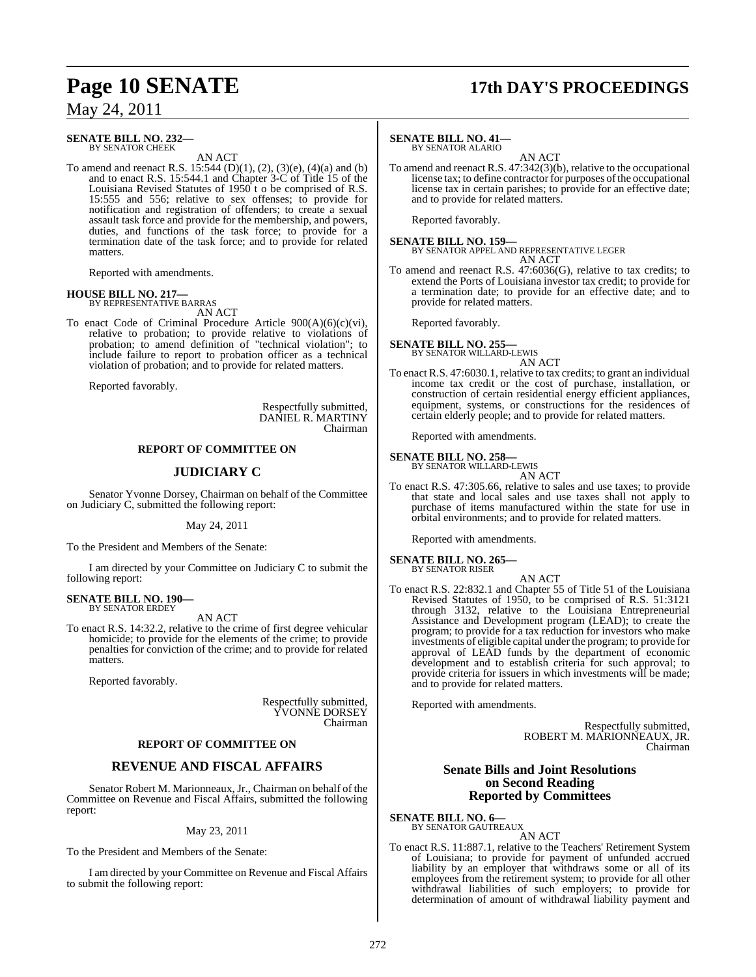# **Page 10 SENATE 17th DAY'S PROCEEDINGS**

May 24, 2011

### **SENATE BILL NO. 232—** BY SENATOR CHEEK

AN ACT

To amend and reenact R.S. 15:544 (D)(1), (2), (3)(e), (4)(a) and (b) and to enact R.S. 15:544.1 and Chapter 3-C of Title 15 of the Louisiana Revised Statutes of  $1950$ <sup>t</sup> t o be comprised of R.S. 15:555 and 556; relative to sex offenses; to provide for notification and registration of offenders; to create a sexual assault task force and provide for the membership, and powers, duties, and functions of the task force; to provide for a termination date of the task force; and to provide for related matters.

Reported with amendments.

### **HOUSE BILL NO. 217—**

BY REPRESENTATIVE BARRAS AN ACT

To enact Code of Criminal Procedure Article 900(A)(6)(c)(vi), relative to probation; to provide relative to violations of probation; to amend definition of "technical violation"; to include failure to report to probation officer as a technical violation of probation; and to provide for related matters.

Reported favorably.

Respectfully submitted, DANIEL R. MARTINY Chairman

### **REPORT OF COMMITTEE ON**

### **JUDICIARY C**

Senator Yvonne Dorsey, Chairman on behalf of the Committee on Judiciary C, submitted the following report:

### May 24, 2011

To the President and Members of the Senate:

I am directed by your Committee on Judiciary C to submit the following report:

### **SENATE BILL NO. 190—** BY SENATOR ERDEY

AN ACT

To enact R.S. 14:32.2, relative to the crime of first degree vehicular homicide; to provide for the elements of the crime; to provide penalties for conviction of the crime; and to provide for related matters.

Reported favorably.

Respectfully submitted, YVONNE DORSEY Chairman

### **REPORT OF COMMITTEE ON**

### **REVENUE AND FISCAL AFFAIRS**

Senator Robert M. Marionneaux, Jr., Chairman on behalf of the Committee on Revenue and Fiscal Affairs, submitted the following report:

May 23, 2011

To the President and Members of the Senate:

I am directed by your Committee on Revenue and Fiscal Affairs to submit the following report:

### **SENATE BILL NO. 41—**

BY SENATOR ALARIO

AN ACT To amend and reenact R.S. 47:342(3)(b), relative to the occupational license tax; to define contractor for purposes of the occupational license tax in certain parishes; to provide for an effective date; and to provide for related matters.

Reported favorably.

**SENATE BILL NO. 159—** BY SENATOR APPEL AND REPRESENTATIVE LEGER AN ACT

To amend and reenact R.S. 47:6036(G), relative to tax credits; to extend the Ports of Louisiana investor tax credit; to provide for a termination date; to provide for an effective date; and to provide for related matters.

Reported favorably.

### **SENATE BILL NO. 255—** BY SENATOR WILLARD-LEWIS

AN ACT

To enact R.S. 47:6030.1, relative to tax credits; to grant an individual income tax credit or the cost of purchase, installation, or construction of certain residential energy efficient appliances, equipment, systems, or constructions for the residences of certain elderly people; and to provide for related matters.

Reported with amendments.

# **SENATE BILL NO. 258—** BY SENATOR WILLARD-LEWIS

AN ACT

To enact R.S. 47:305.66, relative to sales and use taxes; to provide that state and local sales and use taxes shall not apply to purchase of items manufactured within the state for use in orbital environments; and to provide for related matters.

Reported with amendments.

### **SENATE BILL NO. 265—** BY SENATOR RISER

- AN ACT
- To enact R.S. 22:832.1 and Chapter 55 of Title 51 of the Louisiana Revised Statutes of 1950, to be comprised of R.S. 51:3121 through 3132, relative to the Louisiana Entrepreneurial Assistance and Development program (LEAD); to create the program; to provide for a tax reduction for investors who make investments of eligible capital under the program; to provide for approval of LEAD funds by the department of economic development and to establish criteria for such approval; to provide criteria for issuers in which investments will be made; and to provide for related matters.

Reported with amendments.

Respectfully submitted, ROBERT M. MARIONNEAUX, JR. Chairman

### **Senate Bills and Joint Resolutions on Second Reading Reported by Committees**

**SENATE BILL NO. 6—** BY SENATOR GAUTREAUX

AN ACT

To enact R.S. 11:887.1, relative to the Teachers' Retirement System of Louisiana; to provide for payment of unfunded accrued liability by an employer that withdraws some or all of its employees from the retirement system; to provide for all other withdrawal liabilities of such employers; to provide for determination of amount of withdrawal liability payment and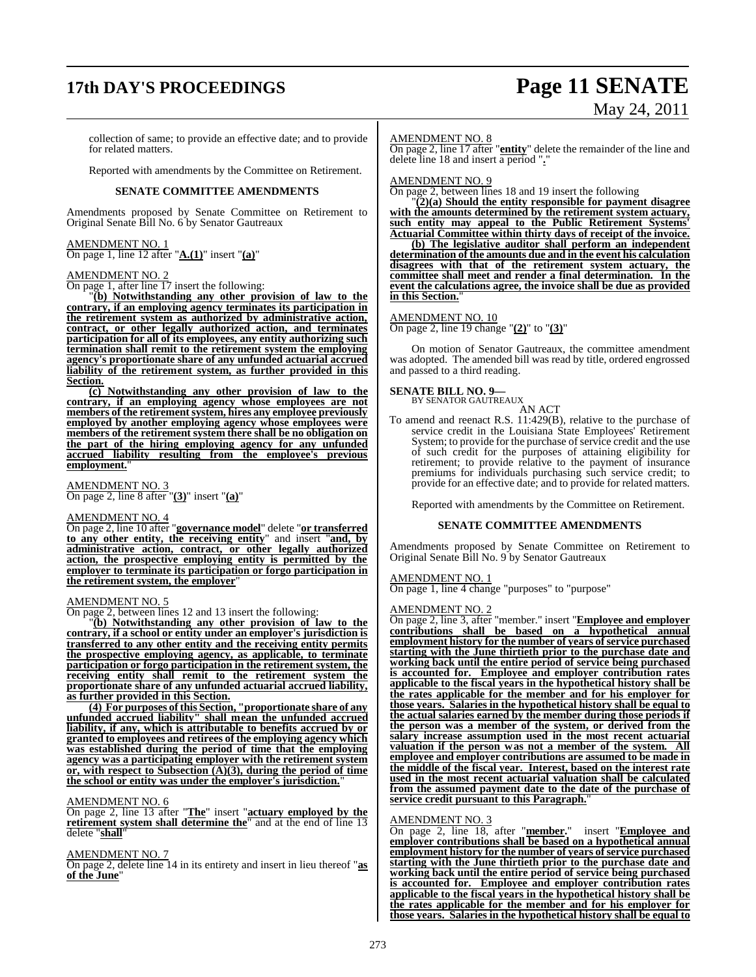# **17th DAY'S PROCEEDINGS Page 11 SENATE**

# May 24, 2011

collection of same; to provide an effective date; and to provide for related matters.

Reported with amendments by the Committee on Retirement.

### **SENATE COMMITTEE AMENDMENTS**

Amendments proposed by Senate Committee on Retirement to Original Senate Bill No. 6 by Senator Gautreaux

### AMENDMENT NO. 1 On page 1, line 12 after "**A.(1)**" insert "**(a)**"

### AMEND<u>MENT NO. 2</u>

On page 1, after line 17 insert the following:

"**(b) Notwithstanding any other provision of law to the contrary, if an employing agency terminates its participation in the retirement system as authorized by administrative action, contract, or other legally authorized action, and terminates participation for all of its employees, any entity authorizing such termination shall remit to the retirement system the employing agency's proportionate share of any unfunded actuarial accrued liability of the retirement system, as further provided in this Section.**

**(c) Notwithstanding any other provision of law to the contrary, if an employing agency whose employees are not members of the retirementsystem, hires any employee previously employed by another employing agency whose employees were members of the retirement system there shall be no obligation on the part of the hiring employing agency for any unfunded accrued liability resulting from the employee's previous employment.**"

## AMENDMENT NO. 3

On page 2, line 8 after "**(3)**" insert "**(a)**"

### AMENDMENT NO. 4

On page 2, line 10 after "**governance model**" delete "**or transferred to any other entity, the receiving entity**" and insert "**and, by administrative action, contract, or other legally authorized action, the prospective employing entity is permitted by the employer to terminate its participation or forgo participation in the retirement system, the employer**"

### AMENDMENT NO. 5

On page 2, between lines 12 and 13 insert the following:

"**(b) Notwithstanding any other provision of law to the contrary, if a school or entity under an employer's jurisdiction is transferred to any other entity and the receiving entity permits the prospective employing agency, as applicable, to terminate participation or forgo participation in the retirement system, the receiving entity shall remit to the retirement system the proportionate share of any unfunded actuarial accrued liability, as further provided in this Section.**

**(4) For purposes of this Section, "proportionate share of any unfunded accrued liability" shall mean the unfunded accrued liability, if any, which is attributable to benefits accrued by or granted to employees and retirees of the employing agency which was established during the period of time that the employing agency was a participating employer with the retirement system or, with respect to Subsection (A)(3), during the period of time the school or entity was under the employer's jurisdiction.**"

### AMENDMENT NO. 6

On page 2, line 13 after "**The**" insert "**actuary employed by the retirement** system shall determine the<sup>"</sup> and at the end of line 13 delete "**shall**"

### AMENDMENT NO. 7

On page 2, delete line 14 in its entirety and insert in lieu thereof "**as of the June**"

### AMENDMENT NO. 8

On page 2, line 17 after "**entity**" delete the remainder of the line and delete line 18 and insert a period "**.**"

### AMENDMENT NO. 9

On page 2, between lines 18 and 19 insert the following

"**(2)(a) Should the entity responsible for payment disagree with the amounts determined by the retirement system actuary, such entity may appeal to the Public Retirement Systems' Actuarial Committee within thirty days of receipt of the invoice.**

**(b) The legislative auditor shall perform an independent determination of the amounts due and in the event his calculation disagrees with that of the retirement system actuary, the committee shall meet and render a final determination. In the event the calculations agree, the invoice shall be due as provided in this Section.**"

### AMENDMENT NO. 10

On page 2, line 19 change "**(2)**" to "**(3)**"

On motion of Senator Gautreaux, the committee amendment was adopted. The amended bill was read by title, ordered engrossed and passed to a third reading.

### **SENATE BILL NO. 9—**

BY SENATOR GAUTREAUX

AN ACT To amend and reenact R.S. 11:429(B), relative to the purchase of service credit in the Louisiana State Employees' Retirement System; to provide for the purchase of service credit and the use of such credit for the purposes of attaining eligibility for retirement; to provide relative to the payment of insurance premiums for individuals purchasing such service credit; to provide for an effective date; and to provide for related matters.

Reported with amendments by the Committee on Retirement.

### **SENATE COMMITTEE AMENDMENTS**

Amendments proposed by Senate Committee on Retirement to Original Senate Bill No. 9 by Senator Gautreaux

### AMENDMENT NO. 1

On page 1, line 4 change "purposes" to "purpose"

### AMENDMENT NO. 2

On page 2, line 3, after "member." insert "**Employee and employer contributions shall be based on a hypothetical annual employment** history for the number of years of service purchased **starting with the June thirtieth prior to the purchase date and working back until the entire period of service being purchased is accounted for. Employee and employer contribution rates applicable to the fiscal years in the hypothetical history shall be the rates applicable for the member and for his employer for those years. Salaries in the hypothetical history shall be equal to the actual salaries earned by the member during those periods if the person was a member of the system, or derived from the salary increase assumption used in the most recent actuarial valuation if the person was not a member of the system. All employee and employer contributions are assumed to be made in the middle of the fiscal year. Interest, based on the interest rate used in the most recent actuarial valuation shall be calculated from the assumed payment date to the date of the purchase of service credit pursuant to this Paragraph.**"

### AMENDMENT NO. 3

On page 2, line 18, after "**member.**" insert "**Employee and employer contributions shall be based on a hypothetical annual employment history** for the number of years of service purchased **starting with the June thirtieth prior to the purchase date and working back until the entire period of service being purchased is accounted for. Employee and employer contribution rates applicable to the fiscal years in the hypothetical history shall be the rates applicable for the member and for his employer for those years. Salaries in the hypothetical history shall be equal to**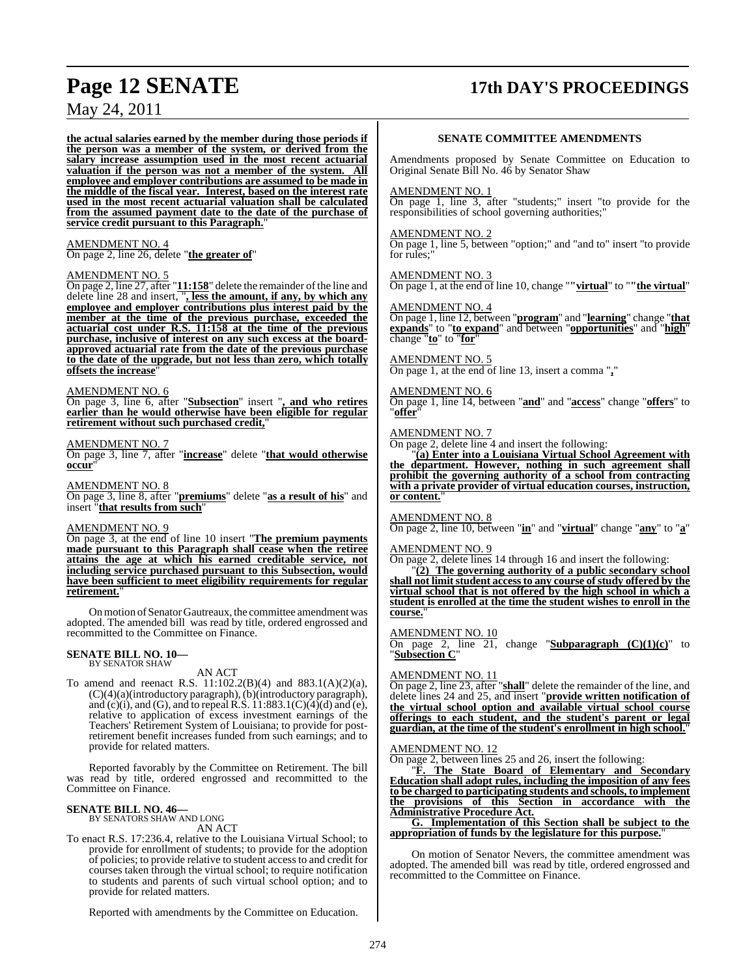# **Page 12 SENATE 17th DAY'S PROCEEDINGS**

May 24, 2011

**the actual salaries earned by the member during those periods if the person was a member of the system, or derived from the salary increase assumption used in the most recent actuarial valuation if the person was not a member of the system. All employee and employer contributions are assumed to be made in the middle of the fiscal year. Interest, based on the interest rate used in the most recent actuarial valuation shall be calculated from the assumed payment date to the date of the purchase of service credit pursuant to this Paragraph.**"

## AMENDMENT NO. 4

On page 2, line 26, delete "**the greater of**"

### AMENDMENT NO. 5

On page 2, line 27, after "11:158" delete the remainder of the line and delete line 28 and insert, "**, less the amount, if any, by which any employee and employer contributions plus interest paid by the member at the time of the previous purchase, exceeded the actuarial cost under R.S. 11:158 at the time of the previous purchase, inclusive of interest on any such excess at the boardapproved actuarial rate from the date of the previous purchase to the date of the upgrade, but not less than zero, which totally offsets** the increase

### AMENDMENT NO. 6

On page 3, line 6, after "**Subsection**" insert "**, and who retires earlier than he would otherwise have been eligible for regular retirement without such purchased credit,**"

### AMENDMENT NO. 7

On page 3, line 7, after "**increase**" delete "**that would otherwise occur**"

AMENDMENT NO. 8

On page 3, line 8, after "**premiums**" delete "**as a result of his**" and insert "**that results from such**"

### AMENDMENT NO. 9

On page 3, at the end of line 10 insert "**The premium payments made pursuant to this Paragraph shall cease when the retiree attains the age at which his earned creditable service, not including service purchased pursuant to this Subsection, would have been sufficient to meet eligibility requirements for regular retirement.**"

On motion of Senator Gautreaux, the committee amendment was adopted. The amended bill was read by title, ordered engrossed and recommitted to the Committee on Finance.

### **SENATE BILL NO. 10—** BY SENATOR SHAW

AN ACT

To amend and reenact R.S. 11:102.2(B)(4) and 883.1(A)(2)(a),  $(C)(4)(a)$ (introductory paragraph),  $(b)$ (introductory paragraph), and  $(c)(i)$ , and  $(G)$ , and to repeal  $R.S. 11:883.1(C)(4)(d)$  and  $(e)$ , relative to application of excess investment earnings of the Teachers' Retirement System of Louisiana; to provide for postretirement benefit increases funded from such earnings; and to provide for related matters.

Reported favorably by the Committee on Retirement. The bill was read by title, ordered engrossed and recommitted to the Committee on Finance.

# **SENATE BILL NO. 46—** BY SENATORS SHAW AND LONG

AN ACT

To enact R.S. 17:236.4, relative to the Louisiana Virtual School; to provide for enrollment of students; to provide for the adoption of policies; to provide relative to student accessto and credit for courses taken through the virtual school; to require notification to students and parents of such virtual school option; and to provide for related matters.

Reported with amendments by the Committee on Education.

### **SENATE COMMITTEE AMENDMENTS**

Amendments proposed by Senate Committee on Education to Original Senate Bill No. 46 by Senator Shaw

### AMENDMENT NO. 1

On page 1, line 3, after "students;" insert "to provide for the responsibilities of school governing authorities;"

### AMENDMENT NO. 2

On page 1, line 5, between "option;" and "and to" insert "to provide for rules:'

### AMENDMENT NO. 3

On page 1, at the end of line 10, change "**"virtual**" to "**"the virtual**"

### AMENDMENT NO. 4

On page 1, line 12, between "**program**" and "**learning**" change "**that expands**" to "**to expand**" and between "**opportunities**" and "**high**" change "**to**" to "**for**"

### AMENDMENT NO. 5

On page 1, at the end of line 13, insert a comma "**,**"

### AMENDMENT NO. 6

On page 1, line 14, between "**and**" and "**access**" change "**offers**" to "**offer**"

### AMENDMENT NO. 7

On page 2, delete line 4 and insert the following:

"**(a) Enter into a Louisiana Virtual School Agreement with the department. However, nothing in such agreement shall prohibit the governing authority of a school from contracting with a private provider of virtual education courses, instruction,** or content.

### AMENDMENT NO. 8

On page 2, line 10, between "**in**" and "**virtual**" change "**any**" to "**a**"

### AMENDMENT NO. 9

On page 2, delete lines 14 through 16 and insert the following:

"**(2) The governing authority of a public secondary school shall not limitstudent accessto any course ofstudy offered by the virtual school that is not offered by the high school in which a student is enrolled at the time the student wishes to enroll in the course.**"

### AMENDMENT NO. 10

On page 2, line 21, change "**Subparagraph (C)(1)(c)**" to "**Subsection C**"

### AMENDMENT NO. 11

On page 2, line 23, after "**shall**" delete the remainder of the line, and delete lines 24 and 25, and insert "**provide written notification of the virtual school option and available virtual school course offerings to each student, and the student's parent or legal guardian, at the time of the student's enrollment in high school.**"

### AMENDMENT NO. 12

On page 2, between lines 25 and 26, insert the following:

"**F. The State Board of Elementary and Secondary Education shall adopt rules, including the imposition of any fees to be charged to participating students and schools, to implement the provisions of this Section in accordance with the Administrative Procedure Act.**

**G. Implementation of this Section shall be subject to the appropriation of funds by the legislature for this purpose.**"

On motion of Senator Nevers, the committee amendment was adopted. The amended bill was read by title, ordered engrossed and recommitted to the Committee on Finance.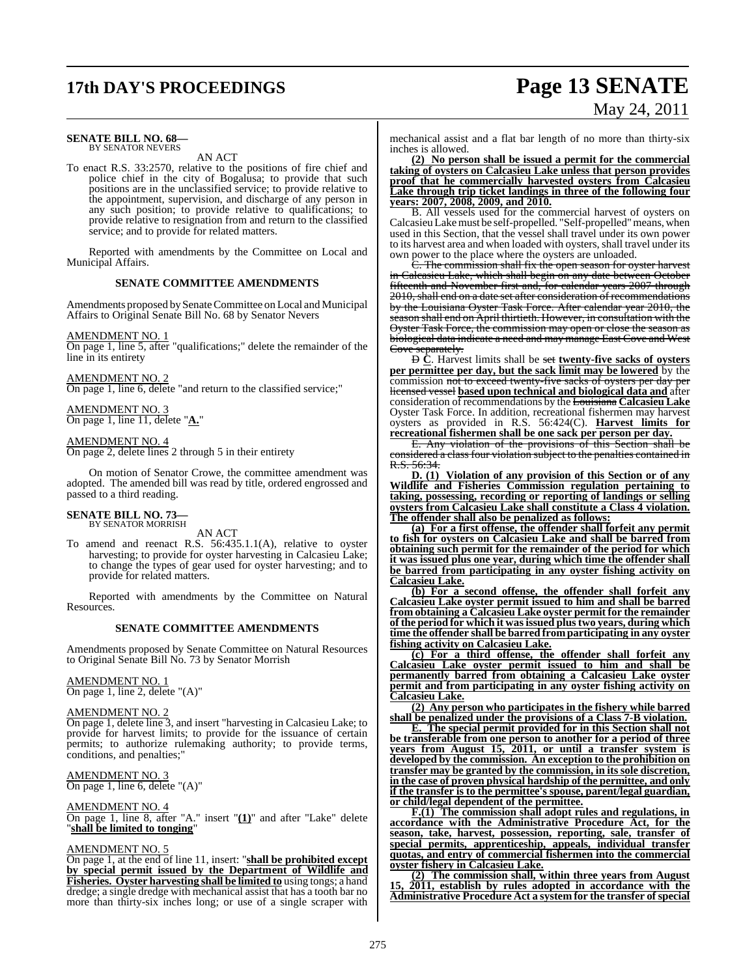# **17th DAY'S PROCEEDINGS Page 13 SENATE** May 24, 2011

### **SENATE BILL NO. 68—** BY SENATOR NEVERS

AN ACT

To enact R.S. 33:2570, relative to the positions of fire chief and police chief in the city of Bogalusa; to provide that such positions are in the unclassified service; to provide relative to the appointment, supervision, and discharge of any person in any such position; to provide relative to qualifications; to provide relative to resignation from and return to the classified service; and to provide for related matters.

Reported with amendments by the Committee on Local and Municipal Affairs.

### **SENATE COMMITTEE AMENDMENTS**

Amendments proposed by Senate Committee on Local and Municipal Affairs to Original Senate Bill No. 68 by Senator Nevers

### AMENDMENT NO. 1

On page 1, line 5, after "qualifications;" delete the remainder of the line in its entirety

### AMENDMENT NO. 2

On page 1, line 6, delete "and return to the classified service;"

### AMENDMENT NO. 3 On page 1, line 11, delete "**A.**"

### AMENDMENT NO. 4

On page 2, delete lines 2 through 5 in their entirety

On motion of Senator Crowe, the committee amendment was adopted. The amended bill was read by title, ordered engrossed and passed to a third reading.

### **SENATE BILL NO. 73—** BY SENATOR MORRISH

### AN ACT

To amend and reenact R.S. 56:435.1.1(A), relative to oyster harvesting; to provide for oyster harvesting in Calcasieu Lake; to change the types of gear used for oyster harvesting; and to provide for related matters.

Reported with amendments by the Committee on Natural Resources.

### **SENATE COMMITTEE AMENDMENTS**

Amendments proposed by Senate Committee on Natural Resources to Original Senate Bill No. 73 by Senator Morrish

### AMENDMENT NO. 1

On page 1, line 2, delete "(A)"

### AMENDMENT NO. 2

On page 1, delete line 3, and insert "harvesting in Calcasieu Lake; to provide for harvest limits; to provide for the issuance of certain permits; to authorize rulemaking authority; to provide terms, conditions, and penalties;

### AMENDMENT NO. 3

On page 1, line 6, delete "(A)"

### AMENDMENT NO. 4

On page 1, line 8, after "A." insert "**(1)**" and after "Lake" delete "**shall be limited to tonging**"

### AMENDMENT NO. 5

On page 1, at the end of line 11, insert: "**shall be prohibited except by special permit issued by the Department of Wildlife and Fisheries. Oyster harvesting shall be limited to** using tongs; a hand dredge; a single dredge with mechanical assist that has a tooth bar no more than thirty-six inches long; or use of a single scraper with

mechanical assist and a flat bar length of no more than thirty-six inches is allowed.

**(2) No person shall be issued a permit for the commercial taking of oysters on Calcasieu Lake unless that person provides proof that he commercially harvested oysters from Calcasieu Lake through trip ticket landings in three of the following four years: 2007, 2008, 2009, and 2010.**

B. All vessels used for the commercial harvest of oysters on Calcasieu Lake must be self-propelled. "Self-propelled" means, when used in this Section, that the vessel shall travel under its own power to its harvest area and when loaded with oysters, shall travel under its own power to the place where the oysters are unloaded.

C. The commission shall fix the open season for oyster harvest in Calcasieu Lake, which shall begin on any date between October fifteenth and November first and, for calendar years 2007 through 2010, shall end on a date set after consideration of recommendations by the Louisiana Oyster Task Force. After calendar year 2010, the season shall end on April thirtieth. However, in consultation with the Oyster Task Force, the commission may open or close the season as biological data indicate a need and may manage East Cove and West Cove separately.

D **C**. Harvest limits shall be set **twenty-five sacks of oysters per permittee per day, but the sack limit may be lowered** by the commission not to exceed twenty-five sacks of oysters per day licensed vessel **based upon technical and biological data and** after consideration of recommendations by the Louisiana **Calcasieu Lake** Oyster Task Force. In addition, recreational fishermen may harvest oysters as provided in R.S. 56:424(C). **Harvest limits for recreational fishermen shall be one sack per person per day.**

E. Any violation of the provisions of this Section shall be considered a class four violation subject to the penalties contained in R.S. 56:34.

**D. (1) Violation of any provision of this Section or of any Wildlife and Fisheries Commission regulation pertaining to taking, possessing, recording or reporting of landings or selling oysters from Calcasieu Lake shall constitute a Class 4 violation. The offender shall also be penalized as follows:**

**(a) For a first offense, the offender shall forfeit any permit to fish for oysters on Calcasieu Lake and shall be barred from obtaining such permit for the remainder of the period for which it was issued plus one year, during which time the offender shall be barred from participating in any oyster fishing activity on Calcasieu Lake.**

**(b) For a second offense, the offender shall forfeit any Calcasieu Lake oyster permit issued to him and shall be barred from obtaining a Calcasieu Lake oyster permit for the remainder of the period for which it wasissued plustwo years, during which time the offender shall be barred from participating in any oyster fishing activity on Calcasieu Lake.**

**(c) For a third offense, the offender shall forfeit any Calcasieu Lake oyster permit issued to him and shall be permanently barred from obtaining a Calcasieu Lake oyster permit and from participating in any oyster fishing activity on Calcasieu Lake.**

**(2) Any person who participates in the fishery while barred shall be penalized under the provisions of a Class 7-B violation.**

**E. The special permit provided for in this Section shall not be transferable from one person to another for a period of three years from August 15, 2011, or until a transfer system is developed by the commission. An exception to the prohibition on transfer may be granted by the commission, in its sole discretion, in the case of proven physical hardship of the permittee, and only if the transfer is to the permittee's spouse, parent/legal guardian, or child/legal dependent of the permittee.**

**F.(1) The commission shall adopt rules and regulations, in accordance with the Administrative Procedure Act, for the season, take, harvest, possession, reporting, sale, transfer of special permits, apprenticeship, appeals, individual transfer quotas, and entry of commercial fishermen into the commercial oyster fishery in Calcasieu Lake.**

**(2) The commission shall, within three years from August 15, 2011, establish by rules adopted in accordance with the Administrative Procedure Act a system for the transfer ofspecial**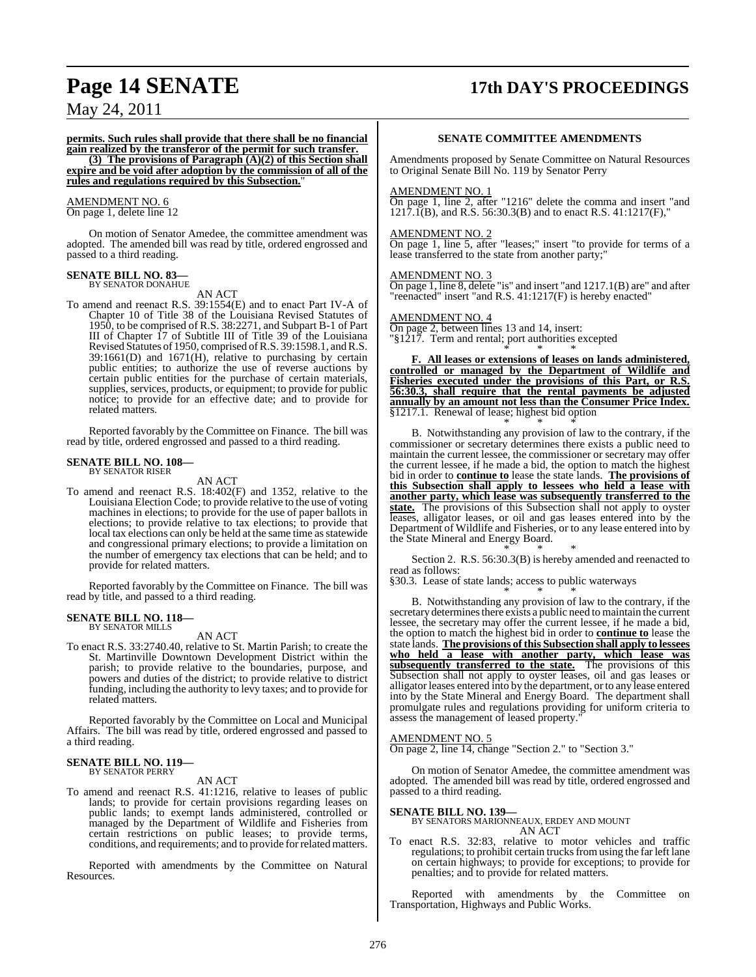# **Page 14 SENATE 17th DAY'S PROCEEDINGS**

May 24, 2011

**permits. Such rules shall provide that there shall be no financial gain realized by the transferor of the permit for such transfer.**

**(3) The provisions of Paragraph (A)(2) of this Section shall expire and be void after adoption by the commission of all of the rules and regulations required by this Subsection.**"

### AMENDMENT NO. 6

On page 1, delete line 12

On motion of Senator Amedee, the committee amendment was adopted. The amended bill was read by title, ordered engrossed and passed to a third reading.

### **SENATE BILL NO. 83—**

BY SENATOR DONAHUE

AN ACT

To amend and reenact R.S. 39:1554(E) and to enact Part IV-A of Chapter 10 of Title 38 of the Louisiana Revised Statutes of 1950, to be comprised of R.S. 38:2271, and Subpart B-1 of Part III of Chapter 17 of Subtitle III of Title 39 of the Louisiana Revised Statutes of 1950, comprised of R.S. 39:1598.1, and R.S.  $39:1661(D)$  and  $1671(H)$ , relative to purchasing by certain public entities; to authorize the use of reverse auctions by certain public entities for the purchase of certain materials, supplies, services, products, or equipment; to provide for public notice; to provide for an effective date; and to provide for related matters.

Reported favorably by the Committee on Finance. The bill was read by title, ordered engrossed and passed to a third reading.

### **SENATE BILL NO. 108—** BY SENATOR RISER

AN ACT

To amend and reenact R.S. 18:402(F) and 1352, relative to the Louisiana Election Code; to provide relative to the use of voting machines in elections; to provide for the use of paper ballots in elections; to provide relative to tax elections; to provide that local tax elections can only be held at the same time as statewide and congressional primary elections; to provide a limitation on the number of emergency tax elections that can be held; and to provide for related matters.

Reported favorably by the Committee on Finance. The bill was read by title, and passed to a third reading.

### **SENATE BILL NO. 118—** BY SENATOR MILLS

### AN ACT

To enact R.S. 33:2740.40, relative to St. Martin Parish; to create the St. Martinville Downtown Development District within the parish; to provide relative to the boundaries, purpose, and powers and duties of the district; to provide relative to district funding, including the authority to levy taxes; and to provide for related matters.

Reported favorably by the Committee on Local and Municipal Affairs. The bill was read by title, ordered engrossed and passed to a third reading.

### **SENATE BILL NO. 119—** BY SENATOR PERRY

### AN ACT

To amend and reenact R.S. 41:1216, relative to leases of public lands; to provide for certain provisions regarding leases on public lands; to exempt lands administered, controlled or managed by the Department of Wildlife and Fisheries from certain restrictions on public leases; to provide terms, conditions, and requirements; and to provide forrelated matters.

Reported with amendments by the Committee on Natural Resources.

### **SENATE COMMITTEE AMENDMENTS**

Amendments proposed by Senate Committee on Natural Resources to Original Senate Bill No. 119 by Senator Perry

### AMENDMENT NO. 1

On page 1, line 2, after "1216" delete the comma and insert "and 1217.1(B), and R.S. 56:30.3(B) and to enact R.S. 41:1217(F),"

### AMENDMENT NO. 2

On page 1, line 5, after "leases;" insert "to provide for terms of a lease transferred to the state from another party;"

### AMENDMENT NO. 3

On page 1, line 8, delete "is" and insert "and 1217.1(B) are" and after "reenacted" insert "and R.S. 41:1217(F) is hereby enacted"

### AMENDMENT NO. 4

On page 2, between lines 13 and 14, insert: "§1217. Term and rental; port authorities excepted

\* \* \* **F. All leases or extensions of leases on lands administered, controlled or managed by the Department of Wildlife and Fisheries executed under the provisions of this Part, or R.S. 56:30.3, shall require that the rental payments be adjusted annually by an amount not less than the Consumer Price Index.** §1217.1. Renewal of lease; highest bid option \* \* \*

B. Notwithstanding any provision of law to the contrary, if the commissioner or secretary determines there exists a public need to maintain the current lessee, the commissioner or secretary may offer the current lessee, if he made a bid, the option to match the highest bid in order to **continue to** lease the state lands. **The provisions of this Subsection shall apply to lessees who held a lease with another party, which lease was subsequently transferred to the state.** The provisions of this Subsection shall not apply to oyster leases, alligator leases, or oil and gas leases entered into by the Department of Wildlife and Fisheries, or to any lease entered into by the State Mineral and Energy Board.

\* \* \* Section 2. R.S. 56:30.3(B) is hereby amended and reenacted to read as follows:

§30.3. Lease of state lands; access to public waterways \* \* \*

B. Notwithstanding any provision of law to the contrary, if the secretary determines there exists a public need to maintain the current lessee, the secretary may offer the current lessee, if he made a bid, the option to match the highest bid in order to **continue to** lease the state lands. **The provisions of this Subsection shall apply to lessees who held a lease with another party, which lease was subsequently transferred to the state.** The provisions of this Subsection shall not apply to oyster leases, oil and gas leases or alligator leases entered into by the department, or to any lease entered into by the State Mineral and Energy Board. The department shall promulgate rules and regulations providing for uniform criteria to assess the management of leased property."

### AMENDMENT NO. 5

On page 2, line 14, change "Section 2." to "Section 3."

On motion of Senator Amedee, the committee amendment was adopted. The amended bill was read by title, ordered engrossed and passed to a third reading.

### **SENATE BILL NO. 139—** BY SENATORS MARIONNEAUX, ERDEY AND MOUNT AN ACT

To enact R.S. 32:83, relative to motor vehicles and traffic regulations; to prohibit certain trucks from using the far left lane on certain highways; to provide for exceptions; to provide for penalties; and to provide for related matters.

Reported with amendments by the Committee on Transportation, Highways and Public Works.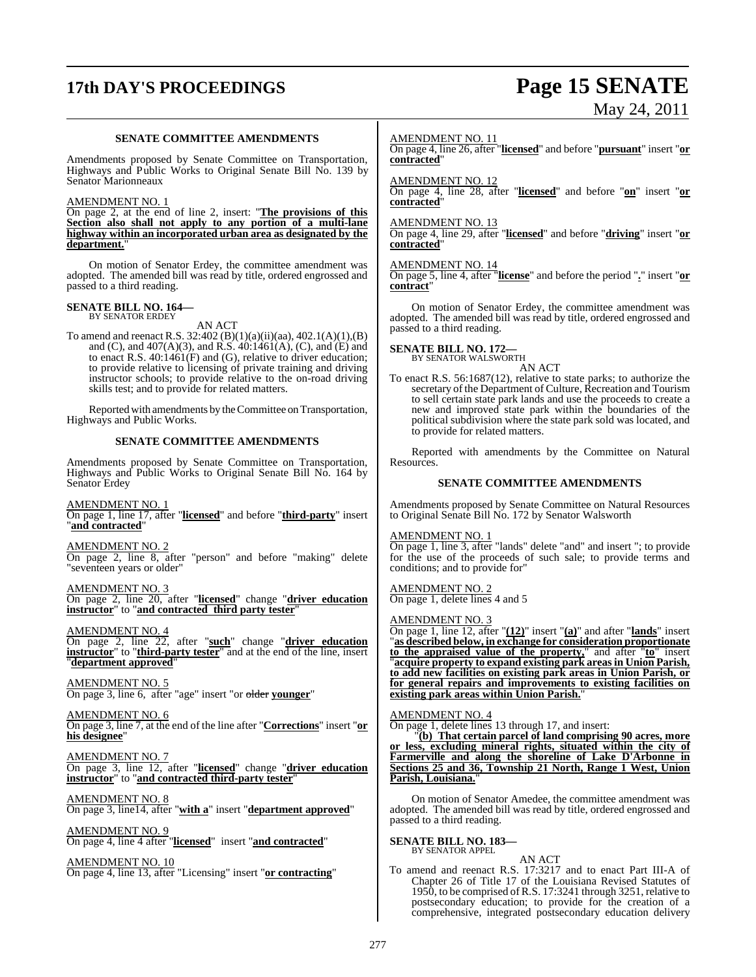# **17th DAY'S PROCEEDINGS Page 15 SENATE**

# May 24, 2011

### **SENATE COMMITTEE AMENDMENTS**

Amendments proposed by Senate Committee on Transportation, Highways and Public Works to Original Senate Bill No. 139 by Senator Marionneaux

### AMENDMENT NO. 1

On page 2, at the end of line 2, insert: "**The provisions of this Section also shall not apply to any portion of a multi-lane highway within an incorporated urban area as designated by the department.**"

On motion of Senator Erdey, the committee amendment was adopted. The amended bill was read by title, ordered engrossed and passed to a third reading.

# **SENATE BILL NO. 164—** BY SENATOR ERDEY

AN ACT

To amend and reenact R.S. 32:402 (B)(1)(a)(ii)(aa), 402.1(A)(1),(B) and (C), and 407(A)(3), and R.S. 40:1461(A), (C), and (E) and to enact R.S.  $40:1461(F)$  and (G), relative to driver education; to provide relative to licensing of private training and driving instructor schools; to provide relative to the on-road driving skills test; and to provide for related matters.

Reported with amendments by the Committee on Transportation, Highways and Public Works.

### **SENATE COMMITTEE AMENDMENTS**

Amendments proposed by Senate Committee on Transportation, Highways and Public Works to Original Senate Bill No. 164 by Senator Erdey

AMENDMENT NO. 1 On page 1, line 17, after "**licensed**" and before "**third-party**" insert "**and contracted**"

AMENDMENT NO. 2 On page 2, line 8, after "person" and before "making" delete "seventeen years or older"

AMENDMENT NO. 3 On page 2, line 20, after "**licensed**" change "**driver education instructor**" to "**and contracted third party tester**"

AMENDMENT NO. 4 On page 2, line 22, after "**such**" change "**driver education instructor**" to "**third-party tester**" and at the end of the line, insert "**department approved**"

AMENDMENT NO. 5 On page 3, line 6, after "age" insert "or older **younger**"

AMENDMENT NO. 6 On page 3, line 7, at the end of the line after "**Corrections**" insert "**or his designee**"

AMENDMENT NO. 7 On page 3, line 12, after "**licensed**" change "**driver education instructor**" to "**and contracted third-party tester**"

AMENDMENT NO. 8 On page 3, line14, after "**with a**" insert "**department approved**"

AMENDMENT NO. 9 On page 4, line 4 after "**licensed**" insert "**and contracted**"

AMENDMENT NO. 10

On page 4, line 13, after "Licensing" insert "**or contracting**"

### AMENDMENT NO. 11

On page 4, line 26, after "**licensed**" and before "**pursuant**" insert "**or contracted**"

### AMENDMENT NO. 12

On page 4, line 28, after "**licensed**" and before "**on**" insert "**or contracted**"

### AMENDMENT NO. 13

On page 4, line 29, after "**licensed**" and before "**driving**" insert "**or contracted**"

### AMENDMENT NO. 14

On page 5, line 4, after "**license**" and before the period "**.**" insert "**or contract**"

On motion of Senator Erdey, the committee amendment was adopted. The amended bill was read by title, ordered engrossed and passed to a third reading.

# **SENATE BILL NO. 172—** BY SENATOR WALSWORTH

AN ACT

To enact R.S. 56:1687(12), relative to state parks; to authorize the secretary of the Department of Culture, Recreation and Tourism to sell certain state park lands and use the proceeds to create a new and improved state park within the boundaries of the political subdivision where the state park sold was located, and to provide for related matters.

Reported with amendments by the Committee on Natural Resources.

### **SENATE COMMITTEE AMENDMENTS**

Amendments proposed by Senate Committee on Natural Resources to Original Senate Bill No. 172 by Senator Walsworth

### AMENDMENT NO. 1

On page 1, line 3, after "lands" delete "and" and insert "; to provide for the use of the proceeds of such sale; to provide terms and conditions; and to provide for"

AMENDMENT NO. 2 On page 1, delete lines 4 and 5

### AMENDMENT NO. 3

On page 1, line 12, after "**(12)**" insert "**(a)**" and after "**lands**" insert "**as described below, in exchange for consideration proportionate to the appraised value of the property,**" and after "**to**" insert "**acquire property to expand existing park areas in Union Parish, to add new facilities on existing park areas in Union Parish, or for general repairs and improvements to existing facilities on existing park areas within Union Parish.**"

### AMENDMENT NO. 4

On page 1, delete lines 13 through 17, and insert:

 "**(b) That certain parcel of land comprising 90 acres, more or less, excluding mineral rights, situated within the city of Farmerville and along the shoreline of Lake D'Arbonne in Sections 25 and 36, Township 21 North, Range 1 West, Union Parish, Louisiana.**"

On motion of Senator Amedee, the committee amendment was adopted. The amended bill was read by title, ordered engrossed and passed to a third reading.

### **SENATE BILL NO. 183—** BY SENATOR APPEL

### AN ACT

To amend and reenact R.S. 17:3217 and to enact Part III-A of Chapter 26 of Title 17 of the Louisiana Revised Statutes of 1950, to be comprised ofR.S. 17:3241 through 3251, relative to postsecondary education; to provide for the creation of a comprehensive, integrated postsecondary education delivery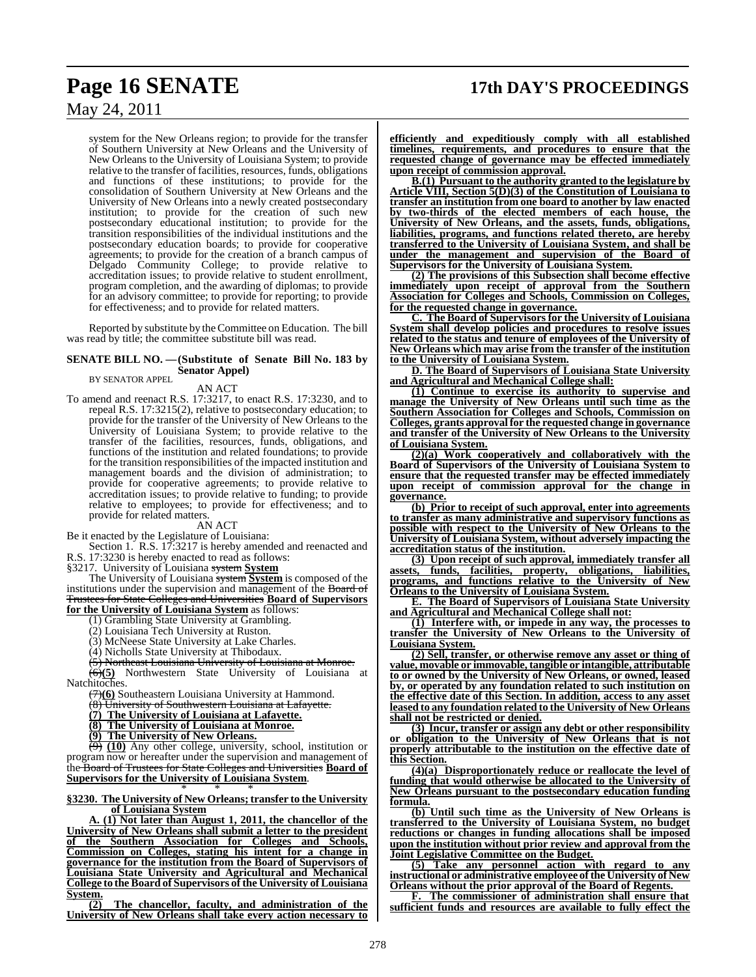system for the New Orleans region; to provide for the transfer of Southern University at New Orleans and the University of New Orleans to the University of Louisiana System; to provide relative to the transfer of facilities, resources, funds, obligations and functions of these institutions; to provide for the consolidation of Southern University at New Orleans and the University of New Orleans into a newly created postsecondary institution; to provide for the creation of such new postsecondary educational institution; to provide for the transition responsibilities of the individual institutions and the postsecondary education boards; to provide for cooperative agreements; to provide for the creation of a branch campus of Delgado Community College; to provide relative to accreditation issues; to provide relative to student enrollment, program completion, and the awarding of diplomas; to provide for an advisory committee; to provide for reporting; to provide for effectiveness; and to provide for related matters.

Reported by substitute by theCommittee on Education. The bill was read by title; the committee substitute bill was read.

### **SENATE BILL NO. —(Substitute of Senate Bill No. 183 by Senator Appel)**

BY SENATOR APPEL

AN ACT

To amend and reenact R.S. 17:3217, to enact R.S. 17:3230, and to repeal R.S. 17:3215(2), relative to postsecondary education; to provide for the transfer of the University of New Orleans to the University of Louisiana System; to provide relative to the transfer of the facilities, resources, funds, obligations, and functions of the institution and related foundations; to provide for the transition responsibilities of the impacted institution and management boards and the division of administration; to provide for cooperative agreements; to provide relative to accreditation issues; to provide relative to funding; to provide relative to employees; to provide for effectiveness; and to provide for related matters.

### AN ACT

Be it enacted by the Legislature of Louisiana:

Section 1. R.S. 17:3217 is hereby amended and reenacted and R.S. 17:3230 is hereby enacted to read as follows:

§3217. University of Louisiana system **System**

The University of Louisiana system **System** is composed of the institutions under the supervision and management of the Board of Trustees for State Colleges and Universities **Board of Supervisors for the University of Louisiana System** as follows:

(1) Grambling State University at Grambling.

(2) Louisiana Tech University at Ruston.

(3) McNeese State University at Lake Charles.

(4) Nicholls State University at Thibodaux.

(5) Northeast Louisiana University of Louisiana at Monroe.

(6)**(5)** Northwestern State University of Louisiana at Natchitoches.

(7)**(6)** Southeastern Louisiana University at Hammond.

University of Southwestern Louisiana at Lafayette.

**(7) The University of Louisiana at Lafayette.**

**(8) The University of Louisiana at Monroe.**

**(9) The University of New Orleans.**

(9) **(10)** Any other college, university, school, institution or program now or hereafter under the supervision and management of the Board of Trustees for State Colleges and Universities **Board of Supervisors for the University of Louisiana System**. \* \* \*

### **§3230. The University of New Orleans; transfer to the University of Louisiana System**

**A. (1) Not later than August 1, 2011, the chancellor of the University of New Orleans shall submit a letter to the president of the Southern Association for Colleges and Schools, Commission on Colleges, stating his intent for a change in governance for the institution from the Board of Supervisors of Louisiana State University and Agricultural and Mechanical College to the Board of Supervisors of the University ofLouisiana System.**

**(2) The chancellor, faculty, and administration of the University of New Orleans shall take every action necessary to** **efficiently and expeditiously comply with all established timelines, requirements, and procedures to ensure that the requested change of governance may be effected immediately upon receipt of commission approval.**

**B.(1) Pursuant to the authority granted to the legislature by Article VIII, Section 5(D)(3) of the Constitution of Louisiana to transfer an institution from one board to another by law enacted by two-thirds of the elected members of each house, the University of New Orleans, and the assets, funds, obligations, liabilities, programs, and functions related thereto, are hereby transferred to the University of Louisiana System, and shall be under the management and supervision of the Board of Supervisors for the University of Louisiana System.**

**(2) The provisions of this Subsection shall become effective immediately upon receipt of approval from the Southern Association for Colleges and Schools, Commission on Colleges, for the requested change in governance.**

**C. The Board of Supervisors for the University of Louisiana System shall develop policies and procedures to resolve issues related to the status and tenure of employees of the University of New Orleans which may arise from the transfer of the institution to the University of Louisiana System.**

**D. The Board of Supervisors of Louisiana State University and Agricultural and Mechanical College shall:**

**(1) Continue to exercise its authority to supervise and manage the University of New Orleans until such time as the Southern Association for Colleges and Schools, Commission on Colleges, grants approvalfor the requested change in governance and transfer of the University of New Orleans to the University of Louisiana System.**

**(2)(a) Work cooperatively and collaboratively with the Board of Supervisors of the University of Louisiana System to ensure that the requested transfer may be effected immediately upon receipt of commission approval for the change in governance.**

**(b) Prior to receipt of such approval, enter into agreements to transfer as many administrative and supervisory functions as possible with respect to the University of New Orleans to the University of Louisiana System, without adversely impacting the accreditation status of the institution.**

**(3) Upon receipt of such approval, immediately transfer all assets, funds, facilities, property, obligations, liabilities, programs, and functions relative to the University of New Orleans to the University of Louisiana System.**

**E. The Board of Supervisors of Louisiana State University and Agricultural and Mechanical College shall not:**

**(1) Interfere with, or impede in any way, the processes to transfer the University of New Orleans to the University of Louisiana System.**

**(2) Sell, transfer, or otherwise remove any asset or thing of value, movable or immovable, tangible or intangible, attributable to or owned by the University of New Orleans, or owned, leased by, or operated by any foundation related to such institution on the effective date of this Section. In addition, access to any asset leased to any foundation related to the University of New Orleans shall not be restricted or denied.**

**(3) Incur, transfer or assign any debt or other responsibility or obligation to the University of New Orleans that is not properly attributable to the institution on the effective date of this Section.**

**(4)(a) Disproportionately reduce or reallocate the level of funding that would otherwise be allocated to the University of New Orleans pursuant to the postsecondary education funding formula.**

**(b) Until such time as the University of New Orleans is transferred to the University of Louisiana System, no budget reductions or changes in funding allocations shall be imposed upon the institution without prior review and approval from the Joint Legislative Committee on the Budget.**

**(5) Take any personnel action with regard to any instructional or administrative employee ofthe University of New Orleans without the prior approval of the Board of Regents.**

**F. The commissioner of administration shall ensure that sufficient funds and resources are available to fully effect the**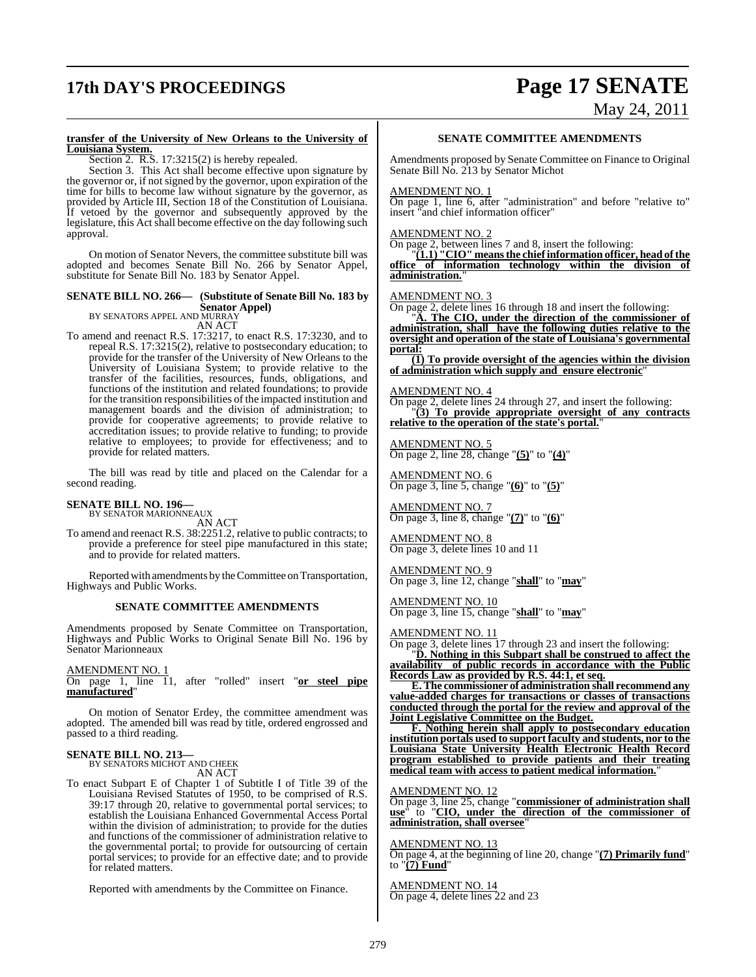# **17th DAY'S PROCEEDINGS Page 17 SENATE**

# May 24, 2011

### **transfer of the University of New Orleans to the University of Louisiana System.**

Section 2. R.S. 17:3215(2) is hereby repealed.

Section 3. This Act shall become effective upon signature by the governor or, if not signed by the governor, upon expiration of the time for bills to become law without signature by the governor, as provided by Article III, Section 18 of the Constitution of Louisiana. If vetoed by the governor and subsequently approved by the legislature, this Act shall become effective on the day following such approval.

On motion of Senator Nevers, the committee substitute bill was adopted and becomes Senate Bill No. 266 by Senator Appel, substitute for Senate Bill No. 183 by Senator Appel.

### **SENATE BILL NO. 266— (Substitute of Senate Bill No. 183 by Senator Appel)** BY SENATORS APPEL AND MURRAY

AN ACT

To amend and reenact R.S. 17:3217, to enact R.S. 17:3230, and to repeal R.S. 17:3215(2), relative to postsecondary education; to provide for the transfer of the University of New Orleans to the University of Louisiana System; to provide relative to the transfer of the facilities, resources, funds, obligations, and functions of the institution and related foundations; to provide for the transition responsibilities of the impacted institution and management boards and the division of administration; to provide for cooperative agreements; to provide relative to accreditation issues; to provide relative to funding; to provide relative to employees; to provide for effectiveness; and to provide for related matters.

The bill was read by title and placed on the Calendar for a second reading.

### **SENATE BILL NO. 196—** BY SENATOR MARIONNEAUX

AN ACT

To amend and reenact R.S. 38:2251.2, relative to public contracts; to provide a preference for steel pipe manufactured in this state; and to provide for related matters.

Reported with amendments by the Committee on Transportation, Highways and Public Works.

### **SENATE COMMITTEE AMENDMENTS**

Amendments proposed by Senate Committee on Transportation, Highways and Public Works to Original Senate Bill No. 196 by Senator Marionneaux

AMENDMENT NO. 1

On page 1, line 11, after "rolled" insert "**or steel pipe manufactured**"

On motion of Senator Erdey, the committee amendment was adopted. The amended bill was read by title, ordered engrossed and passed to a third reading.

### **SENATE BILL NO. 213—**

**BY SENATORS MICHOT AND CHEEK** AN ACT

To enact Subpart E of Chapter 1 of Subtitle I of Title 39 of the Louisiana Revised Statutes of 1950, to be comprised of R.S. 39:17 through 20, relative to governmental portal services; to establish the Louisiana Enhanced Governmental Access Portal within the division of administration; to provide for the duties and functions of the commissioner of administration relative to the governmental portal; to provide for outsourcing of certain portal services; to provide for an effective date; and to provide for related matters.

Reported with amendments by the Committee on Finance.

### **SENATE COMMITTEE AMENDMENTS**

Amendments proposed by Senate Committee on Finance to Original Senate Bill No. 213 by Senator Michot

### AMENDMENT NO. 1

On page 1, line 6, after "administration" and before "relative to" insert "and chief information officer"

### AMENDMENT NO. 2

On page 2, between lines 7 and 8, insert the following:

"**(1.1) "CIO" meansthe chiefinformation officer, head ofthe office of information technology within the division of administration.**"

### AMENDMENT NO. 3

On page 2, delete lines 16 through 18 and insert the following:

"**A. The CIO, under the direction of the commissioner of administration, shall have the following duties relative to the oversight and operation of the state of Louisiana's governmental portal:**

**(1) To provide oversight of the agencies within the division of administration which supply and ensure electronic**"

### AMENDMENT NO. 4

On page 2, delete lines 24 through 27, and insert the following: "**(3) To provide appropriate oversight of any contracts relative to the operation of the state's portal.**"

AMENDMENT NO. 5 On page 2, line 28, change "**(5)**" to "**(4)**"

AMENDMENT NO. 6 On page 3, line 5, change "**(6)**" to "**(5)**"

AMENDMENT NO. 7 On page 3, line 8, change "**(7)**" to "**(6)**"

AMENDMENT NO. 8 On page 3, delete lines 10 and 11

AMENDMENT NO. 9 On page 3, line 12, change "**shall**" to "**may**"

AMENDMENT NO. 10 On page 3, line 15, change "**shall**" to "**may**"

### AMENDMENT NO. 11

On page 3, delete lines 17 through 23 and insert the following:

"**D. Nothing in this Subpart shall be construed to affect the availability of public records in accordance with the Public Records Law as provided by R.S. 44:1, et seq.**

**E.The commissioner of administration shall recommend any value-added charges for transactions or classes of transactions conducted through the portal for the review and approval of the Joint Legislative Committee on the Budget.**

**F. Nothing herein shall apply to postsecondary education institution portals used to supportfaculty and students, nor to the Louisiana State University Health Electronic Health Record program established to provide patients and their treating medical team with access to patient medical information.**"

AMENDMENT NO. 12

On page 3, line 25, change "**commissioner of administration shall use**" to "**CIO, under the direction of the commissioner of administration, shall oversee**"

### AMENDMENT NO. 13

On page 4, at the beginning of line 20, change "**(7) Primarily fund**" to "**(7) Fund**"

AMENDMENT NO. 14 On page 4, delete lines 22 and 23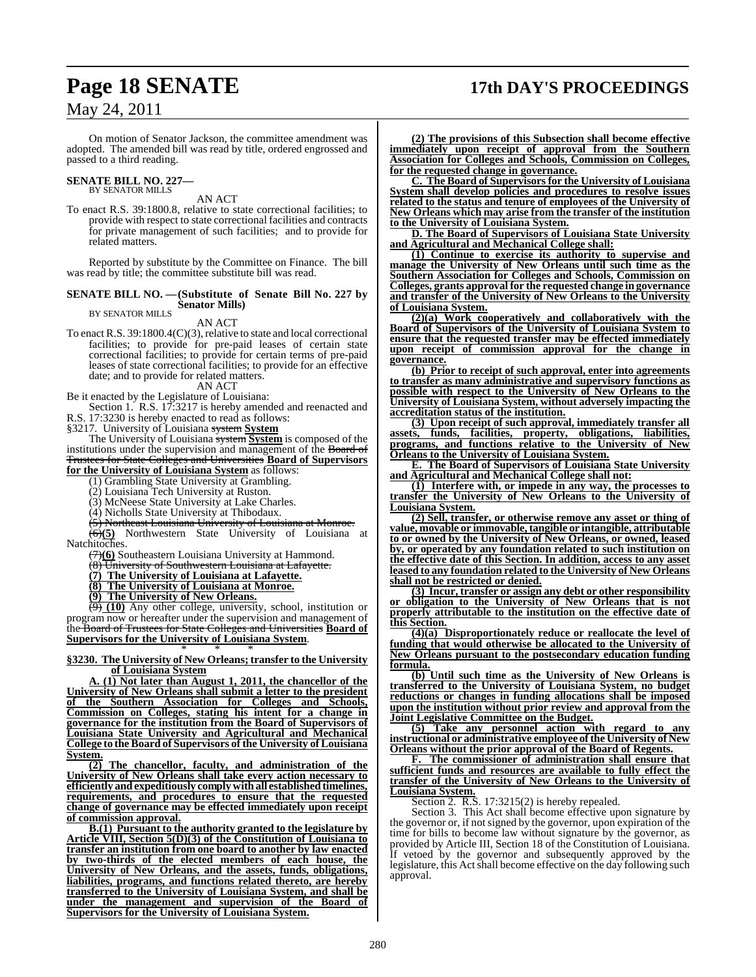# **Page 18 SENATE 17th DAY'S PROCEEDINGS**

May 24, 2011

On motion of Senator Jackson, the committee amendment was adopted. The amended bill was read by title, ordered engrossed and passed to a third reading.

# **SENATE BILL NO. 227—** BY SENATOR MILLS

AN ACT

To enact R.S. 39:1800.8, relative to state correctional facilities; to provide with respect to state correctional facilities and contracts for private management of such facilities; and to provide for related matters.

Reported by substitute by the Committee on Finance. The bill was read by title; the committee substitute bill was read.

### **SENATE BILL NO. —(Substitute of Senate Bill No. 227 by Senator Mills)** BY SENATOR MILLS

AN ACT

To enact R.S.  $39:1800.4(C)(3)$ , relative to state and local correctional facilities; to provide for pre-paid leases of certain state correctional facilities; to provide for certain terms of pre-paid leases of state correctional facilities; to provide for an effective date; and to provide for related matters.

AN ACT Be it enacted by the Legislature of Louisiana:

Section 1. R.S. 17:3217 is hereby amended and reenacted and R.S. 17:3230 is hereby enacted to read as follows:

§3217. University of Louisiana system **System**

The University of Louisiana system **System** is composed of the institutions under the supervision and management of the Board of Trustees for State Colleges and Universities **Board of Supervisors**

**for the University of Louisiana System** as follows:

(1) Grambling State University at Grambling. (2) Louisiana Tech University at Ruston.

(3) McNeese State University at Lake Charles.

(4) Nicholls State University at Thibodaux.

(5) Northeast Louisiana University of Louisiana at Monroe.

(6)**(5)** Northwestern State University of Louisiana at Natchitoches.

(7)**(6)** Southeastern Louisiana University at Hammond.

(8) University of Southwestern Louisiana at Lafayette.

**(7) The University of Louisiana at Lafayette.**

**(8) The University of Louisiana at Monroe.**

**(9) The University of New Orleans.**

(9) **(10)** Any other college, university, school, institution or program now or hereafter under the supervision and management of the Board of Trustees for State Colleges and Universities **Board of Supervisors for the University of Louisiana System**.

\* \* \* **§3230. The University of New Orleans; transfer to the University of Louisiana System**

**A. (1) Not later than August 1, 2011, the chancellor of the University of New Orleans shall submit a letter to the president of the Southern Association for Colleges and Schools, Commission on Colleges, stating his intent for a change in governance for the institution from the Board of Supervisors of Louisiana State University and Agricultural and Mechanical College to the Board of Supervisors of the University ofLouisiana System.**

**(2) The chancellor, faculty, and administration of the University of New Orleans shall take every action necessary to efficiently and expeditiously comply with all established timelines, requirements, and procedures to ensure that the requested change of governance may be effected immediately upon receipt of commission approval.**

**B.(1) Pursuant to the authority granted to the legislature by Article VIII, Section 5(D)(3) of the Constitution of Louisiana to transfer an institution from one board to another by law enacted by two-thirds of the elected members of each house, the University of New Orleans, and the assets, funds, obligations, liabilities, programs, and functions related thereto, are hereby transferred to the University of Louisiana System, and shall be under the management and supervision of the Board of Supervisors for the University of Louisiana System.**

**(2) The provisions of this Subsection shall become effective immediately upon receipt of approval from the Southern Association for Colleges and Schools, Commission on Colleges, for the requested change in governance.**

**C. The Board of Supervisors for the University of Louisiana System shall develop policies and procedures to resolve issues related to the status and tenure of employees of the University of New Orleans which may arise from the transfer of the institution to the University of Louisiana System.**

**D. The Board of Supervisors of Louisiana State University and Agricultural and Mechanical College shall:**

**(1) Continue to exercise its authority to supervise and manage the University of New Orleans until such time as the Southern Association for Colleges and Schools, Commission on Colleges, grants approval for the requested change in governance and transfer of the University of New Orleans to the University of Louisiana System.**

**(2)(a) Work cooperatively and collaboratively with the Board of Supervisors of the University of Louisiana System to ensure that the requested transfer may be effected immediately upon receipt of commission approval for the change in governance.**

**(b) Prior to receipt of such approval, enter into agreements to transfer as many administrative and supervisory functions as possible with respect to the University of New Orleans to the University of Louisiana System, without adversely impacting the accreditation status of the institution.**

**(3) Upon receipt of such approval, immediately transfer all assets, funds, facilities, property, obligations, liabilities, programs, and functions relative to the University of New Orleans to the University of Louisiana System.**

**E. The Board of Supervisors of Louisiana State University and Agricultural and Mechanical College shall not:**

**(1) Interfere with, or impede in any way, the processes to transfer the University of New Orleans to the University of Louisiana System.**

**(2) Sell, transfer, or otherwise remove any asset or thing of value, movable or immovable, tangible or intangible, attributable to or owned by the University of New Orleans, or owned, leased by, or operated by any foundation related to such institution on the effective date of this Section. In addition, access to any asset leased to any foundation related to the University of New Orleans shall not be restricted or denied.**

**(3) Incur, transfer or assign any debt or other responsibility or obligation to the University of New Orleans that is not properly attributable to the institution on the effective date of this Section.**

**(4)(a) Disproportionately reduce or reallocate the level of funding that would otherwise be allocated to the University of New Orleans pursuant to the postsecondary education funding formula.**

**(b) Until such time as the University of New Orleans is transferred to the University of Louisiana System, no budget reductions or changes in funding allocations shall be imposed upon the institution without prior review and approval from the Joint Legislative Committee on the Budget.**

**(5) Take any personnel action with regard to any instructional or administrative employee ofthe University of New Orleans without the prior approval of the Board of Regents.**

**F. The commissioner of administration shall ensure that sufficient funds and resources are available to fully effect the transfer of the University of New Orleans to the University of Louisiana System.**

Section 2. R.S. 17:3215(2) is hereby repealed.

Section 3. This Act shall become effective upon signature by the governor or, if notsigned by the governor, upon expiration of the time for bills to become law without signature by the governor, as provided by Article III, Section 18 of the Constitution of Louisiana. If vetoed by the governor and subsequently approved by the legislature, this Act shall become effective on the day following such approval.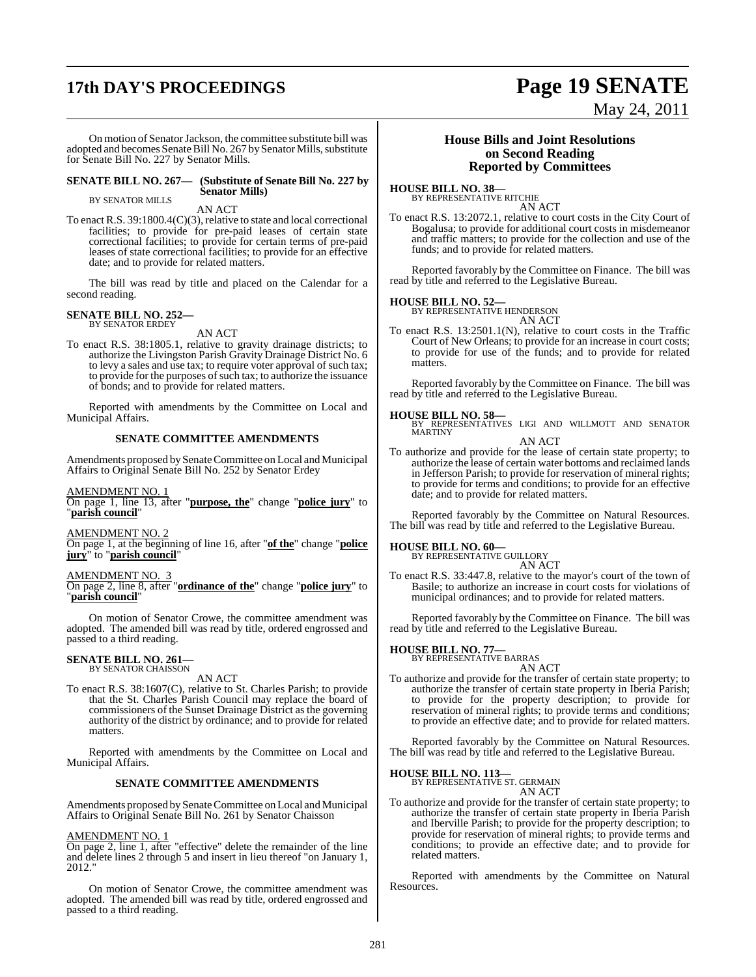# **17th DAY'S PROCEEDINGS Page 19 SENATE**

May 24, 2011

On motion of Senator Jackson, the committee substitute bill was adopted and becomes Senate Bill No. 267 by Senator Mills, substitute for Senate Bill No. 227 by Senator Mills.

### **SENATE BILL NO. 267— (Substitute of Senate Bill No. 227 by Senator Mills)**

BY SENATOR MILLS

AN ACT To enact R.S. 39:1800.4(C)(3), relative to state and local correctional facilities; to provide for pre-paid leases of certain state correctional facilities; to provide for certain terms of pre-paid leases of state correctional facilities; to provide for an effective date; and to provide for related matters.

The bill was read by title and placed on the Calendar for a second reading.

### **SENATE BILL NO. 252—** BY SENATOR ERDEY

AN ACT

To enact R.S. 38:1805.1, relative to gravity drainage districts; to authorize the Livingston Parish Gravity Drainage District No. 6 to levy a sales and use tax; to require voter approval of such tax; to provide for the purposes of such tax; to authorize the issuance of bonds; and to provide for related matters.

Reported with amendments by the Committee on Local and Municipal Affairs.

### **SENATE COMMITTEE AMENDMENTS**

Amendments proposed by Senate Committee on Local and Municipal Affairs to Original Senate Bill No. 252 by Senator Erdey

AMENDMENT NO. 1

On page 1, line 13, after "**purpose, the**" change "**police jury**" to "**parish council**"

AMENDMENT NO. 2

On page 1, at the beginning of line 16, after "**of the**" change "**police jury**" to "**parish council**"

### AMENDMENT NO. 3

On page 2, line 8, after "**ordinance of the**" change "**police jury**" to "**parish council**"

On motion of Senator Crowe, the committee amendment was adopted. The amended bill was read by title, ordered engrossed and passed to a third reading.

### **SENATE BILL NO. 261—** BY SENATOR CHAISSON

AN ACT

To enact R.S. 38:1607(C), relative to St. Charles Parish; to provide that the St. Charles Parish Council may replace the board of commissioners of the Sunset Drainage District as the governing authority of the district by ordinance; and to provide for related matters.

Reported with amendments by the Committee on Local and Municipal Affairs.

### **SENATE COMMITTEE AMENDMENTS**

Amendments proposed by Senate Committee on Local and Municipal Affairs to Original Senate Bill No. 261 by Senator Chaisson

### AMENDMENT NO. 1

On page 2, line 1, after "effective" delete the remainder of the line and delete lines 2 through 5 and insert in lieu thereof "on January 1, 2012."

On motion of Senator Crowe, the committee amendment was adopted. The amended bill was read by title, ordered engrossed and passed to a third reading.

### **House Bills and Joint Resolutions on Second Reading Reported by Committees**

**HOUSE BILL NO. 38—** BY REPRESENTATIVE RITCHIE

AN ACT

To enact R.S. 13:2072.1, relative to court costs in the City Court of Bogalusa; to provide for additional court costs in misdemeanor and traffic matters; to provide for the collection and use of the funds; and to provide for related matters.

Reported favorably by the Committee on Finance. The bill was read by title and referred to the Legislative Bureau.

**HOUSE BILL NO. 52—** BY REPRESENTATIVE HENDERSON AN ACT

To enact R.S. 13:2501.1(N), relative to court costs in the Traffic Court of New Orleans; to provide for an increase in court costs; to provide for use of the funds; and to provide for related matters.

Reported favorably by the Committee on Finance. The bill was read by title and referred to the Legislative Bureau.

**HOUSE BILL NO. 58—** BY REPRESENTATIVES LIGI AND WILLMOTT AND SENATOR MARTINY

AN ACT

To authorize and provide for the lease of certain state property; to authorize the lease of certain water bottoms and reclaimed lands in Jefferson Parish; to provide for reservation of mineral rights; to provide for terms and conditions; to provide for an effective date; and to provide for related matters.

Reported favorably by the Committee on Natural Resources. The bill was read by title and referred to the Legislative Bureau.

### **HOUSE BILL NO. 60—**

BY REPRESENTATIVE GUILLORY AN ACT

To enact R.S. 33:447.8, relative to the mayor's court of the town of Basile; to authorize an increase in court costs for violations of municipal ordinances; and to provide for related matters.

Reported favorably by the Committee on Finance. The bill was read by title and referred to the Legislative Bureau.

**HOUSE BILL NO. 77—** BY REPRESENTATIVE BARRAS AN ACT

To authorize and provide for the transfer of certain state property; to authorize the transfer of certain state property in Iberia Parish; to provide for the property description; to provide for reservation of mineral rights; to provide terms and conditions; to provide an effective date; and to provide for related matters.

Reported favorably by the Committee on Natural Resources. The bill was read by title and referred to the Legislative Bureau.

# **HOUSE BILL NO. 113—** BY REPRESENTATIVE ST. GERMAIN

AN ACT

To authorize and provide for the transfer of certain state property; to authorize the transfer of certain state property in Iberia Parish and Iberville Parish; to provide for the property description; to provide for reservation of mineral rights; to provide terms and conditions; to provide an effective date; and to provide for related matters.

Reported with amendments by the Committee on Natural Resources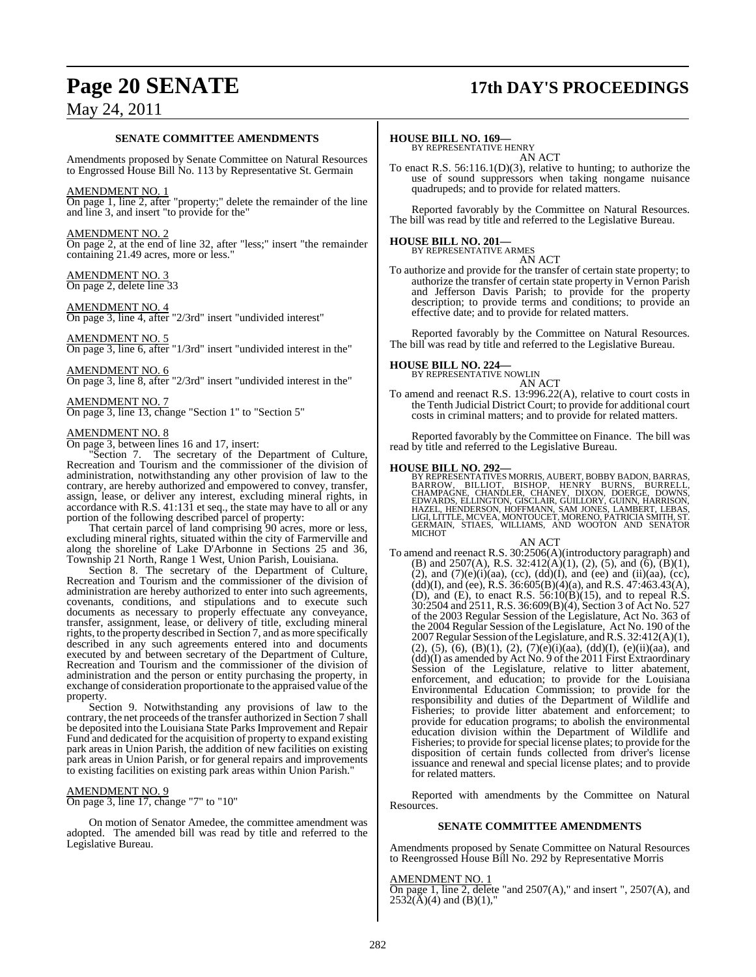# **Page 20 SENATE 17th DAY'S PROCEEDINGS**

### **SENATE COMMITTEE AMENDMENTS**

Amendments proposed by Senate Committee on Natural Resources to Engrossed House Bill No. 113 by Representative St. Germain

### AMENDMENT NO. 1

On page 1, line 2, after "property;" delete the remainder of the line and line 3, and insert "to provide for the"

### AMENDMENT NO. 2

On page 2, at the end of line 32, after "less;" insert "the remainder containing 21.49 acres, more or less."

## AMENDMENT NO. 3

On page 2, delete line 33

### AMENDMENT NO. 4

On page 3, line 4, after "2/3rd" insert "undivided interest"

### AMENDMENT NO. 5

On page 3, line 6, after "1/3rd" insert "undivided interest in the"

### AMENDMENT NO. 6

On page 3, line 8, after "2/3rd" insert "undivided interest in the"

### AMENDMENT NO. 7

On page 3, line 13, change "Section 1" to "Section 5"

### AMENDMENT NO. 8

On page 3, between lines 16 and 17, insert:

"Section 7. The secretary of the Department of Culture, Recreation and Tourism and the commissioner of the division of administration, notwithstanding any other provision of law to the contrary, are hereby authorized and empowered to convey, transfer, assign, lease, or deliver any interest, excluding mineral rights, in accordance with R.S. 41:131 et seq., the state may have to all or any portion of the following described parcel of property:

That certain parcel of land comprising 90 acres, more or less, excluding mineral rights, situated within the city of Farmerville and along the shoreline of Lake D'Arbonne in Sections 25 and 36, Township 21 North, Range 1 West, Union Parish, Louisiana.

Section 8. The secretary of the Department of Culture, Recreation and Tourism and the commissioner of the division of administration are hereby authorized to enter into such agreements, covenants, conditions, and stipulations and to execute such documents as necessary to properly effectuate any conveyance, transfer, assignment, lease, or delivery of title, excluding mineral rights, to the property described in Section 7, and as more specifically described in any such agreements entered into and documents executed by and between secretary of the Department of Culture, Recreation and Tourism and the commissioner of the division of administration and the person or entity purchasing the property, in exchange of consideration proportionate to the appraised value of the property.

Section 9. Notwithstanding any provisions of law to the contrary, the net proceeds of the transfer authorized in Section 7 shall be deposited into the Louisiana State Parks Improvement and Repair Fund and dedicated for the acquisition of property to expand existing park areas in Union Parish, the addition of new facilities on existing park areas in Union Parish, or for general repairs and improvements to existing facilities on existing park areas within Union Parish."

### AMENDMENT NO. 9

On page 3, line 17, change "7" to "10"

On motion of Senator Amedee, the committee amendment was adopted. The amended bill was read by title and referred to the Legislative Bureau.

### **HOUSE BILL NO. 169—**

BY REPRESENTATIVE HENRY AN ACT

To enact R.S. 56:116.1(D)(3), relative to hunting; to authorize the use of sound suppressors when taking nongame nuisance quadrupeds; and to provide for related matters.

Reported favorably by the Committee on Natural Resources. The bill was read by title and referred to the Legislative Bureau.

# **HOUSE BILL NO. 201—** BY REPRESENTATIVE ARMES

AN ACT

To authorize and provide for the transfer of certain state property; to authorize the transfer of certain state property in Vernon Parish and Jefferson Davis Parish; to provide for the property description; to provide terms and conditions; to provide an effective date; and to provide for related matters.

Reported favorably by the Committee on Natural Resources. The bill was read by title and referred to the Legislative Bureau.

### **HOUSE BILL NO. 224—**

BY REPRESENTATIVE NOWLIN

- AN ACT
- To amend and reenact R.S. 13:996.22(A), relative to court costs in the Tenth Judicial District Court; to provide for additional court costs in criminal matters; and to provide for related matters.

Reported favorably by the Committee on Finance. The bill was read by title and referred to the Legislative Bureau.

**HOUSE BILL NO. 292—**<br>BY REPRESENTATIVES MORRIS, AUBERT, BOBBY BADON, BARRAS,<br>BARROW, BILLIOT, BISHOP, HENRY BURNS, BURRELL,<br>CHAMPAGNE, CHANDLER, CHANEY, DIXON, DOERGE, DOWNS,<br>EDWARDS, ELLINGTON, GISCLAIR, GUILLORY, GUINN, **MICHOT** 

### AN ACT

To amend and reenact R.S. 30:2506(A)(introductory paragraph) and (B) and 2507(A), R.S. 32:412(A)(1), (2), (5), and (6),  $(B)(1)$ , (2), and  $(7)(e)(i)(aa)$ , (cc),  $(dd)(I)$ , and (ee) and  $(ii)(aa)$ , (cc),  $(dd)(I)$ , and (ee), R.S. 36:605(B)(4)(a), and R.S. 47:463.43(A), (D), and (E), to enact R.S.  $56:10(B)(15)$ , and to repeal R.S. 30:2504 and 2511, R.S. 36:609(B)(4), Section 3 of Act No. 527 of the 2003 Regular Session of the Legislature, Act No. 363 of the 2004 Regular Session of the Legislature, Act No. 190 of the 2007 Regular Session of the Legislature, and R.S. 32:412(A)(1),  $(2), (5), (6), (B)(1), (2), (7)(e)(i)(aa), (dd)(I), (e)(ii)(aa), and$ (dd)(I) as amended by Act No. 9 of the 2011 First Extraordinary Session of the Legislature, relative to litter abatement, enforcement, and education; to provide for the Louisiana Environmental Education Commission; to provide for the responsibility and duties of the Department of Wildlife and Fisheries; to provide litter abatement and enforcement; to provide for education programs; to abolish the environmental education division within the Department of Wildlife and Fisheries; to provide for special license plates; to provide for the disposition of certain funds collected from driver's license issuance and renewal and special license plates; and to provide for related matters.

Reported with amendments by the Committee on Natural **Resources** 

### **SENATE COMMITTEE AMENDMENTS**

Amendments proposed by Senate Committee on Natural Resources to Reengrossed House Bill No. 292 by Representative Morris

### AMENDMENT NO. 1

On page 1, line 2, delete "and  $2507(A)$ ," and insert ",  $2507(A)$ , and  $2532(A)(4)$  and  $(B)(1)$ ,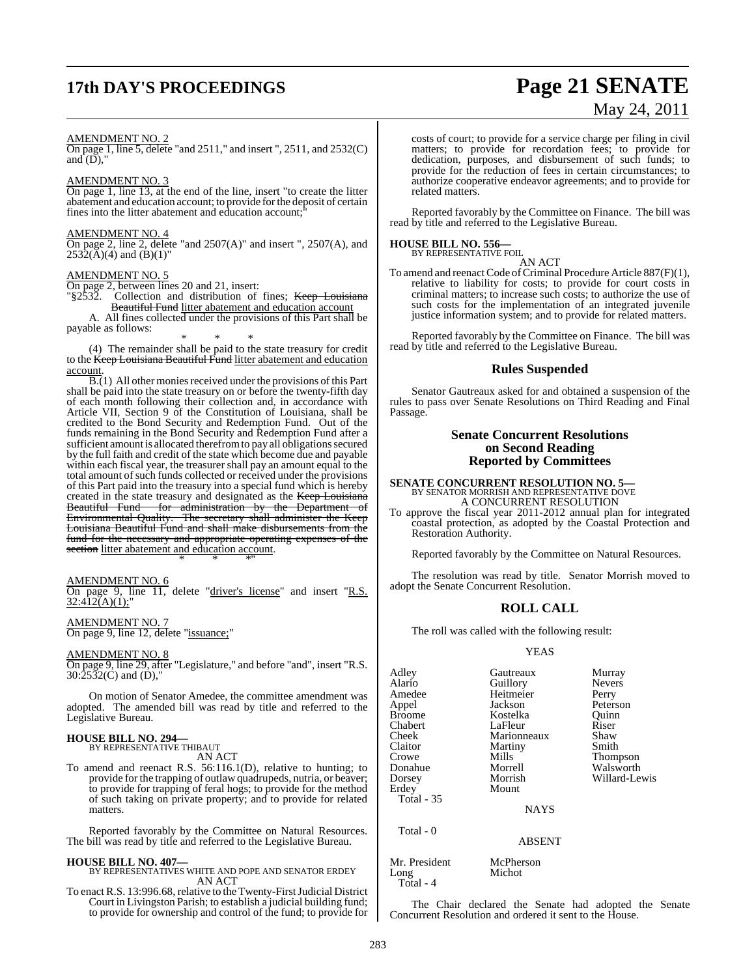# **17th DAY'S PROCEEDINGS Page 21 SENATE**

# May 24, 2011

### AMENDMENT NO. 2

On page 1, line 5, delete "and 2511," and insert ", 2511, and 2532(C) and  $(D)$ ."

AMENDMENT NO. 3

On page 1, line 13, at the end of the line, insert "to create the litter abatement and education account; to provide forthe deposit of certain fines into the litter abatement and education account;"

### AMENDMENT NO. 4

On page 2, line 2, delete "and 2507(A)" and insert ", 2507(A), and  $2532(A)(4)$  and  $(B)(1)$ "

### AMENDMENT NO. 5

On page 2, between lines 20 and 21, insert: "§2532. Collection and distribution of fines; Keep Louisiana Beautiful Fund litter abatement and education account A. All fines collected under the provisions of this Part shall be payable as follows:

\* \* \* (4) The remainder shall be paid to the state treasury for credit to the <del>Keep Louisiana Beautiful Fund</del> litter abatement and education account.

 $\overline{B(1)}$  All other monies received under the provisions of this Part shall be paid into the state treasury on or before the twenty-fifth day of each month following their collection and, in accordance with Article VII, Section 9 of the Constitution of Louisiana, shall be credited to the Bond Security and Redemption Fund. Out of the funds remaining in the Bond Security and Redemption Fund after a sufficient amount is allocated therefrom to pay all obligations secured by the full faith and credit of the state which become due and payable within each fiscal year, the treasurer shall pay an amount equal to the total amount of such funds collected or received under the provisions of this Part paid into the treasury into a special fund which is hereby created in the state treasury and designated as the Keep Louisiana<br>Beautiful Fund for administration by the Department of for administration by the Department of Environmental Quality. The secretary shall administer the Keep Louisiana Beautiful Fund and shall make disbursements from the fund for the necessary and appropriate operating expenses of the section litter abatement and education account. \* \* \*"

### AMENDMENT NO. 6

On page 9, line 11, delete "driver's license" and insert "R.S.  $32:412(A)(1)$ ;"

AMENDMENT NO. 7 On page 9, line 12, delete "issuance;"

### AMENDMENT NO. 8

On page 9, line 29, after "Legislature," and before "and", insert "R.S.  $30:\!25\bar{3}2(C)$  and (D),"

On motion of Senator Amedee, the committee amendment was adopted. The amended bill was read by title and referred to the Legislative Bureau.

### **HOUSE BILL NO. 294—**

BY REPRESENTATIVE THIBAUT AN ACT

To amend and reenact R.S. 56:116.1(D), relative to hunting; to provide for the trapping of outlaw quadrupeds, nutria, or beaver; to provide for trapping of feral hogs; to provide for the method of such taking on private property; and to provide for related matters.

Reported favorably by the Committee on Natural Resources. The bill was read by title and referred to the Legislative Bureau.

### **HOUSE BILL NO. 407—**

BY REPRESENTATIVES WHITE AND POPE AND SENATOR ERDEY AN ACT

To enact R.S. 13:996.68, relative to the Twenty-First Judicial District Court in Livingston Parish; to establish a judicial building fund; to provide for ownership and control of the fund; to provide for

costs of court; to provide for a service charge per filing in civil matters; to provide for recordation fees; to provide for dedication, purposes, and disbursement of such funds; to provide for the reduction of fees in certain circumstances; to authorize cooperative endeavor agreements; and to provide for related matters.

Reported favorably by the Committee on Finance. The bill was read by title and referred to the Legislative Bureau.

### **HOUSE BILL NO. 556—**

BY REPRESENTATIVE FOIL AN ACT

To amend and reenact Code of Criminal Procedure Article 887(F)(1), relative to liability for costs; to provide for court costs in criminal matters; to increase such costs; to authorize the use of such costs for the implementation of an integrated juvenile justice information system; and to provide for related matters.

Reported favorably by the Committee on Finance. The bill was read by title and referred to the Legislative Bureau.

### **Rules Suspended**

Senator Gautreaux asked for and obtained a suspension of the rules to pass over Senate Resolutions on Third Reading and Final Passage.

### **Senate Concurrent Resolutions on Second Reading Reported by Committees**

**SENATE CONCURRENT RESOLUTION NO. 5—** BY SENATOR MORRISH AND REPRESENTATIVE DOVE A CONCURRENT RESOLUTION

To approve the fiscal year 2011-2012 annual plan for integrated coastal protection, as adopted by the Coastal Protection and Restoration Authority.

Reported favorably by the Committee on Natural Resources.

The resolution was read by title. Senator Morrish moved to adopt the Senate Concurrent Resolution.

### **ROLL CALL**

The roll was called with the following result:

### YEAS

Adley Gautreaux Murray Alario Guillory Never<br>Amedee Heitmeier Perry Amedee Heitmeier<br>Appel Jackson Broome Kostelka Quinn Chabert LaFleur Riser<br>Cheek Marionneaux Shaw Cheek Marionneaux Shaw<br>Claitor Martiny Smith Crowe Mills Thompson Donahue Morrell Walsworth Erdey Mount Total - 35

Jackson Peterson<br>Kostelka Quinn Martiny<br>Mills

Willard-Lewis

**NAYS** 

### ABSENT

Michot

Mr. President McPherson<br>
Long Michot Total - 4

Total - 0

The Chair declared the Senate had adopted the Senate Concurrent Resolution and ordered it sent to the House.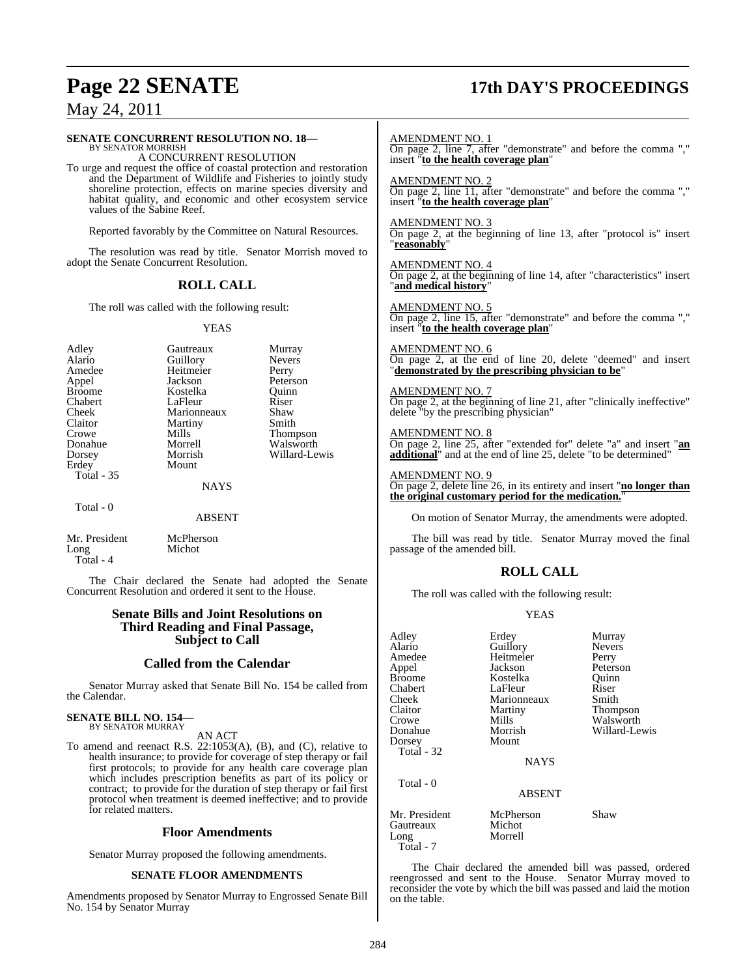# **Page 22 SENATE 17th DAY'S PROCEEDINGS**

## May 24, 2011

### **SENATE CONCURRENT RESOLUTION NO. 18—** BY SENATOR MORRISH A CONCURRENT RESOLUTION To urge and request the office of coastal protection and restoration and the Department of Wildlife and Fisheries to jointly study shoreline protection, effects on marine species diversity and habitat quality, and economic and other ecosystem service values of the Sabine Reef. Reported favorably by the Committee on Natural Resources. The resolution was read by title. Senator Morrish moved to adopt the Senate Concurrent Resolution. **ROLL CALL** The roll was called with the following result: YEAS Adley Gautreaux Murray Alario Guillory Nevers<br>Amedee Heitmeier Perry Amedee Heitmeier<br>
Appel Jackson Appel Jackson Peterson Kostelka Quinn<br>LaFleur Riser Chabert LaFleur Riser<br>Cheek Marionneaux Shaw Cheek Marionneaux Shaw<br>Claitor Martiny Smith Claitor Martiny<br>Crowe Mills Crowe Mills Thompson<br>
Donabue Morrell Walsworth Walsworth Dorsey Morrish Willard-Lewis Mount Total - 35 **NAYS**  Total - 0 ABSENT Mr. President McPherson<br>Long Michot Long Total - 4 The Chair declared the Senate had adopted the Senate Concurrent Resolution and ordered it sent to the House. AMENDMENT NO. 1 On page 2, line 7, after "demonstrate" and before the comma "," insert "**to the health coverage plan**" AMENDMENT NO. 2 insert "**to the health coverage plan**" AMENDMENT NO. 3 "**reasonably**" AMENDMENT NO. 4 "**and medical history**" AMENDMENT NO. 5 insert "**to the health coverage plan**" AMENDMENT NO. 6 "**demonstrated by the prescribing physician to be**" AMENDMENT NO. 7 delete "by the prescribing physician" AMENDMENT NO. 8 On page 2, line 25, after "extended for" delete "a" and insert "**an** AMENDMENT NO. 9 **the original customary period for the medication.**" passage of the amended bill. **ROLL CALL** The roll was called with the following result:

### **Senate Bills and Joint Resolutions on Third Reading and Final Passage, Subject to Call**

### **Called from the Calendar**

Senator Murray asked that Senate Bill No. 154 be called from the Calendar.

# **SENATE BILL NO. 154—** BY SENATOR MURRAY

### AN ACT

To amend and reenact R.S.  $22:1053(A)$ , (B), and (C), relative to health insurance; to provide for coverage of step therapy or fail first protocols; to provide for any health care coverage plan which includes prescription benefits as part of its policy or contract; to provide for the duration of step therapy or fail first protocol when treatment is deemed ineffective; and to provide for related matters.

### **Floor Amendments**

Senator Murray proposed the following amendments.

### **SENATE FLOOR AMENDMENTS**

Amendments proposed by Senator Murray to Engrossed Senate Bill No. 154 by Senator Murray

On page 2, line 11, after "demonstrate" and before the comma ","

On page 2, at the beginning of line 13, after "protocol is" insert

On page 2, at the beginning of line 14, after "characteristics" insert

On page 2, line 15, after "demonstrate" and before the comma ","

On page 2, at the end of line 20, delete "deemed" and insert

On page 2, at the beginning of line 21, after "clinically ineffective"

**additional**" and at the end of line 25, delete "to be determined"

On page 2, delete line 26, in its entirety and insert "**no longer than**

On motion of Senator Murray, the amendments were adopted.

The bill was read by title. Senator Murray moved the final

### YEAS

| Adley<br>Alario<br>Amedee          | Erdey<br>Guillory<br>Heitmeier | Murray<br>Nevers<br>Perry |
|------------------------------------|--------------------------------|---------------------------|
| Appel<br><b>Broome</b>             | Jackson<br>Kostelka            | Peterson<br>Ouinn         |
| Chabert                            | LaFleur                        | Riser                     |
| Cheek                              | Marionneaux                    | Smith                     |
| Claitor                            | Martiny                        | Thompson                  |
| Crowe                              | Mills                          | Walsworth                 |
| Donahue                            | Morrish                        | Willard-Lewis             |
| Dorsey<br>Total - 32               | Mount                          |                           |
|                                    | <b>NAYS</b>                    |                           |
| Total - 0                          | <b>ABSENT</b>                  |                           |
| Mr. President<br>Gautreaux<br>Long | McPherson<br>Michot<br>Morrell | Shaw                      |

The Chair declared the amended bill was passed, ordered reengrossed and sent to the House. Senator Murray moved to reconsider the vote by which the bill was passed and laid the motion on the table.

Total - 7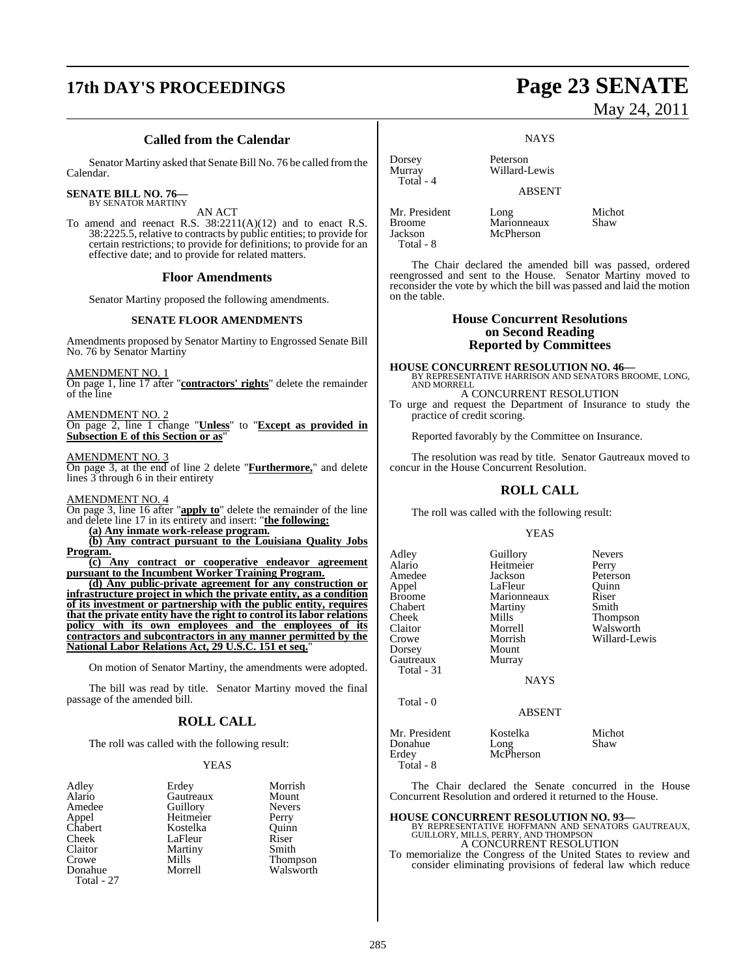# **17th DAY'S PROCEEDINGS Page 23 SENATE**

### **Called from the Calendar**

Senator Martiny asked that Senate Bill No. 76 be called fromthe Calendar.

### **SENATE BILL NO. 76—**

BY SENATOR MARTINY

AN ACT To amend and reenact R.S. 38:2211(A)(12) and to enact R.S. 38:2225.5, relative to contracts by public entities; to provide for certain restrictions; to provide for definitions; to provide for an effective date; and to provide for related matters.

### **Floor Amendments**

Senator Martiny proposed the following amendments.

### **SENATE FLOOR AMENDMENTS**

Amendments proposed by Senator Martiny to Engrossed Senate Bill No. 76 by Senator Martiny

AMENDMENT NO. 1

On page 1, line 17 after "**contractors' rights**" delete the remainder of the line

### AMENDMENT NO. 2

On page 2, line 1 change "**Unless**" to "**Except as provided in Subsection E of this Section or as**"

### AMENDMENT NO. 3

On page 3, at the end of line 2 delete "**Furthermore,**" and delete lines 3 through 6 in their entirety

AMENDMENT NO. 4

On page 3, line 16 after "**apply to**" delete the remainder of the line and delete line 17 in its entirety and insert: "**the following:**

**(a) Any inmate work-release program.**

**(b) Any contract pursuant to the Louisiana Quality Jobs Program.**

**(c) Any contract or cooperative endeavor agreement pursuant to the Incumbent Worker Training Program.**

**(d) Any public-private agreement for any construction or infrastructure project in which the private entity, as a condition of its investment or partnership with the public entity, requires that the private entity have the right to control its labor relations policy with its own employees and the employees of its contractors and subcontractors in any manner permitted by the National Labor Relations Act, 29 U.S.C. 151 et seq.**"

On motion of Senator Martiny, the amendments were adopted.

The bill was read by title. Senator Martiny moved the final passage of the amended bill.

### **ROLL CALL**

The roll was called with the following result:

### YEAS

| Adley      | Erdey     | Morrish       |
|------------|-----------|---------------|
| Alario     | Gautreaux | Mount         |
| Amedee     | Guillory  | <b>Nevers</b> |
| Appel      | Heitmeier | Perry         |
| Chabert    | Kostelka  | Ouinn         |
| Cheek      | LaFleur   | Riser         |
| Claitor    | Martiny   | Smith         |
| Crowe      | Mills     | Thompson      |
| Donahue    | Morrell   | Walsworth     |
| Total - 27 |           |               |

# May 24, 2011

**NAYS** 

Dorsey Peterson<br>Murray Willard-1 Willard-Lewis

McPherson

ABSENT

Mr. President Long Michot Broome Marionneaux Shaw<br>Jackson McPherson Total - 8

Total - 4

The Chair declared the amended bill was passed, ordered reengrossed and sent to the House. Senator Martiny moved to reconsider the vote by which the bill was passed and laid the motion on the table.

### **House Concurrent Resolutions on Second Reading Reported by Committees**

**HOUSE CONCURRENT RESOLUTION NO. 46—** BY REPRESENTATIVE HARRISON AND SENATORS BROOME, LONG, AND MORRELL

A CONCURRENT RESOLUTION To urge and request the Department of Insurance to study the practice of credit scoring.

Reported favorably by the Committee on Insurance.

The resolution was read by title. Senator Gautreaux moved to concur in the House Concurrent Resolution.

### **ROLL CALL**

The roll was called with the following result:

### YEAS

Adley Guillory Nevers<br>Alario Heitmeier Perry Alario Heitmeier<br>Amedee Jackson Amedee Jackson Peterson<br>Appel LaFleur Quinn Appel LaFleur Quinn<br>Broome Marionneaux Riser Broome Marionneaux Riser<br>
Chabert Martiny Smith Chabert Martiny<br>Cheek Mills Cheek Mills Thompson<br>Claitor Morrell Walsworth Claitor Morrell Walsworth<br>Crowe Morrish Willard-Le Dorsey Mount<br>Gautreaux Murray Gautreaux Total - 31

Willard-Lewis

**NAYS** 

ABSENT

Total - 0

Total - 8

Mr. President Kostelka Michot Donahue Long Shaw<br>Erdey McPherson

The Chair declared the Senate concurred in the House Concurrent Resolution and ordered it returned to the House.

### **HOUSE CONCURRENT RESOLUTION NO. 93—**

McPherson

BY REPRESENTATIVE HOFFMANN AND SENATORS GAUTREAUX, GUILLORY, MILLS, PERRY, AND THOMPSON A CONCURRENT RESOLUTION

To memorialize the Congress of the United States to review and consider eliminating provisions of federal law which reduce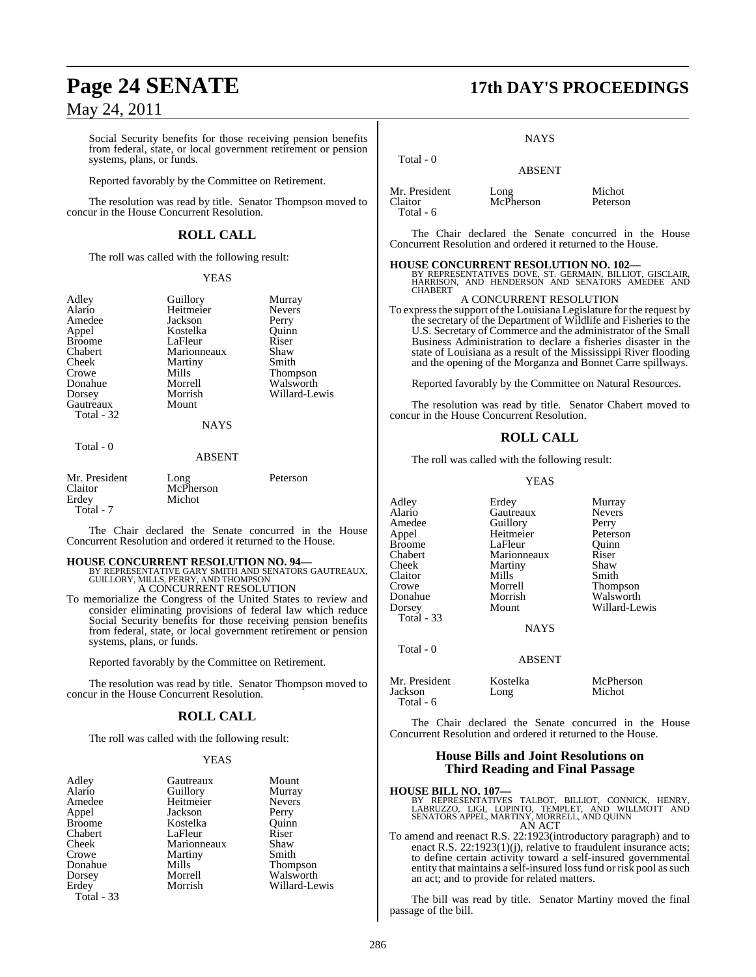Social Security benefits for those receiving pension benefits from federal, state, or local government retirement or pension systems, plans, or funds.

Reported favorably by the Committee on Retirement.

The resolution was read by title. Senator Thompson moved to concur in the House Concurrent Resolution.

### **ROLL CALL**

The roll was called with the following result:

### YEAS

| Adley         | Guillory    | Murray        |
|---------------|-------------|---------------|
| Alario        | Heitmeier   | <b>Nevers</b> |
| Amedee        | Jackson     | Perry         |
| Appel         | Kostelka    | Ouinn         |
| <b>Broome</b> | LaFleur     | Riser         |
| Chabert       | Marionneaux | Shaw          |
| Cheek         | Martiny     | Smith         |
| Crowe         | Mills       | Thompson      |
| Donahue       | Morrell     | Walsworth     |
| Dorsey        | Morrish     | Willard-Lewis |
| Gautreaux     | Mount       |               |
| Total - 32    |             |               |
|               | <b>NAYS</b> |               |
|               |             |               |

Total - 0

### ABSENT

| Mr. President<br>Claitor<br>Erdey | Long<br>McPherson<br>Michot | Peterson |
|-----------------------------------|-----------------------------|----------|
| Total - 7                         |                             |          |

The Chair declared the Senate concurred in the House Concurrent Resolution and ordered it returned to the House.

**HOUSE CONCURRENT RESOLUTION NO. 94—** BY REPRESENTATIVE GARY SMITH AND SENATORS GAUTREAUX, GUILLORY, MILLS, PERRY, AND THOMPSON A CONCURRENT RESOLUTION

To memorialize the Congress of the United States to review and

consider eliminating provisions of federal law which reduce Social Security benefits for those receiving pension benefits from federal, state, or local government retirement or pension systems, plans, or funds.

Reported favorably by the Committee on Retirement.

The resolution was read by title. Senator Thompson moved to concur in the House Concurrent Resolution.

### **ROLL CALL**

The roll was called with the following result:

### YEAS

| Adley<br>Alario | Gautreaux<br>Guillory | Mount<br>Murray |
|-----------------|-----------------------|-----------------|
| Amedee          | Heitmeier             | <b>Nevers</b>   |
| Appel           | Jackson               | Perry           |
| <b>Broome</b>   | Kostelka              | Ouinn           |
| Chabert         | LaFleur               | Riser           |
| Cheek           | Marionneaux           | Shaw            |
| Crowe           | Martiny               | Smith           |
| Donahue         | Mills                 | <b>Thompson</b> |
| Dorsey          | Morrell               | Walsworth       |
| Erdey           | Morrish               | Willard-Lewis   |
| Total - 33      |                       |                 |

# **Page 24 SENATE 17th DAY'S PROCEEDINGS**

**NAYS** 

|                                       | <b>ABSENT</b>     |                    |
|---------------------------------------|-------------------|--------------------|
| Mr. President<br>Claitor<br>Total - 6 | Long<br>McPherson | Michot<br>Peterson |

Total - 0

The Chair declared the Senate concurred in the House Concurrent Resolution and ordered it returned to the House.

**HOUSE CONCURRENT RESOLUTION NO. 102—** BY REPRESENTATIVES DOVE, ST. GERMAIN, BILLIOT, GISCLAIR, HARRISON, AND HENDERSON AND SENATORS AMEDEE AND CHABERT

### A CONCURRENT RESOLUTION

To express the support of the Louisiana Legislature for the request by the secretary of the Department of Wildlife and Fisheries to the U.S. Secretary of Commerce and the administrator of the Small Business Administration to declare a fisheries disaster in the state of Louisiana as a result of the Mississippi River flooding and the opening of the Morganza and Bonnet Carre spillways.

Reported favorably by the Committee on Natural Resources.

The resolution was read by title. Senator Chabert moved to concur in the House Concurrent Resolution.

### **ROLL CALL**

The roll was called with the following result:

YEAS

| Adley<br>Alario<br>Amedee<br>Appel<br><b>Broome</b><br>Chabert<br>Cheek<br>Claitor<br>Crowe<br>Donahue<br>Dorsey<br>Total - 33 | Erdey<br>Gautreaux<br>Guillory<br>Heitmeier<br>LaFleur<br>Marionneaux<br>Martiny<br>Mills<br>Morrell<br>Morrish<br>Mount<br><b>NAYS</b> | Murray<br><b>Nevers</b><br>Perry<br>Peterson<br>Ouinn<br>Riser<br>Shaw<br>Smith<br><b>Thompson</b><br>Walsworth<br>Willard-Lewis |
|--------------------------------------------------------------------------------------------------------------------------------|-----------------------------------------------------------------------------------------------------------------------------------------|----------------------------------------------------------------------------------------------------------------------------------|
| Total - 0                                                                                                                      | <b>ABSENT</b>                                                                                                                           |                                                                                                                                  |
| Mr. President                                                                                                                  | Kostelka                                                                                                                                | McPherson                                                                                                                        |

The Chair declared the Senate concurred in the House Concurrent Resolution and ordered it returned to the House.

Jackson Long Michot

### **House Bills and Joint Resolutions on Third Reading and Final Passage**

Total - 6

**HOUSE BILL NO. 107—**<br>BY REPRESENTATIVES TALBOT, BILLIOT, CONNICK, HENRY,<br>LABRUZZO, LIGI, LOPINTO, TEMPLET, AND WILLMOTT AND<br>SENATORS APPEL, MARTINY, MORRELL, AND QUINN AN ACT

To amend and reenact R.S. 22:1923(introductory paragraph) and to enact R.S. 22:1923(1)(j), relative to fraudulent insurance acts; to define certain activity toward a self-insured governmental entity that maintains a self-insured loss fund or risk pool as such an act; and to provide for related matters.

The bill was read by title. Senator Martiny moved the final passage of the bill.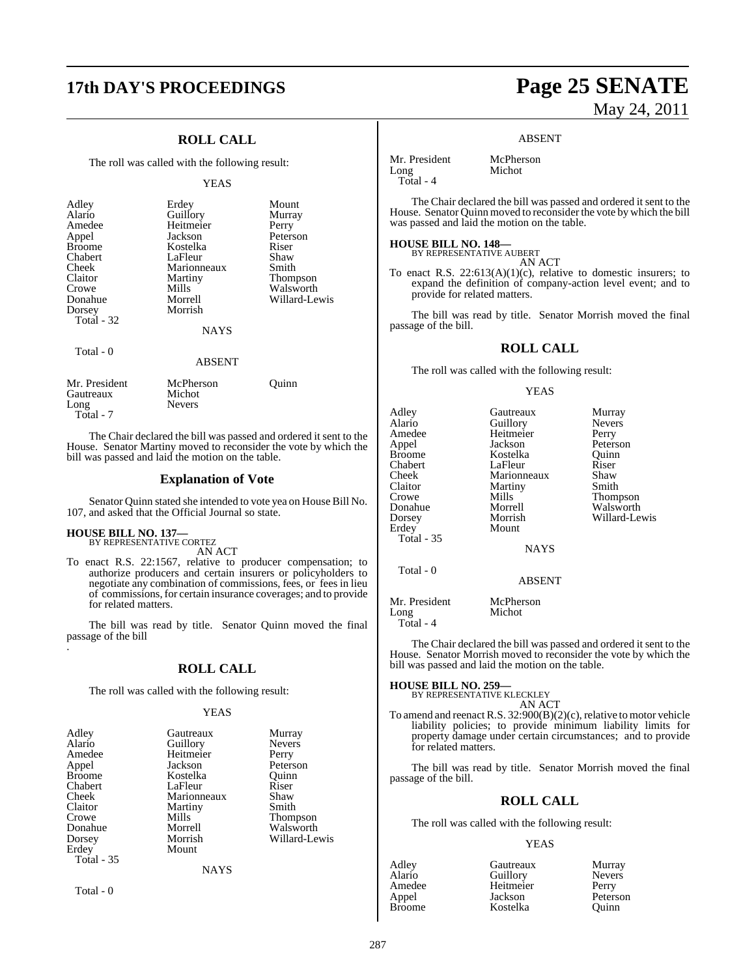# **17th DAY'S PROCEEDINGS Page 25 SENATE**

### **ROLL CALL**

The roll was called with the following result:

### YEAS

| Adley<br>Alario<br>Amedee<br>Appel<br><b>Broome</b><br>Chabert<br>Cheek<br>Claitor<br>Crowe<br>Donahue<br>Dorsey<br>Total $-32$ | Erdey<br>Guillory<br>Heitmeier<br>Jackson<br>Kostelka<br>LaFleur<br>Marionneaux<br>Martiny<br>Mills<br>Morrell<br>Morrish | Mount<br>Murray<br>Perry<br>Peterson<br>Riser<br>Shaw<br>Smith<br>Thompson<br>Walsworth<br>Willard-Lewis |
|---------------------------------------------------------------------------------------------------------------------------------|---------------------------------------------------------------------------------------------------------------------------|----------------------------------------------------------------------------------------------------------|
|                                                                                                                                 | <b>NAYS</b>                                                                                                               |                                                                                                          |
| Total $-0$                                                                                                                      | <b>ABSENT</b>                                                                                                             |                                                                                                          |
| Mr. President<br>Gautreaux                                                                                                      | McPherson<br>Michot                                                                                                       | Ouınn                                                                                                    |

Long Nevers Total - 7 The Chair declared the bill was passed and ordered it sent to the

House. Senator Martiny moved to reconsider the vote by which the bill was passed and laid the motion on the table.

### **Explanation of Vote**

Senator Quinn stated she intended to vote yea on House Bill No. 107, and asked that the Official Journal so state.

### **HOUSE BILL NO. 137—** BY REPRESENTATIVE CORTEZ

AN ACT

To enact R.S. 22:1567, relative to producer compensation; to authorize producers and certain insurers or policyholders to negotiate any combination of commissions, fees, or fees in lieu of commissions, for certain insurance coverages; and to provide for related matters.

The bill was read by title. Senator Quinn moved the final passage of the bill .

### **ROLL CALL**

The roll was called with the following result:

### YEAS

| Adley      | Gautreaux   | Murray        |
|------------|-------------|---------------|
| Alario     | Guillory    | <b>Nevers</b> |
| Amedee     | Heitmeier   | Perry         |
| Appel      | Jackson     | Peterson      |
| Broome     | Kostelka    | Ouinn         |
| Chabert    | LaFleur     | Riser         |
| Cheek      | Marionneaux | Shaw          |
| Claitor    | Martiny     | Smith         |
| Crowe      | Mills       | Thompson      |
| Donahue    | Morrell     | Walsworth     |
| Dorsey     | Morrish     | Willard-Lewis |
| Erdey      | Mount       |               |
| Total - 35 |             |               |
|            | <b>NAYS</b> |               |

Total - 0

# May 24, 2011

**Murray** Nevers<br>Perry

Peterson Quinn<br>Riser

Thompson Walsworth Willard-Lewis

### ABSENT

| Mr. President | McPherson |
|---------------|-----------|
| Long          | Michot    |
| $Total - 4$   |           |

The Chair declared the bill was passed and ordered it sent to the House. Senator Quinn moved to reconsider the vote by which the bill was passed and laid the motion on the table.

### **HOUSE BILL NO. 148—**

BY REPRESENTATIVE AUBERT AN ACT

To enact R.S.  $22:613(A)(1)(c)$ , relative to domestic insurers; to expand the definition of company-action level event; and to provide for related matters.

The bill was read by title. Senator Morrish moved the final passage of the bill.

### **ROLL CALL**

The roll was called with the following result:

### YEAS

| Adley             | Gautreaux     | Murra  |
|-------------------|---------------|--------|
| Alario            | Guillory      | Never  |
| Amedee            | Heitmeier     | Perry  |
| Appel             | Jackson       | Peters |
| Broome            | Kostelka      | Ouinr  |
| Chabert           | LaFleur       | Riser  |
| Cheek             | Marionneaux   | Shaw   |
| Claitor           | Martiny       | Smith  |
| Crowe             | Mills         | Thom   |
| Donahue           | Morrell       | Walsy  |
| Dorsey            | Morrish       | Willar |
| Erdey             | Mount         |        |
| <b>Total - 35</b> |               |        |
|                   | <b>NAYS</b>   |        |
| Total - 0         |               |        |
|                   | <b>ABSENT</b> |        |
| Mr. President     | McPherson     |        |
| Long              | Michot        |        |

Total - 4

The Chair declared the bill was passed and ordered it sent to the House. Senator Morrish moved to reconsider the vote by which the bill was passed and laid the motion on the table.

# **HOUSE BILL NO. 259—** BY REPRESENTATIVE KLECKLEY

AN ACT

To amend and reenact R.S. 32:900(B)(2)(c), relative to motor vehicle liability policies; to provide minimum liability limits for property damage under certain circumstances; and to provide for related matters.

The bill was read by title. Senator Morrish moved the final passage of the bill.

### **ROLL CALL**

The roll was called with the following result:

### YEAS

| Adley         | Gautreaux | Murray        |
|---------------|-----------|---------------|
| Alario        | Guillory  | <b>Nevers</b> |
| Amedee        | Heitmeier | Perry         |
| Appel         | Jackson   | Peterson      |
| <b>Broome</b> | Kostelka  | Ouinn         |

287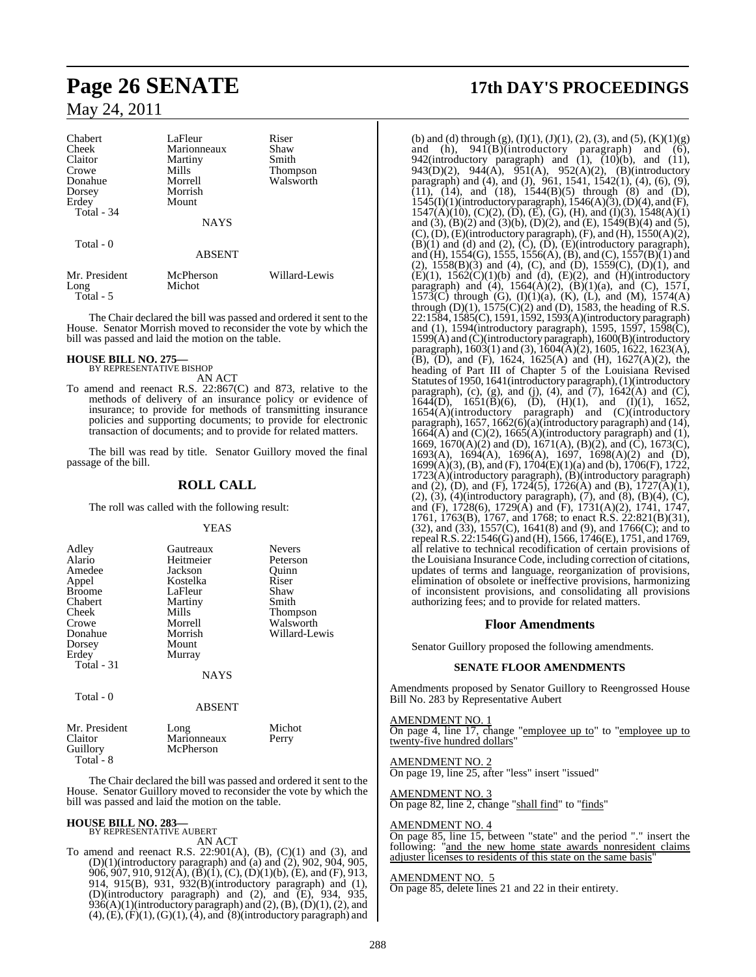| Chabert<br>Cheek<br>Claitor<br>Crowe<br>Donahue<br>Dorsey<br>Erdey<br>Total - 34 | LaFleur<br>Marionneaux<br>Martiny<br>Mills<br>Morrell<br>Morrish<br>Mount | Riser<br>Shaw<br>Smith<br><b>Thompson</b><br>Walsworth |
|----------------------------------------------------------------------------------|---------------------------------------------------------------------------|--------------------------------------------------------|
|                                                                                  | <b>NAYS</b>                                                               |                                                        |
| Total - 0                                                                        | <b>ABSENT</b>                                                             |                                                        |
| Mr. President<br>Long<br>Total - 5                                               | McPherson<br>Michot                                                       | Willard-Lewis                                          |

The Chair declared the bill was passed and ordered it sent to the House. Senator Morrish moved to reconsider the vote by which the bill was passed and laid the motion on the table.

**HOUSE BILL NO. 275—** BY REPRESENTATIVE BISHOP

AN ACT

To amend and reenact R.S. 22:867(C) and 873, relative to the methods of delivery of an insurance policy or evidence of insurance; to provide for methods of transmitting insurance policies and supporting documents; to provide for electronic transaction of documents; and to provide for related matters.

The bill was read by title. Senator Guillory moved the final passage of the bill.

### **ROLL CALL**

The roll was called with the following result:

YEAS

| Adley<br>Alario<br>Amedee<br>Appel<br><b>Broome</b><br>Chabert<br>Cheek<br>Crowe<br>Donahue<br>Dorsey | Gautreaux<br>Heitmeier<br>Jackson<br>Kostelka<br>LaFleur<br>Martiny<br>Mills<br>Morrell<br>Morrish<br>Mount | <b>Nevers</b><br>Peterson<br>Ouinn<br>Riser<br>Shaw<br>Smith<br>Thompson<br>Walsworth<br>Willard-Lewis |
|-------------------------------------------------------------------------------------------------------|-------------------------------------------------------------------------------------------------------------|--------------------------------------------------------------------------------------------------------|
| Erdey<br>Total - 31<br>Total - 0                                                                      | Murray<br><b>NAYS</b><br><b>ABSENT</b>                                                                      |                                                                                                        |
| $\mathbf{1}$ $\mathbf{r}$ $\mathbf{n}$ $\mathbf{r}$ $\mathbf{r}$ $\mathbf{r}$                         |                                                                                                             | $\cdots$                                                                                               |

| Mr. President | Long        | Michot |
|---------------|-------------|--------|
| Claitor       | Marionneaux | Perry  |
| Guillory      | McPherson   |        |
| Total - 8     |             |        |

The Chair declared the bill was passed and ordered it sent to the House. Senator Guillory moved to reconsider the vote by which the bill was passed and laid the motion on the table.

# **HOUSE BILL NO. 283—** BY REPRESENTATIVE AUBERT

AN ACT

To amend and reenact R.S.  $22:901(A)$ ,  $(B)$ ,  $(C)(1)$  and  $(3)$ , and  $(D)(1)$ (introductory paragraph) and (a) and (2), 902, 904, 905, 906, 907, 910, 912(A), (B)(1), (C), (D)(1)(b), (E), and (F), 913, 914, 915(B), 931, 932(B)(introductory paragraph) and (1), (D)(introductory paragraph) and (2), and (E), 934, 935,  $936(A)(1)$ (introductory paragraph) and  $(2)$ ,  $(B)$ ,  $(D)(1)$ ,  $(2)$ , and  $(4)$ ,  $(E)$ ,  $(F)(1)$ ,  $(G)(1)$ ,  $(4)$ , and  $(8)$ (introductory paragraph) and

# **Page 26 SENATE 17th DAY'S PROCEEDINGS**

(b) and (d) through (g),  $(I)(1)$ ,  $(J)(1)$ ,  $(2)$ ,  $(3)$ , and  $(5)$ ,  $(K)(1)(g)$ and (h),  $941(B)$ (introductory paragraph) and (6), 942(introductory paragraph) and  $(1)$ ,  $(10)(b)$ , and  $(11)$ , 943(D)(2), 944(A), 951(A), 952(A)(2), (B)(introductory paragraph) and (4), and (J),  $961$ ,  $1541$ ,  $1542(1)$ ,  $(4)$ ,  $(6)$ ,  $(9)$ ,  $(11)$ ,  $(14)$ , and  $(18)$ ,  $1544(B)(5)$  through  $(8)$  and  $(D)$ ,  $1545(I)(1)(introductory paragraph), 1546(A)(3), (D)(4), and (F),$  $1547(\overline{A})(10)$ , (C)(2), (D), (E), (G), (H), and (I)(3), 1548(A)(1) and (3), (B)(2) and (3)(b), (D)(2), and (E),  $1549(B)(4)$  and (5),  $(C)$ ,  $(D)$ ,  $(E)$ (introductory paragraph),  $(F)$ , and  $(H)$ , 1550 $(A)(2)$ ,  $(B)(1)$  and  $(d)$  and  $(2)$ ,  $(\tilde{C})$ ,  $(\tilde{D})$ ,  $(E)$ (introductory paragraph), and (H), 1554(G), 1555, 1556(A), (B), and (C), 1557(B)(1) and (2),  $1558(B)(3)$  and (4), (C), and (D),  $1559(C)$ , (D)(1), and  $(E)(1)$ ,  $1562(C)(1)(b)$  and (d),  $(E)(2)$ , and  $(H)(introducing$ paragraph) and (4),  $1564(A)(2)$ ,  $(B)(1)(a)$ , and  $(C)$ ,  $1571$ , 1573(C) through (G),  $(I)(1)(a)$ ,  $(K)$ ,  $(L)$ , and  $(M)$ , 1574 $(A)$ through  $(D)(1)$ ,  $1575(C)(2)$  and  $(D)$ ,  $1583$ , the heading of R.S. 22:1584, 1585(C), 1591, 1592, 1593(A)(introductory paragraph) and (1), 1594(introductory paragraph), 1595, 1597, 1598(C), 1599(A) and (C)(introductory paragraph), 1600(B)(introductory paragraph), 1603(1) and (3), 1604(A)(2), 1605, 1622, 1623(A),  $(B)$ ,  $(D)$ , and  $(F)$ , 1624, 1625(A) and  $(H)$ , 1627(A)(2), the heading of Part III of Chapter 5 of the Louisiana Revised Statutes of 1950, 1641(introductory paragraph), (1)(introductory paragraph), (c), (g), and (j), (4), and  $(7)$ , 1642(A) and (C),  $164\tilde{4}(D)$ ,  $1651(\tilde{B})(6)$ ,  $(\tilde{D})$ ,  $(H)(1)$ , and  $(I)(1)$ ,  $1652$ , 1654(A)(introductory paragraph) and (C)(introductory paragraph), 1657, 1662(6)(a)(introductory paragraph) and (14),  $166\tilde{A}$ (A) and (C)(2),  $1665(A)$ (introductory paragraph) and (1), 1669, 1670(A)(2) and (D), 1671(A), (B)(2), and (C), 1673(C), 1693(A), 1694(A), 1696(A), 1697, 1698(A)(2) and (D), 1699(A)(3), (B), and (F), 1704(E)(1)(a) and (b), 1706(F), 1722, 1723(A)(introductory paragraph), (B)(introductory paragraph) and (2), (D), and (F),  $172\overline{4}(5)$ ,  $172\overline{6}(A)$  and (B),  $1727\overline{(A)}(1)$ , (2), (3), (4)(introductory paragraph), (7), and (8), (B)(4), (C), and (F), 1728(6), 1729(A) and (F), 1731(A)(2), 1741, 1747, 1761, 1763(B), 1767, and 1768; to enact R.S. 22:821(B)(31), (32), and (33), 1557(C), 1641(8) and (9), and 1766(C); and to repeal R.S. 22:1546(G) and (H), 1566, 1746(E), 1751, and 1769, all relative to technical recodification of certain provisions of the Louisiana Insurance Code, including correction of citations, updates of terms and language, reorganization of provisions, elimination of obsolete or ineffective provisions, harmonizing of inconsistent provisions, and consolidating all provisions authorizing fees; and to provide for related matters.

### **Floor Amendments**

Senator Guillory proposed the following amendments.

### **SENATE FLOOR AMENDMENTS**

Amendments proposed by Senator Guillory to Reengrossed House Bill No. 283 by Representative Aubert

AMENDMENT NO. 1 On page 4, line 17, change "employee up to" to "employee up to twenty-five hundred dollars"

AMENDMENT NO. 2 On page 19, line 25, after "less" insert "issued"

AMENDMENT NO. 3 On page 82, line 2, change "shall find" to "finds"

### AMENDMENT NO. 4

On page 85, line 15, between "state" and the period "." insert the following: "and the new home state awards nonresident claims adjuster licenses to residents of this state on the same basis"

### AMENDMENT NO. 5

On page 85, delete lines 21 and 22 in their entirety.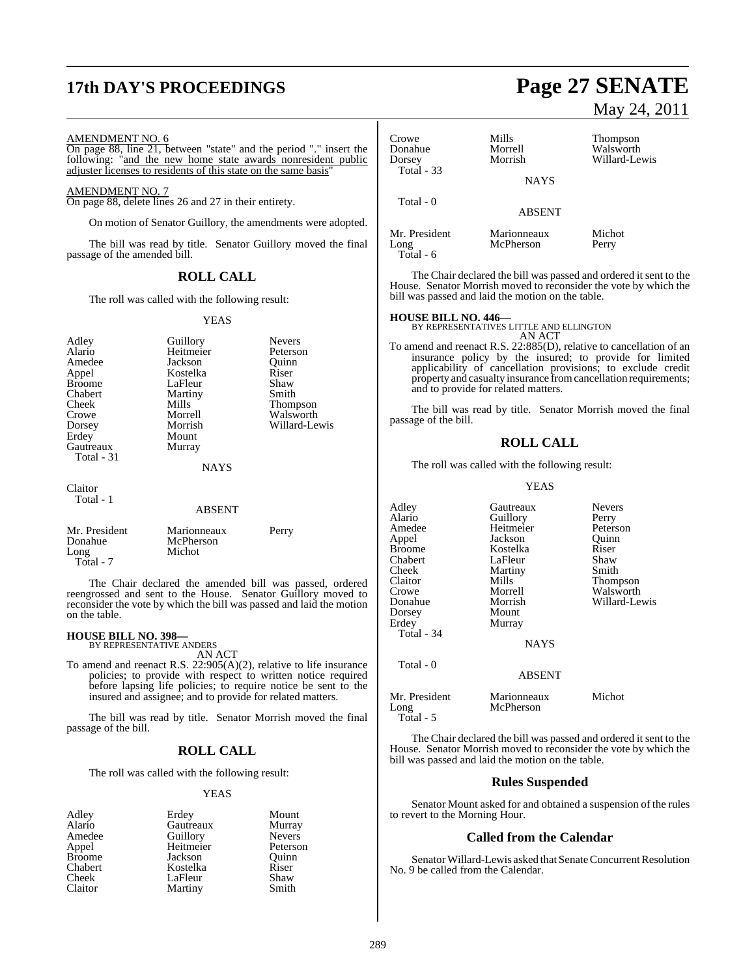# **17th DAY'S PROCEEDINGS Page 27 SENATE**

### AMENDMENT NO. 6

On page 88, line 21, between "state" and the period "." insert the following: "and the new home state awards nonresident public adjuster licenses to residents of this state on the same basis"

### AMENDMENT NO. 7

On page 88, delete lines 26 and 27 in their entirety.

On motion of Senator Guillory, the amendments were adopted.

The bill was read by title. Senator Guillory moved the final passage of the amended bill.

### **ROLL CALL**

The roll was called with the following result:

### YEAS

| Adley<br>Alario<br>Amedee<br>Appel<br><b>Broome</b><br>Chabert<br>Cheek<br>Crowe<br>Dorsey<br>Erdey<br>Gautreaux<br>Total - 31 | Guillory<br>Heitmeier<br>Jackson<br>Kostelka<br>LaFleur<br>Martiny<br>Mills<br>Morrell<br>Morrish<br>Mount<br>Murray<br><b>NAYS</b> | <b>Nevers</b><br>Peterson<br>Ouinn<br>Riser<br>Shaw<br>Smith<br>Thompson<br>Walsworth<br>Willard-Lewis |
|--------------------------------------------------------------------------------------------------------------------------------|-------------------------------------------------------------------------------------------------------------------------------------|--------------------------------------------------------------------------------------------------------|
| Claitor<br>Total - 1                                                                                                           | <b>ABSENT</b>                                                                                                                       |                                                                                                        |
| Mr. President<br>Donahue<br>Long                                                                                               | Marionneaux<br>McPherson<br>Michot                                                                                                  | Perry                                                                                                  |

The Chair declared the amended bill was passed, ordered reengrossed and sent to the House. Senator Guillory moved to reconsider the vote by which the bill was passed and laid the motion on the table.

# **HOUSE BILL NO. 398—** BY REPRESENTATIVE ANDERS

Total - 7

AN ACT

To amend and reenact R.S. 22:905(A)(2), relative to life insurance policies; to provide with respect to written notice required before lapsing life policies; to require notice be sent to the insured and assignee; and to provide for related matters.

The bill was read by title. Senator Morrish moved the final passage of the bill.

### **ROLL CALL**

The roll was called with the following result:

### YEAS

| Adley         | Erdey     | Mount         |
|---------------|-----------|---------------|
| Alario        | Gautreaux | Murray        |
| Amedee        | Guillory  | <b>Nevers</b> |
| Appel         | Heitmeier | Peterson      |
| <b>Broome</b> | Jackson   | Ouinn         |
| Chabert       | Kostelka  | Riser         |
| Cheek         | LaFleur   | Shaw          |
| Claitor       | Martiny   | Smith         |

# May 24, 2011

| Crowe<br>Donahue<br>Dorsey<br><b>Total - 33</b> | Mills<br>Morrell<br>Morrish  | Thompson<br>Walsworth<br>Willard-Lewis |
|-------------------------------------------------|------------------------------|----------------------------------------|
| Total - 0                                       | <b>NAYS</b><br><b>ABSENT</b> |                                        |
| Mr. President<br>Long<br>Total - 6              | Marionneaux<br>McPherson     | Michot<br>Perry                        |

The Chair declared the bill was passed and ordered it sent to the House. Senator Morrish moved to reconsider the vote by which the bill was passed and laid the motion on the table.

# **HOUSE BILL NO. 446—** BY REPRESENTATIVES LITTLE AND ELLINGTON

AN ACT

To amend and reenact R.S. 22:885(D), relative to cancellation of an insurance policy by the insured; to provide for limited applicability of cancellation provisions; to exclude credit property and casualty insurance from cancellation requirements; and to provide for related matters.

The bill was read by title. Senator Morrish moved the final passage of the bill.

### **ROLL CALL**

The roll was called with the following result:

### YEAS

| Adley                              | Gautreaux                | <b>Nevers</b> |
|------------------------------------|--------------------------|---------------|
| Alario                             | Guillory                 | Perry         |
| Amedee                             | Heitmeier                | Peterson      |
| Appel                              | Jackson                  | Ouinn         |
| <b>Broome</b>                      | Kostelka                 | Riser         |
| Chabert                            | LaFleur                  | Shaw          |
| Cheek                              | Martiny                  | Smith         |
| Claitor                            | Mills                    | Thompson      |
| Crowe                              | Morrell                  | Walsworth     |
| Donahue                            | Morrish                  | Willard-Lewis |
| Dorsey                             | Mount                    |               |
| Erdey                              | Murray                   |               |
| Total - 34                         |                          |               |
|                                    | <b>NAYS</b>              |               |
| Total - 0                          |                          |               |
|                                    | ABSENT                   |               |
| Mr. President<br>Long<br>Total - 5 | Marionneaux<br>McPherson | Michot        |

The Chair declared the bill was passed and ordered it sent to the House. Senator Morrish moved to reconsider the vote by which the bill was passed and laid the motion on the table.

### **Rules Suspended**

Senator Mount asked for and obtained a suspension of the rules to revert to the Morning Hour.

### **Called from the Calendar**

Senator Willard-Lewis asked that Senate Concurrent Resolution No. 9 be called from the Calendar.